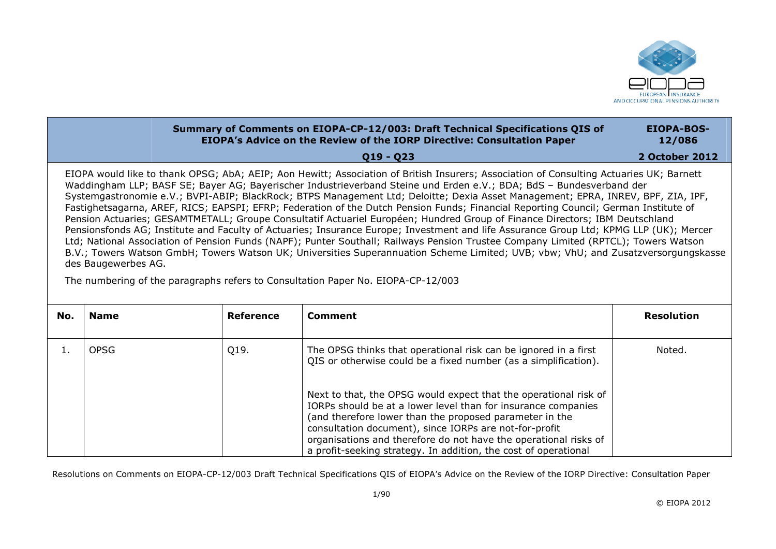

|                     | Summary of Comments on EIOPA-CP-12/003: Draft Technical Specifications QIS of<br><b>EIOPA's Advice on the Review of the IORP Directive: Consultation Paper</b>                                                                                                                                                                                                                                                                                                                                                                                                                                                                                                                                                                                                                                                                                                                                                                                                                                                                                                                                 | <b>EIOPA-BOS-</b><br>12/086 |
|---------------------|------------------------------------------------------------------------------------------------------------------------------------------------------------------------------------------------------------------------------------------------------------------------------------------------------------------------------------------------------------------------------------------------------------------------------------------------------------------------------------------------------------------------------------------------------------------------------------------------------------------------------------------------------------------------------------------------------------------------------------------------------------------------------------------------------------------------------------------------------------------------------------------------------------------------------------------------------------------------------------------------------------------------------------------------------------------------------------------------|-----------------------------|
|                     | $Q19 - Q23$                                                                                                                                                                                                                                                                                                                                                                                                                                                                                                                                                                                                                                                                                                                                                                                                                                                                                                                                                                                                                                                                                    | <b>2 October 2012</b>       |
| des Baugewerbes AG. | EIOPA would like to thank OPSG; AbA; AEIP; Aon Hewitt; Association of British Insurers; Association of Consulting Actuaries UK; Barnett<br>Waddingham LLP; BASF SE; Bayer AG; Bayerischer Industrieverband Steine und Erden e.V.; BDA; BdS – Bundesverband der<br>Systemgastronomie e.V.; BVPI-ABIP; BlackRock; BTPS Management Ltd; Deloitte; Dexia Asset Management; EPRA, INREV, BPF, ZIA, IPF,<br>Fastighetsagarna, AREF, RICS; EAPSPI; EFRP; Federation of the Dutch Pension Funds; Financial Reporting Council; German Institute of<br>Pension Actuaries; GESAMTMETALL; Groupe Consultatif Actuariel Européen; Hundred Group of Finance Directors; IBM Deutschland<br>Pensionsfonds AG; Institute and Faculty of Actuaries; Insurance Europe; Investment and life Assurance Group Ltd; KPMG LLP (UK); Mercer<br>Ltd; National Association of Pension Funds (NAPF); Punter Southall; Railways Pension Trustee Company Limited (RPTCL); Towers Watson<br>B.V.; Towers Watson GmbH; Towers Watson UK; Universities Superannuation Scheme Limited; UVB; vbw; VhU; and Zusatzversorgungskasse |                             |

The numbering of the paragraphs refers to Consultation Paper No. EIOPA-CP-12/003

| No. | <b>Name</b> | <b>Reference</b> | Comment                                                                                                                                                                                                                                                                                                                                                                                       | <b>Resolution</b> |
|-----|-------------|------------------|-----------------------------------------------------------------------------------------------------------------------------------------------------------------------------------------------------------------------------------------------------------------------------------------------------------------------------------------------------------------------------------------------|-------------------|
|     | <b>OPSG</b> | Q19.             | The OPSG thinks that operational risk can be ignored in a first<br>QIS or otherwise could be a fixed number (as a simplification).                                                                                                                                                                                                                                                            | Noted.            |
|     |             |                  | Next to that, the OPSG would expect that the operational risk of<br>IORPs should be at a lower level than for insurance companies<br>(and therefore lower than the proposed parameter in the<br>consultation document), since IORPs are not-for-profit<br>organisations and therefore do not have the operational risks of<br>a profit-seeking strategy. In addition, the cost of operational |                   |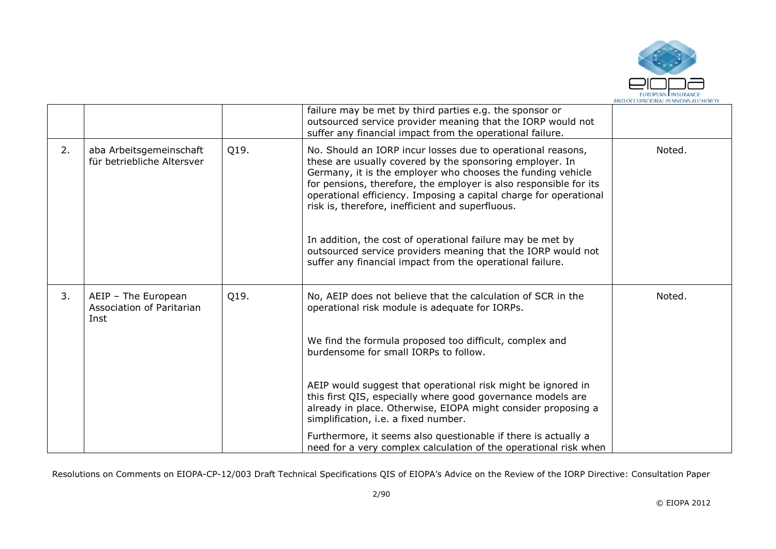

|    |                                                          |      | failure may be met by third parties e.g. the sponsor or<br>outsourced service provider meaning that the IORP would not<br>suffer any financial impact from the operational failure.                                                                                                                                                                                                                                                                                                                                                                                             |        |
|----|----------------------------------------------------------|------|---------------------------------------------------------------------------------------------------------------------------------------------------------------------------------------------------------------------------------------------------------------------------------------------------------------------------------------------------------------------------------------------------------------------------------------------------------------------------------------------------------------------------------------------------------------------------------|--------|
| 2. | aba Arbeitsgemeinschaft<br>für betriebliche Altersver    | Q19. | No. Should an IORP incur losses due to operational reasons,<br>these are usually covered by the sponsoring employer. In<br>Germany, it is the employer who chooses the funding vehicle<br>for pensions, therefore, the employer is also responsible for its<br>operational efficiency. Imposing a capital charge for operational<br>risk is, therefore, inefficient and superfluous.<br>In addition, the cost of operational failure may be met by<br>outsourced service providers meaning that the IORP would not<br>suffer any financial impact from the operational failure. | Noted. |
| 3. | AEIP - The European<br>Association of Paritarian<br>Inst | Q19. | No, AEIP does not believe that the calculation of SCR in the<br>operational risk module is adequate for IORPs.                                                                                                                                                                                                                                                                                                                                                                                                                                                                  | Noted. |
|    |                                                          |      | We find the formula proposed too difficult, complex and<br>burdensome for small IORPs to follow.                                                                                                                                                                                                                                                                                                                                                                                                                                                                                |        |
|    |                                                          |      | AEIP would suggest that operational risk might be ignored in<br>this first QIS, especially where good governance models are<br>already in place. Otherwise, EIOPA might consider proposing a<br>simplification, i.e. a fixed number.                                                                                                                                                                                                                                                                                                                                            |        |
|    |                                                          |      | Furthermore, it seems also questionable if there is actually a<br>need for a very complex calculation of the operational risk when                                                                                                                                                                                                                                                                                                                                                                                                                                              |        |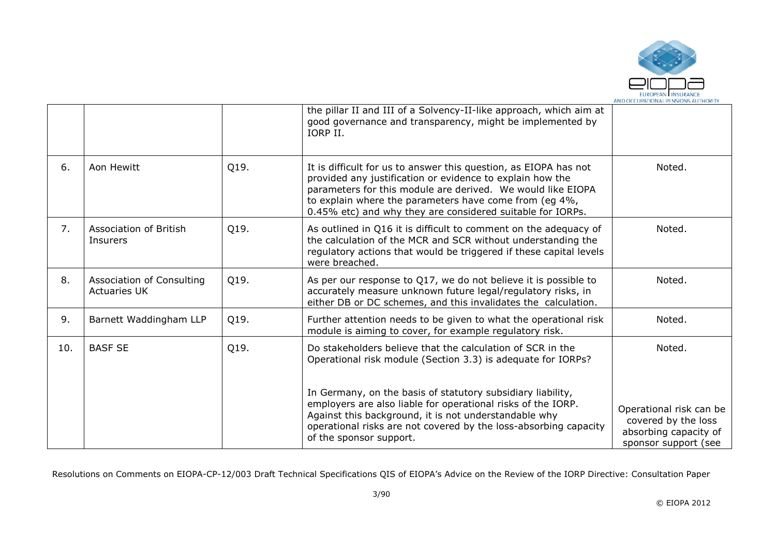

|     |                                                  |      | the pillar II and III of a Solvency-II-like approach, which aim at<br>good governance and transparency, might be implemented by<br>IORP II.                                                                                                                                                                          |                                                                                                 |
|-----|--------------------------------------------------|------|----------------------------------------------------------------------------------------------------------------------------------------------------------------------------------------------------------------------------------------------------------------------------------------------------------------------|-------------------------------------------------------------------------------------------------|
| 6.  | Aon Hewitt                                       | Q19. | It is difficult for us to answer this question, as EIOPA has not<br>provided any justification or evidence to explain how the<br>parameters for this module are derived. We would like EIOPA<br>to explain where the parameters have come from (eg 4%,<br>0.45% etc) and why they are considered suitable for IORPs. | Noted.                                                                                          |
| 7.  | Association of British<br><b>Insurers</b>        | Q19. | As outlined in Q16 it is difficult to comment on the adequacy of<br>the calculation of the MCR and SCR without understanding the<br>regulatory actions that would be triggered if these capital levels<br>were breached.                                                                                             | Noted.                                                                                          |
| 8.  | Association of Consulting<br><b>Actuaries UK</b> | Q19. | As per our response to Q17, we do not believe it is possible to<br>accurately measure unknown future legal/regulatory risks, in<br>either DB or DC schemes, and this invalidates the calculation.                                                                                                                    | Noted.                                                                                          |
| 9.  | Barnett Waddingham LLP                           | Q19. | Further attention needs to be given to what the operational risk<br>module is aiming to cover, for example regulatory risk.                                                                                                                                                                                          | Noted.                                                                                          |
| 10. | <b>BASF SE</b>                                   | Q19. | Do stakeholders believe that the calculation of SCR in the<br>Operational risk module (Section 3.3) is adequate for IORPs?                                                                                                                                                                                           | Noted.                                                                                          |
|     |                                                  |      | In Germany, on the basis of statutory subsidiary liability,<br>employers are also liable for operational risks of the IORP.<br>Against this background, it is not understandable why<br>operational risks are not covered by the loss-absorbing capacity<br>of the sponsor support.                                  | Operational risk can be<br>covered by the loss<br>absorbing capacity of<br>sponsor support (see |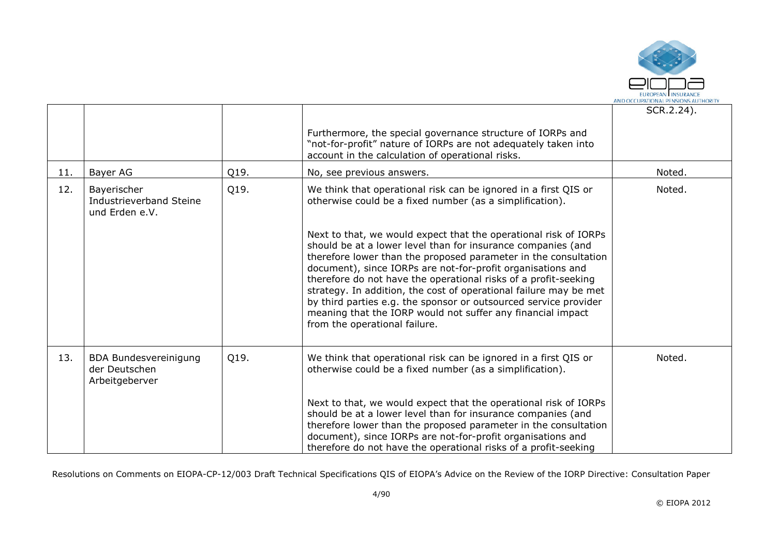

|     |                                                                 |      |                                                                                                                                                                                                                                                                                                                                                                                                                                                                                                                                                                                | SCR.2.24). |
|-----|-----------------------------------------------------------------|------|--------------------------------------------------------------------------------------------------------------------------------------------------------------------------------------------------------------------------------------------------------------------------------------------------------------------------------------------------------------------------------------------------------------------------------------------------------------------------------------------------------------------------------------------------------------------------------|------------|
|     |                                                                 |      | Furthermore, the special governance structure of IORPs and<br>"not-for-profit" nature of IORPs are not adequately taken into<br>account in the calculation of operational risks.                                                                                                                                                                                                                                                                                                                                                                                               |            |
| 11. | Bayer AG                                                        | Q19. | No, see previous answers.                                                                                                                                                                                                                                                                                                                                                                                                                                                                                                                                                      | Noted.     |
| 12. | Bayerischer<br><b>Industrieverband Steine</b><br>und Erden e.V. | Q19. | We think that operational risk can be ignored in a first QIS or<br>otherwise could be a fixed number (as a simplification).                                                                                                                                                                                                                                                                                                                                                                                                                                                    | Noted.     |
|     |                                                                 |      | Next to that, we would expect that the operational risk of IORPs<br>should be at a lower level than for insurance companies (and<br>therefore lower than the proposed parameter in the consultation<br>document), since IORPs are not-for-profit organisations and<br>therefore do not have the operational risks of a profit-seeking<br>strategy. In addition, the cost of operational failure may be met<br>by third parties e.g. the sponsor or outsourced service provider<br>meaning that the IORP would not suffer any financial impact<br>from the operational failure. |            |
| 13. | <b>BDA Bundesvereinigung</b><br>der Deutschen<br>Arbeitgeberver | Q19. | We think that operational risk can be ignored in a first QIS or<br>otherwise could be a fixed number (as a simplification).                                                                                                                                                                                                                                                                                                                                                                                                                                                    | Noted.     |
|     |                                                                 |      | Next to that, we would expect that the operational risk of IORPs<br>should be at a lower level than for insurance companies (and<br>therefore lower than the proposed parameter in the consultation<br>document), since IORPs are not-for-profit organisations and<br>therefore do not have the operational risks of a profit-seeking                                                                                                                                                                                                                                          |            |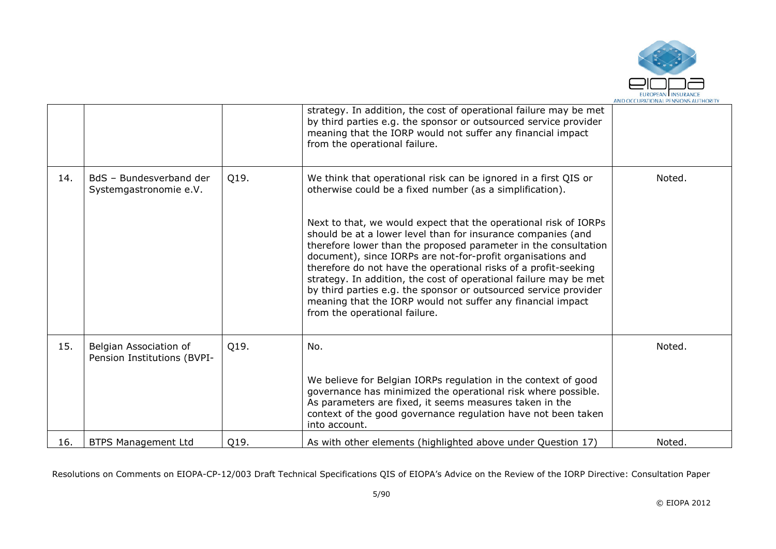

|     |                                                       |      | strategy. In addition, the cost of operational failure may be met<br>by third parties e.g. the sponsor or outsourced service provider<br>meaning that the IORP would not suffer any financial impact<br>from the operational failure.                                                                                                                                                                                                                                                                                                                                                                                                                                                                         |        |
|-----|-------------------------------------------------------|------|---------------------------------------------------------------------------------------------------------------------------------------------------------------------------------------------------------------------------------------------------------------------------------------------------------------------------------------------------------------------------------------------------------------------------------------------------------------------------------------------------------------------------------------------------------------------------------------------------------------------------------------------------------------------------------------------------------------|--------|
| 14. | BdS - Bundesverband der<br>Systemgastronomie e.V.     | Q19. | We think that operational risk can be ignored in a first QIS or<br>otherwise could be a fixed number (as a simplification).<br>Next to that, we would expect that the operational risk of IORPs<br>should be at a lower level than for insurance companies (and<br>therefore lower than the proposed parameter in the consultation<br>document), since IORPs are not-for-profit organisations and<br>therefore do not have the operational risks of a profit-seeking<br>strategy. In addition, the cost of operational failure may be met<br>by third parties e.g. the sponsor or outsourced service provider<br>meaning that the IORP would not suffer any financial impact<br>from the operational failure. | Noted. |
| 15. | Belgian Association of<br>Pension Institutions (BVPI- | Q19. | No.<br>We believe for Belgian IORPs regulation in the context of good<br>governance has minimized the operational risk where possible.<br>As parameters are fixed, it seems measures taken in the<br>context of the good governance regulation have not been taken<br>into account.                                                                                                                                                                                                                                                                                                                                                                                                                           | Noted. |
| 16. | <b>BTPS Management Ltd</b>                            | Q19. | As with other elements (highlighted above under Question 17)                                                                                                                                                                                                                                                                                                                                                                                                                                                                                                                                                                                                                                                  | Noted. |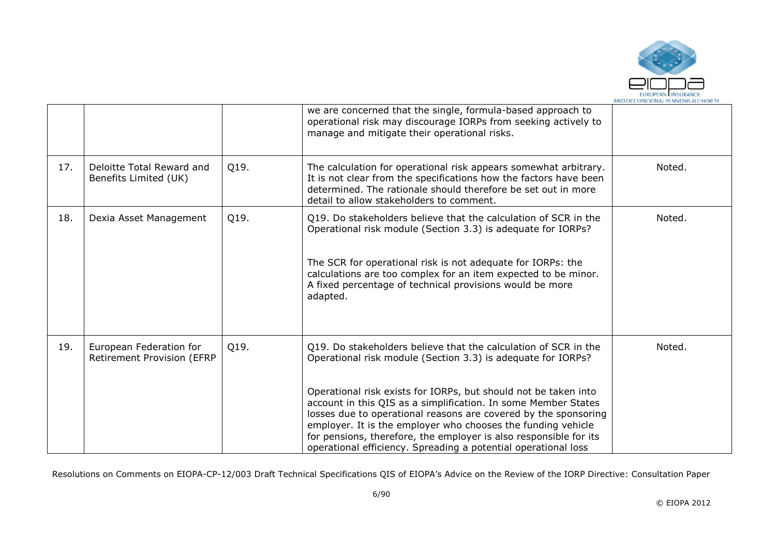

|     |                                                              |      | we are concerned that the single, formula-based approach to<br>operational risk may discourage IORPs from seeking actively to<br>manage and mitigate their operational risks.                                                                                                                                                                                                                                                                                                                                                                  |        |
|-----|--------------------------------------------------------------|------|------------------------------------------------------------------------------------------------------------------------------------------------------------------------------------------------------------------------------------------------------------------------------------------------------------------------------------------------------------------------------------------------------------------------------------------------------------------------------------------------------------------------------------------------|--------|
| 17. | Deloitte Total Reward and<br>Benefits Limited (UK)           | Q19. | The calculation for operational risk appears somewhat arbitrary.<br>It is not clear from the specifications how the factors have been<br>determined. The rationale should therefore be set out in more<br>detail to allow stakeholders to comment.                                                                                                                                                                                                                                                                                             | Noted. |
| 18. | Dexia Asset Management                                       | Q19. | Q19. Do stakeholders believe that the calculation of SCR in the<br>Operational risk module (Section 3.3) is adequate for IORPs?<br>The SCR for operational risk is not adequate for IORPs: the<br>calculations are too complex for an item expected to be minor.<br>A fixed percentage of technical provisions would be more<br>adapted.                                                                                                                                                                                                       | Noted. |
| 19. | European Federation for<br><b>Retirement Provision (EFRP</b> | Q19. | Q19. Do stakeholders believe that the calculation of SCR in the<br>Operational risk module (Section 3.3) is adequate for IORPs?<br>Operational risk exists for IORPs, but should not be taken into<br>account in this QIS as a simplification. In some Member States<br>losses due to operational reasons are covered by the sponsoring<br>employer. It is the employer who chooses the funding vehicle<br>for pensions, therefore, the employer is also responsible for its<br>operational efficiency. Spreading a potential operational loss | Noted. |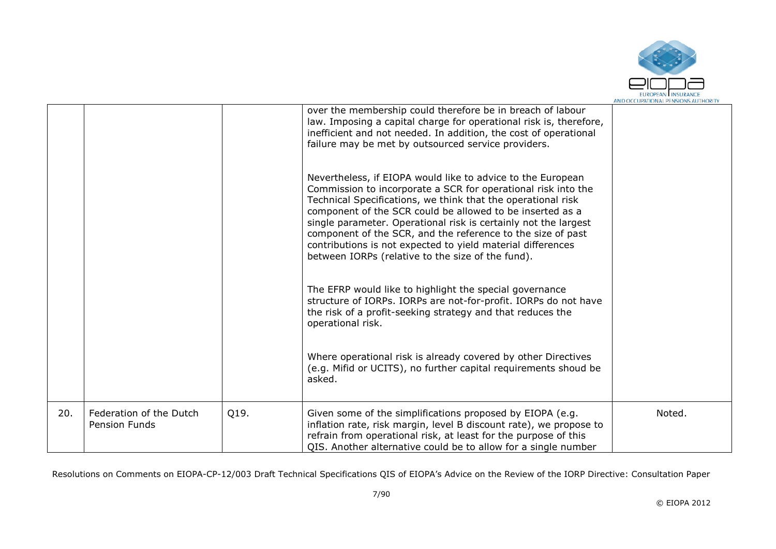

|     |                                                 |      | over the membership could therefore be in breach of labour<br>law. Imposing a capital charge for operational risk is, therefore,<br>inefficient and not needed. In addition, the cost of operational<br>failure may be met by outsourced service providers.                                                                                                                                                                                                                                                     |        |
|-----|-------------------------------------------------|------|-----------------------------------------------------------------------------------------------------------------------------------------------------------------------------------------------------------------------------------------------------------------------------------------------------------------------------------------------------------------------------------------------------------------------------------------------------------------------------------------------------------------|--------|
|     |                                                 |      | Nevertheless, if EIOPA would like to advice to the European<br>Commission to incorporate a SCR for operational risk into the<br>Technical Specifications, we think that the operational risk<br>component of the SCR could be allowed to be inserted as a<br>single parameter. Operational risk is certainly not the largest<br>component of the SCR, and the reference to the size of past<br>contributions is not expected to yield material differences<br>between IORPs (relative to the size of the fund). |        |
|     |                                                 |      | The EFRP would like to highlight the special governance<br>structure of IORPs. IORPs are not-for-profit. IORPs do not have<br>the risk of a profit-seeking strategy and that reduces the<br>operational risk.                                                                                                                                                                                                                                                                                                   |        |
|     |                                                 |      | Where operational risk is already covered by other Directives<br>(e.g. Mifid or UCITS), no further capital requirements shoud be<br>asked.                                                                                                                                                                                                                                                                                                                                                                      |        |
| 20. | Federation of the Dutch<br><b>Pension Funds</b> | Q19. | Given some of the simplifications proposed by EIOPA (e.g.<br>inflation rate, risk margin, level B discount rate), we propose to<br>refrain from operational risk, at least for the purpose of this<br>QIS. Another alternative could be to allow for a single number                                                                                                                                                                                                                                            | Noted. |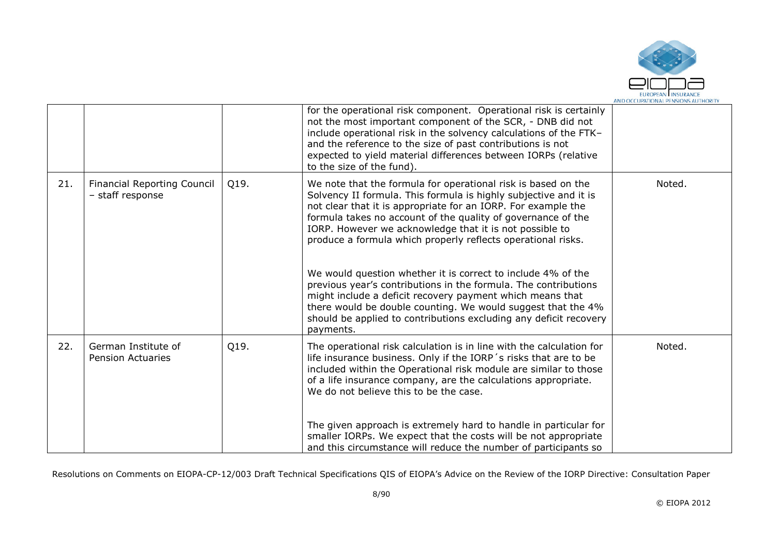

|     |                                                        |      | for the operational risk component. Operational risk is certainly<br>not the most important component of the SCR, - DNB did not<br>include operational risk in the solvency calculations of the FTK-<br>and the reference to the size of past contributions is not<br>expected to yield material differences between IORPs (relative<br>to the size of the fund).                                                                                                                                                                                                                                                                                                                                                                               |        |
|-----|--------------------------------------------------------|------|-------------------------------------------------------------------------------------------------------------------------------------------------------------------------------------------------------------------------------------------------------------------------------------------------------------------------------------------------------------------------------------------------------------------------------------------------------------------------------------------------------------------------------------------------------------------------------------------------------------------------------------------------------------------------------------------------------------------------------------------------|--------|
| 21. | <b>Financial Reporting Council</b><br>- staff response | Q19. | We note that the formula for operational risk is based on the<br>Solvency II formula. This formula is highly subjective and it is<br>not clear that it is appropriate for an IORP. For example the<br>formula takes no account of the quality of governance of the<br>IORP. However we acknowledge that it is not possible to<br>produce a formula which properly reflects operational risks.<br>We would question whether it is correct to include 4% of the<br>previous year's contributions in the formula. The contributions<br>might include a deficit recovery payment which means that<br>there would be double counting. We would suggest that the 4%<br>should be applied to contributions excluding any deficit recovery<br>payments. | Noted. |
| 22. | German Institute of<br><b>Pension Actuaries</b>        | Q19. | The operational risk calculation is in line with the calculation for<br>life insurance business. Only if the IORP's risks that are to be<br>included within the Operational risk module are similar to those<br>of a life insurance company, are the calculations appropriate.<br>We do not believe this to be the case.<br>The given approach is extremely hard to handle in particular for<br>smaller IORPs. We expect that the costs will be not appropriate<br>and this circumstance will reduce the number of participants so                                                                                                                                                                                                              | Noted. |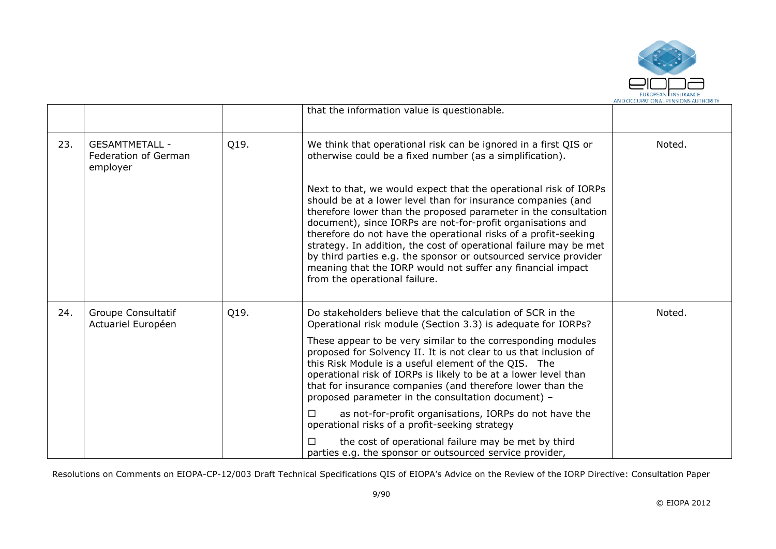

|     |                                                           |      |                                                                                                                                                                                                                                                                                                                                                                                                                                                                                                                                                                                                                                                                                        | AND OCCUPATIONAL PENSIONS AUTHORIT |
|-----|-----------------------------------------------------------|------|----------------------------------------------------------------------------------------------------------------------------------------------------------------------------------------------------------------------------------------------------------------------------------------------------------------------------------------------------------------------------------------------------------------------------------------------------------------------------------------------------------------------------------------------------------------------------------------------------------------------------------------------------------------------------------------|------------------------------------|
|     |                                                           |      | that the information value is questionable.                                                                                                                                                                                                                                                                                                                                                                                                                                                                                                                                                                                                                                            |                                    |
| 23. | <b>GESAMTMETALL -</b><br>Federation of German<br>employer | Q19. | We think that operational risk can be ignored in a first QIS or<br>otherwise could be a fixed number (as a simplification).                                                                                                                                                                                                                                                                                                                                                                                                                                                                                                                                                            | Noted.                             |
|     |                                                           |      | Next to that, we would expect that the operational risk of IORPs<br>should be at a lower level than for insurance companies (and<br>therefore lower than the proposed parameter in the consultation<br>document), since IORPs are not-for-profit organisations and<br>therefore do not have the operational risks of a profit-seeking<br>strategy. In addition, the cost of operational failure may be met<br>by third parties e.g. the sponsor or outsourced service provider<br>meaning that the IORP would not suffer any financial impact<br>from the operational failure.                                                                                                         |                                    |
| 24. | <b>Groupe Consultatif</b><br>Actuariel Européen           | Q19. | Do stakeholders believe that the calculation of SCR in the<br>Operational risk module (Section 3.3) is adequate for IORPs?<br>These appear to be very similar to the corresponding modules<br>proposed for Solvency II. It is not clear to us that inclusion of<br>this Risk Module is a useful element of the QIS. The<br>operational risk of IORPs is likely to be at a lower level than<br>that for insurance companies (and therefore lower than the<br>proposed parameter in the consultation document) -<br>as not-for-profit organisations, IORPs do not have the<br>П<br>operational risks of a profit-seeking strategy<br>the cost of operational failure may be met by third | Noted.                             |
|     |                                                           |      | parties e.g. the sponsor or outsourced service provider,                                                                                                                                                                                                                                                                                                                                                                                                                                                                                                                                                                                                                               |                                    |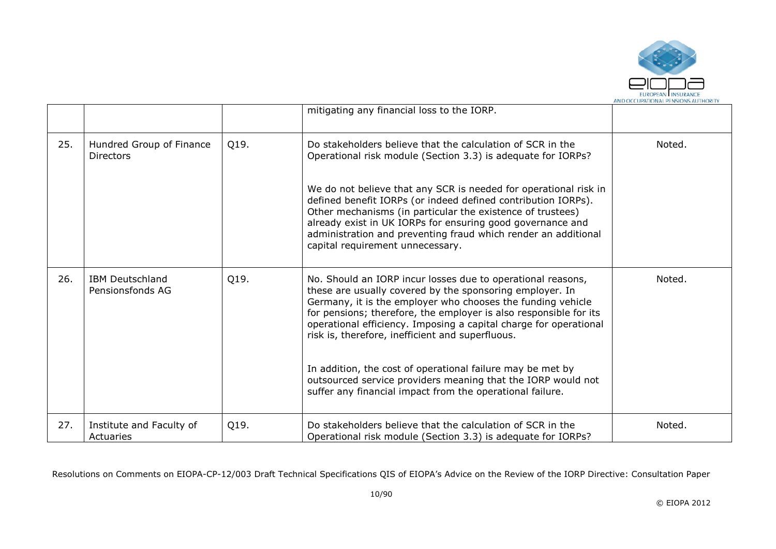

|     |                                              |      | mitigating any financial loss to the IORP.                                                                                                                                                                                                                                                                                                                                           |        |
|-----|----------------------------------------------|------|--------------------------------------------------------------------------------------------------------------------------------------------------------------------------------------------------------------------------------------------------------------------------------------------------------------------------------------------------------------------------------------|--------|
| 25. | Hundred Group of Finance<br><b>Directors</b> | Q19. | Do stakeholders believe that the calculation of SCR in the<br>Operational risk module (Section 3.3) is adequate for IORPs?                                                                                                                                                                                                                                                           | Noted. |
|     |                                              |      | We do not believe that any SCR is needed for operational risk in<br>defined benefit IORPs (or indeed defined contribution IORPs).<br>Other mechanisms (in particular the existence of trustees)<br>already exist in UK IORPs for ensuring good governance and<br>administration and preventing fraud which render an additional<br>capital requirement unnecessary.                  |        |
| 26. | <b>IBM Deutschland</b><br>Pensionsfonds AG   | Q19. | No. Should an IORP incur losses due to operational reasons,<br>these are usually covered by the sponsoring employer. In<br>Germany, it is the employer who chooses the funding vehicle<br>for pensions; therefore, the employer is also responsible for its<br>operational efficiency. Imposing a capital charge for operational<br>risk is, therefore, inefficient and superfluous. | Noted. |
|     |                                              |      | In addition, the cost of operational failure may be met by<br>outsourced service providers meaning that the IORP would not<br>suffer any financial impact from the operational failure.                                                                                                                                                                                              |        |
| 27. | Institute and Faculty of<br>Actuaries        | Q19. | Do stakeholders believe that the calculation of SCR in the<br>Operational risk module (Section 3.3) is adequate for IORPs?                                                                                                                                                                                                                                                           | Noted. |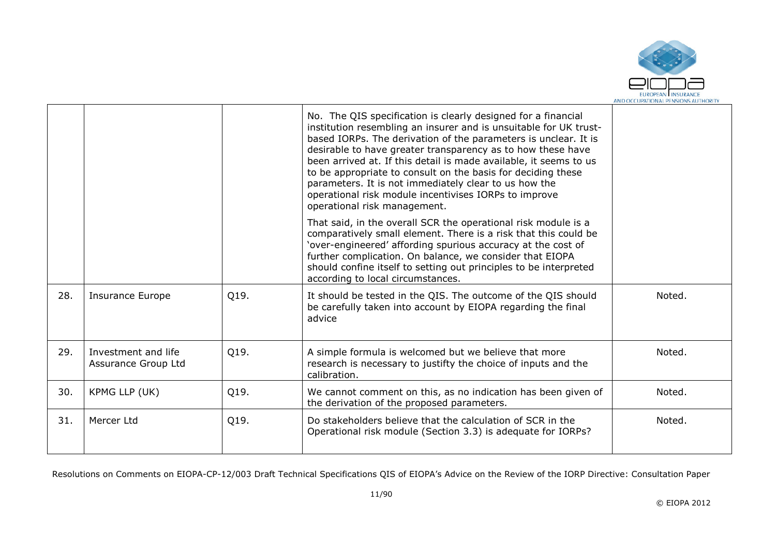

|     |                                            |      | No. The QIS specification is clearly designed for a financial<br>institution resembling an insurer and is unsuitable for UK trust-<br>based IORPs. The derivation of the parameters is unclear. It is<br>desirable to have greater transparency as to how these have<br>been arrived at. If this detail is made available, it seems to us<br>to be appropriate to consult on the basis for deciding these<br>parameters. It is not immediately clear to us how the<br>operational risk module incentivises IORPs to improve<br>operational risk management. |        |
|-----|--------------------------------------------|------|-------------------------------------------------------------------------------------------------------------------------------------------------------------------------------------------------------------------------------------------------------------------------------------------------------------------------------------------------------------------------------------------------------------------------------------------------------------------------------------------------------------------------------------------------------------|--------|
|     |                                            |      | That said, in the overall SCR the operational risk module is a<br>comparatively small element. There is a risk that this could be<br>'over-engineered' affording spurious accuracy at the cost of<br>further complication. On balance, we consider that EIOPA<br>should confine itself to setting out principles to be interpreted<br>according to local circumstances.                                                                                                                                                                                     |        |
| 28. | <b>Insurance Europe</b>                    | Q19. | It should be tested in the QIS. The outcome of the QIS should<br>be carefully taken into account by EIOPA regarding the final<br>advice                                                                                                                                                                                                                                                                                                                                                                                                                     | Noted. |
| 29. | Investment and life<br>Assurance Group Ltd | Q19. | A simple formula is welcomed but we believe that more<br>research is necessary to justifty the choice of inputs and the<br>calibration.                                                                                                                                                                                                                                                                                                                                                                                                                     | Noted. |
| 30. | KPMG LLP (UK)                              | Q19. | We cannot comment on this, as no indication has been given of<br>the derivation of the proposed parameters.                                                                                                                                                                                                                                                                                                                                                                                                                                                 | Noted. |
| 31. | Mercer Ltd                                 | Q19. | Do stakeholders believe that the calculation of SCR in the<br>Operational risk module (Section 3.3) is adequate for IORPs?                                                                                                                                                                                                                                                                                                                                                                                                                                  | Noted. |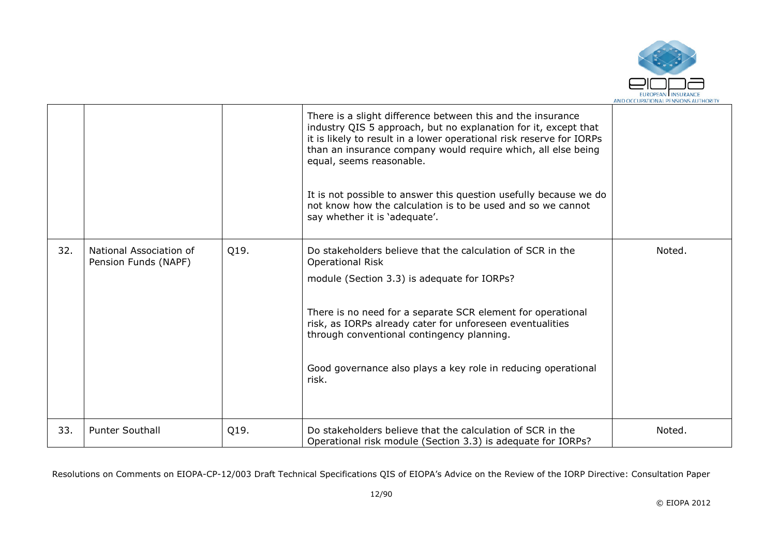

|     |                                                 |      | There is a slight difference between this and the insurance<br>industry QIS 5 approach, but no explanation for it, except that<br>it is likely to result in a lower operational risk reserve for IORPs<br>than an insurance company would require which, all else being<br>equal, seems reasonable.<br>It is not possible to answer this question usefully because we do<br>not know how the calculation is to be used and so we cannot<br>say whether it is 'adequate'. |        |
|-----|-------------------------------------------------|------|--------------------------------------------------------------------------------------------------------------------------------------------------------------------------------------------------------------------------------------------------------------------------------------------------------------------------------------------------------------------------------------------------------------------------------------------------------------------------|--------|
| 32. | National Association of<br>Pension Funds (NAPF) | Q19. | Do stakeholders believe that the calculation of SCR in the<br><b>Operational Risk</b><br>module (Section 3.3) is adequate for IORPs?<br>There is no need for a separate SCR element for operational<br>risk, as IORPs already cater for unforeseen eventualities<br>through conventional contingency planning.<br>Good governance also plays a key role in reducing operational<br>risk.                                                                                 | Noted. |
| 33. | <b>Punter Southall</b>                          | Q19. | Do stakeholders believe that the calculation of SCR in the<br>Operational risk module (Section 3.3) is adequate for IORPs?                                                                                                                                                                                                                                                                                                                                               | Noted. |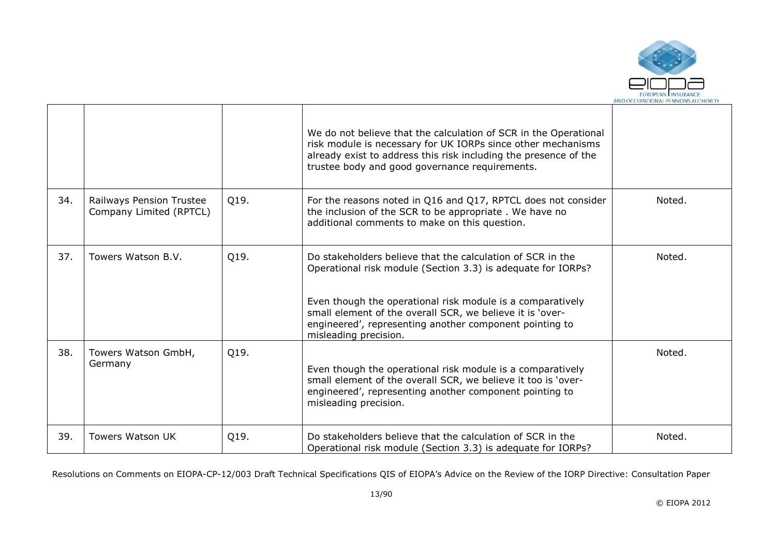

|     |                                                     |      | We do not believe that the calculation of SCR in the Operational<br>risk module is necessary for UK IORPs since other mechanisms<br>already exist to address this risk including the presence of the<br>trustee body and good governance requirements.                                                                                    |        |
|-----|-----------------------------------------------------|------|-------------------------------------------------------------------------------------------------------------------------------------------------------------------------------------------------------------------------------------------------------------------------------------------------------------------------------------------|--------|
| 34. | Railways Pension Trustee<br>Company Limited (RPTCL) | Q19. | For the reasons noted in Q16 and Q17, RPTCL does not consider<br>the inclusion of the SCR to be appropriate. We have no<br>additional comments to make on this question.                                                                                                                                                                  | Noted. |
| 37. | Towers Watson B.V.                                  | Q19. | Do stakeholders believe that the calculation of SCR in the<br>Operational risk module (Section 3.3) is adequate for IORPs?<br>Even though the operational risk module is a comparatively<br>small element of the overall SCR, we believe it is 'over-<br>engineered', representing another component pointing to<br>misleading precision. | Noted. |
| 38. | Towers Watson GmbH,<br>Germany                      | Q19. | Even though the operational risk module is a comparatively<br>small element of the overall SCR, we believe it too is 'over-<br>engineered', representing another component pointing to<br>misleading precision.                                                                                                                           | Noted. |
| 39. | Towers Watson UK                                    | Q19. | Do stakeholders believe that the calculation of SCR in the<br>Operational risk module (Section 3.3) is adequate for IORPs?                                                                                                                                                                                                                | Noted. |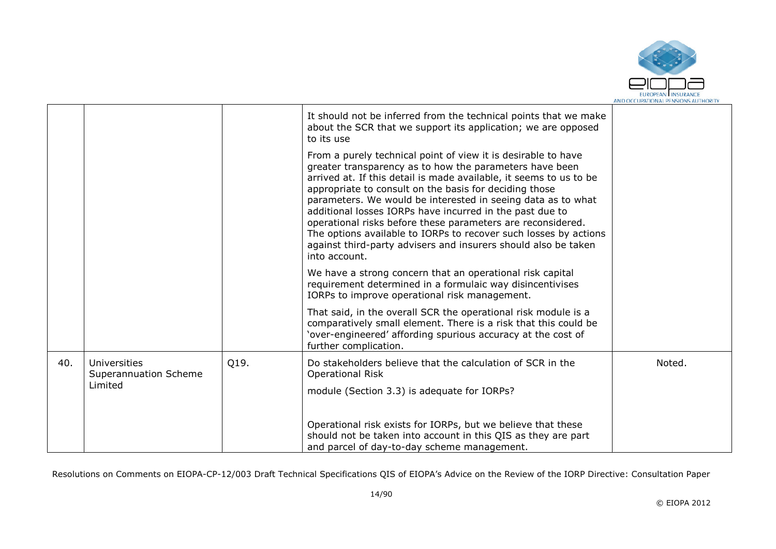

|     |                                       |      | It should not be inferred from the technical points that we make<br>about the SCR that we support its application; we are opposed<br>to its use                                                                                                                                                                                                                                                                                                                                                                                                                                                            |        |
|-----|---------------------------------------|------|------------------------------------------------------------------------------------------------------------------------------------------------------------------------------------------------------------------------------------------------------------------------------------------------------------------------------------------------------------------------------------------------------------------------------------------------------------------------------------------------------------------------------------------------------------------------------------------------------------|--------|
|     |                                       |      | From a purely technical point of view it is desirable to have<br>greater transparency as to how the parameters have been<br>arrived at. If this detail is made available, it seems to us to be<br>appropriate to consult on the basis for deciding those<br>parameters. We would be interested in seeing data as to what<br>additional losses IORPs have incurred in the past due to<br>operational risks before these parameters are reconsidered.<br>The options available to IORPs to recover such losses by actions<br>against third-party advisers and insurers should also be taken<br>into account. |        |
|     |                                       |      | We have a strong concern that an operational risk capital<br>requirement determined in a formulaic way disincentivises<br>IORPs to improve operational risk management.                                                                                                                                                                                                                                                                                                                                                                                                                                    |        |
|     |                                       |      | That said, in the overall SCR the operational risk module is a<br>comparatively small element. There is a risk that this could be<br>'over-engineered' affording spurious accuracy at the cost of<br>further complication.                                                                                                                                                                                                                                                                                                                                                                                 |        |
| 40. | Universities<br>Superannuation Scheme | Q19. | Do stakeholders believe that the calculation of SCR in the<br><b>Operational Risk</b>                                                                                                                                                                                                                                                                                                                                                                                                                                                                                                                      | Noted. |
|     | Limited                               |      | module (Section 3.3) is adequate for IORPs?                                                                                                                                                                                                                                                                                                                                                                                                                                                                                                                                                                |        |
|     |                                       |      | Operational risk exists for IORPs, but we believe that these<br>should not be taken into account in this QIS as they are part<br>and parcel of day-to-day scheme management.                                                                                                                                                                                                                                                                                                                                                                                                                               |        |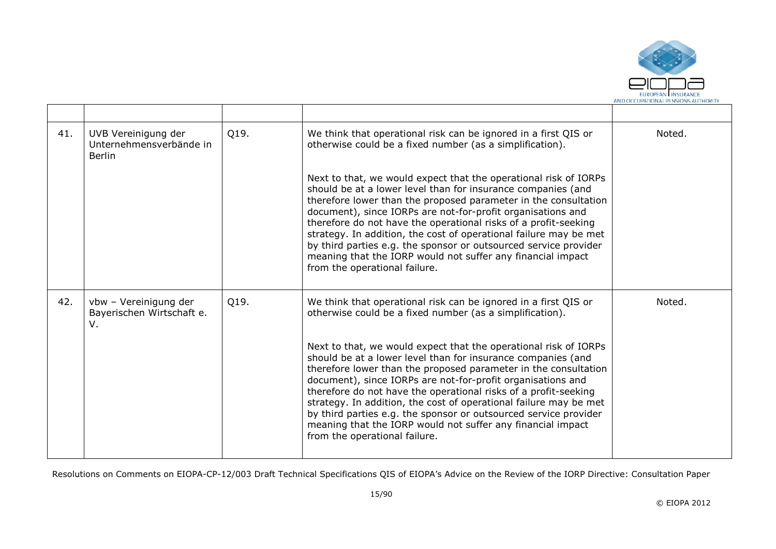

| 41. | UVB Vereinigung der<br>Unternehmensverbände in<br>Berlin | Q19. | We think that operational risk can be ignored in a first QIS or<br>otherwise could be a fixed number (as a simplification).                                                                                                                                                                                                                                                                                                                                                                                                                                                    | Noted. |
|-----|----------------------------------------------------------|------|--------------------------------------------------------------------------------------------------------------------------------------------------------------------------------------------------------------------------------------------------------------------------------------------------------------------------------------------------------------------------------------------------------------------------------------------------------------------------------------------------------------------------------------------------------------------------------|--------|
|     |                                                          |      | Next to that, we would expect that the operational risk of IORPs<br>should be at a lower level than for insurance companies (and<br>therefore lower than the proposed parameter in the consultation<br>document), since IORPs are not-for-profit organisations and<br>therefore do not have the operational risks of a profit-seeking<br>strategy. In addition, the cost of operational failure may be met<br>by third parties e.g. the sponsor or outsourced service provider<br>meaning that the IORP would not suffer any financial impact<br>from the operational failure. |        |
| 42. | vbw - Vereinigung der<br>Bayerischen Wirtschaft e.<br>V. | Q19. | We think that operational risk can be ignored in a first QIS or<br>otherwise could be a fixed number (as a simplification).                                                                                                                                                                                                                                                                                                                                                                                                                                                    | Noted. |
|     |                                                          |      | Next to that, we would expect that the operational risk of IORPs<br>should be at a lower level than for insurance companies (and<br>therefore lower than the proposed parameter in the consultation<br>document), since IORPs are not-for-profit organisations and<br>therefore do not have the operational risks of a profit-seeking<br>strategy. In addition, the cost of operational failure may be met<br>by third parties e.g. the sponsor or outsourced service provider<br>meaning that the IORP would not suffer any financial impact<br>from the operational failure. |        |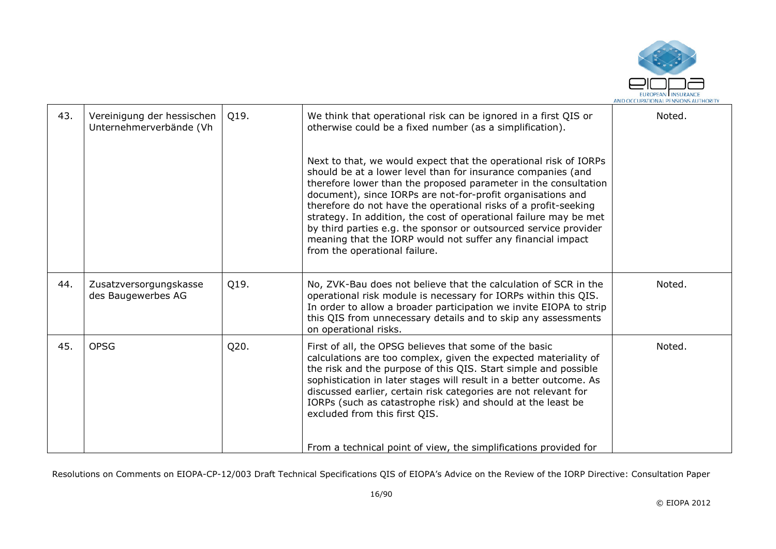

| 43. | Vereinigung der hessischen<br>Unternehmerverbände (Vh | Q19. | We think that operational risk can be ignored in a first QIS or<br>otherwise could be a fixed number (as a simplification).<br>Next to that, we would expect that the operational risk of IORPs<br>should be at a lower level than for insurance companies (and                                                                                                                                                                            | Noted. |
|-----|-------------------------------------------------------|------|--------------------------------------------------------------------------------------------------------------------------------------------------------------------------------------------------------------------------------------------------------------------------------------------------------------------------------------------------------------------------------------------------------------------------------------------|--------|
|     |                                                       |      | therefore lower than the proposed parameter in the consultation<br>document), since IORPs are not-for-profit organisations and<br>therefore do not have the operational risks of a profit-seeking<br>strategy. In addition, the cost of operational failure may be met<br>by third parties e.g. the sponsor or outsourced service provider<br>meaning that the IORP would not suffer any financial impact<br>from the operational failure. |        |
| 44. | Zusatzversorgungskasse<br>des Baugewerbes AG          | Q19. | No, ZVK-Bau does not believe that the calculation of SCR in the<br>operational risk module is necessary for IORPs within this QIS.<br>In order to allow a broader participation we invite EIOPA to strip<br>this QIS from unnecessary details and to skip any assessments<br>on operational risks.                                                                                                                                         | Noted. |
| 45. | <b>OPSG</b>                                           | Q20. | First of all, the OPSG believes that some of the basic<br>calculations are too complex, given the expected materiality of<br>the risk and the purpose of this QIS. Start simple and possible<br>sophistication in later stages will result in a better outcome. As<br>discussed earlier, certain risk categories are not relevant for<br>IORPs (such as catastrophe risk) and should at the least be<br>excluded from this first QIS.      | Noted. |
|     |                                                       |      | From a technical point of view, the simplifications provided for                                                                                                                                                                                                                                                                                                                                                                           |        |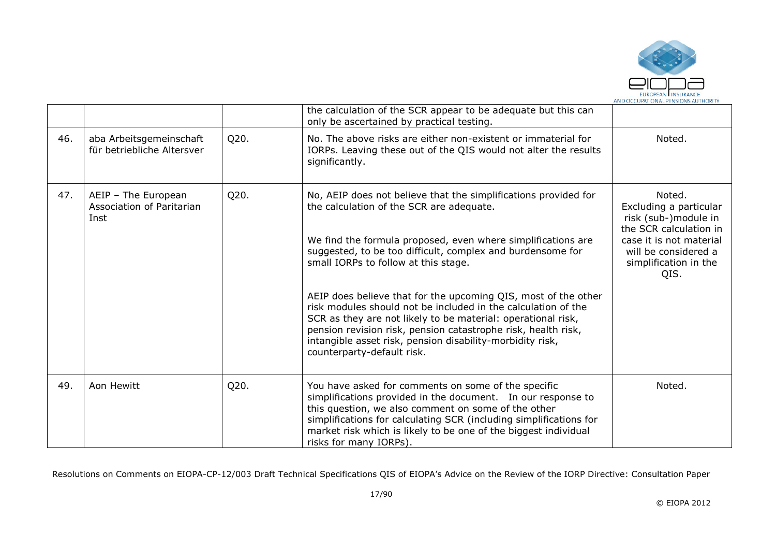

|     |                                                          |      | the calculation of the SCR appear to be adequate but this can<br>only be ascertained by practical testing.                                                                                                                                                                                                                                                                                                                                                                                                                                                                                                         |                                                                                                                                                                        |
|-----|----------------------------------------------------------|------|--------------------------------------------------------------------------------------------------------------------------------------------------------------------------------------------------------------------------------------------------------------------------------------------------------------------------------------------------------------------------------------------------------------------------------------------------------------------------------------------------------------------------------------------------------------------------------------------------------------------|------------------------------------------------------------------------------------------------------------------------------------------------------------------------|
| 46. | aba Arbeitsgemeinschaft<br>für betriebliche Altersver    | Q20. | No. The above risks are either non-existent or immaterial for<br>IORPs. Leaving these out of the QIS would not alter the results<br>significantly.                                                                                                                                                                                                                                                                                                                                                                                                                                                                 | Noted.                                                                                                                                                                 |
| 47. | AEIP - The European<br>Association of Paritarian<br>Inst | Q20. | No, AEIP does not believe that the simplifications provided for<br>the calculation of the SCR are adequate.<br>We find the formula proposed, even where simplifications are<br>suggested, to be too difficult, complex and burdensome for<br>small IORPs to follow at this stage.<br>AEIP does believe that for the upcoming QIS, most of the other<br>risk modules should not be included in the calculation of the<br>SCR as they are not likely to be material: operational risk,<br>pension revision risk, pension catastrophe risk, health risk,<br>intangible asset risk, pension disability-morbidity risk, | Noted.<br>Excluding a particular<br>risk (sub-)module in<br>the SCR calculation in<br>case it is not material<br>will be considered a<br>simplification in the<br>QIS. |
|     |                                                          |      | counterparty-default risk.                                                                                                                                                                                                                                                                                                                                                                                                                                                                                                                                                                                         |                                                                                                                                                                        |
| 49. | Aon Hewitt                                               | Q20. | You have asked for comments on some of the specific<br>simplifications provided in the document. In our response to<br>this question, we also comment on some of the other<br>simplifications for calculating SCR (including simplifications for<br>market risk which is likely to be one of the biggest individual<br>risks for many IORPs).                                                                                                                                                                                                                                                                      | Noted.                                                                                                                                                                 |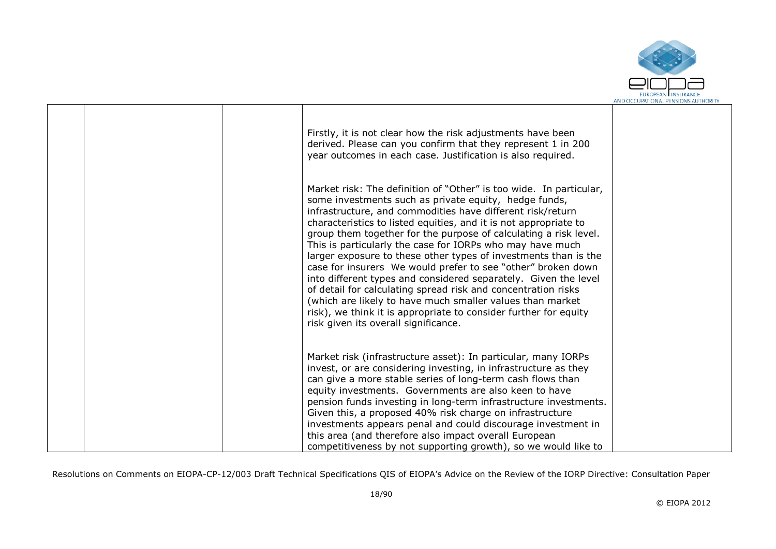

|  | Firstly, it is not clear how the risk adjustments have been<br>derived. Please can you confirm that they represent 1 in 200<br>year outcomes in each case. Justification is also required.                                                                                                                                                                                                                                                                                                                                                                                                                                                                                                                                                                                                                                                     |  |
|--|------------------------------------------------------------------------------------------------------------------------------------------------------------------------------------------------------------------------------------------------------------------------------------------------------------------------------------------------------------------------------------------------------------------------------------------------------------------------------------------------------------------------------------------------------------------------------------------------------------------------------------------------------------------------------------------------------------------------------------------------------------------------------------------------------------------------------------------------|--|
|  | Market risk: The definition of "Other" is too wide. In particular,<br>some investments such as private equity, hedge funds,<br>infrastructure, and commodities have different risk/return<br>characteristics to listed equities, and it is not appropriate to<br>group them together for the purpose of calculating a risk level.<br>This is particularly the case for IORPs who may have much<br>larger exposure to these other types of investments than is the<br>case for insurers We would prefer to see "other" broken down<br>into different types and considered separately. Given the level<br>of detail for calculating spread risk and concentration risks<br>(which are likely to have much smaller values than market<br>risk), we think it is appropriate to consider further for equity<br>risk given its overall significance. |  |
|  | Market risk (infrastructure asset): In particular, many IORPs<br>invest, or are considering investing, in infrastructure as they<br>can give a more stable series of long-term cash flows than<br>equity investments. Governments are also keen to have<br>pension funds investing in long-term infrastructure investments.<br>Given this, a proposed 40% risk charge on infrastructure<br>investments appears penal and could discourage investment in<br>this area (and therefore also impact overall European<br>competitiveness by not supporting growth), so we would like to                                                                                                                                                                                                                                                             |  |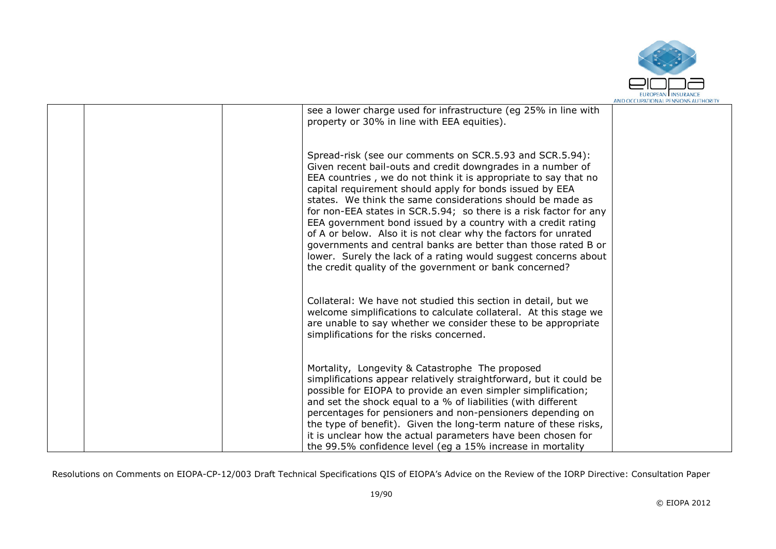

|  | see a lower charge used for infrastructure (eg 25% in line with<br>property or 30% in line with EEA equities).                                                                                                                                                                                                                                                                                                                                                                                                                                                                                                                                                                                                               |  |
|--|------------------------------------------------------------------------------------------------------------------------------------------------------------------------------------------------------------------------------------------------------------------------------------------------------------------------------------------------------------------------------------------------------------------------------------------------------------------------------------------------------------------------------------------------------------------------------------------------------------------------------------------------------------------------------------------------------------------------------|--|
|  | Spread-risk (see our comments on SCR.5.93 and SCR.5.94):<br>Given recent bail-outs and credit downgrades in a number of<br>EEA countries, we do not think it is appropriate to say that no<br>capital requirement should apply for bonds issued by EEA<br>states. We think the same considerations should be made as<br>for non-EEA states in SCR.5.94; so there is a risk factor for any<br>EEA government bond issued by a country with a credit rating<br>of A or below. Also it is not clear why the factors for unrated<br>governments and central banks are better than those rated B or<br>lower. Surely the lack of a rating would suggest concerns about<br>the credit quality of the government or bank concerned? |  |
|  | Collateral: We have not studied this section in detail, but we<br>welcome simplifications to calculate collateral. At this stage we<br>are unable to say whether we consider these to be appropriate<br>simplifications for the risks concerned.                                                                                                                                                                                                                                                                                                                                                                                                                                                                             |  |
|  | Mortality, Longevity & Catastrophe The proposed<br>simplifications appear relatively straightforward, but it could be<br>possible for EIOPA to provide an even simpler simplification;<br>and set the shock equal to a % of liabilities (with different<br>percentages for pensioners and non-pensioners depending on<br>the type of benefit). Given the long-term nature of these risks,<br>it is unclear how the actual parameters have been chosen for<br>the 99.5% confidence level (eq a 15% increase in mortality                                                                                                                                                                                                      |  |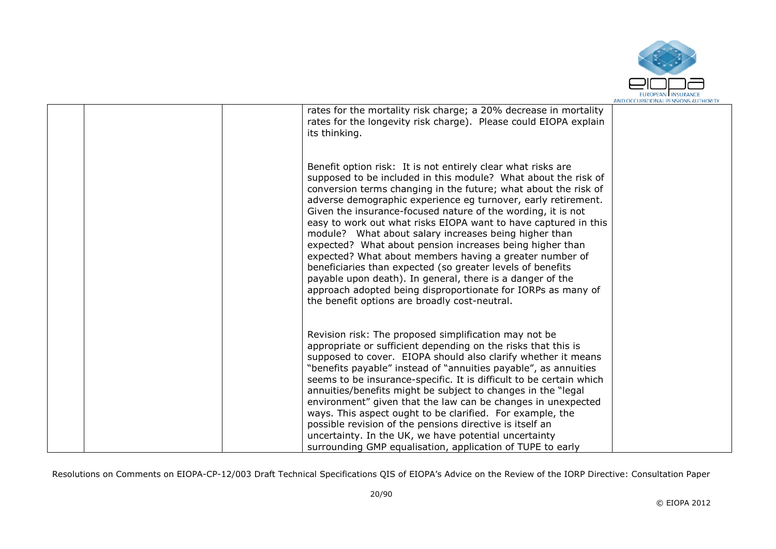

|  | rates for the mortality risk charge; a 20% decrease in mortality<br>rates for the longevity risk charge). Please could EIOPA explain<br>its thinking.                                                                                                                                                                                                                                                                                                                                                                                                                                                                                                                                                                                                                                                                             |  |
|--|-----------------------------------------------------------------------------------------------------------------------------------------------------------------------------------------------------------------------------------------------------------------------------------------------------------------------------------------------------------------------------------------------------------------------------------------------------------------------------------------------------------------------------------------------------------------------------------------------------------------------------------------------------------------------------------------------------------------------------------------------------------------------------------------------------------------------------------|--|
|  | Benefit option risk: It is not entirely clear what risks are<br>supposed to be included in this module? What about the risk of<br>conversion terms changing in the future; what about the risk of<br>adverse demographic experience eg turnover, early retirement.<br>Given the insurance-focused nature of the wording, it is not<br>easy to work out what risks EIOPA want to have captured in this<br>module? What about salary increases being higher than<br>expected? What about pension increases being higher than<br>expected? What about members having a greater number of<br>beneficiaries than expected (so greater levels of benefits<br>payable upon death). In general, there is a danger of the<br>approach adopted being disproportionate for IORPs as many of<br>the benefit options are broadly cost-neutral. |  |
|  | Revision risk: The proposed simplification may not be<br>appropriate or sufficient depending on the risks that this is<br>supposed to cover. EIOPA should also clarify whether it means<br>"benefits payable" instead of "annuities payable", as annuities<br>seems to be insurance-specific. It is difficult to be certain which<br>annuities/benefits might be subject to changes in the "legal<br>environment" given that the law can be changes in unexpected<br>ways. This aspect ought to be clarified. For example, the<br>possible revision of the pensions directive is itself an<br>uncertainty. In the UK, we have potential uncertainty<br>surrounding GMP equalisation, application of TUPE to early                                                                                                                 |  |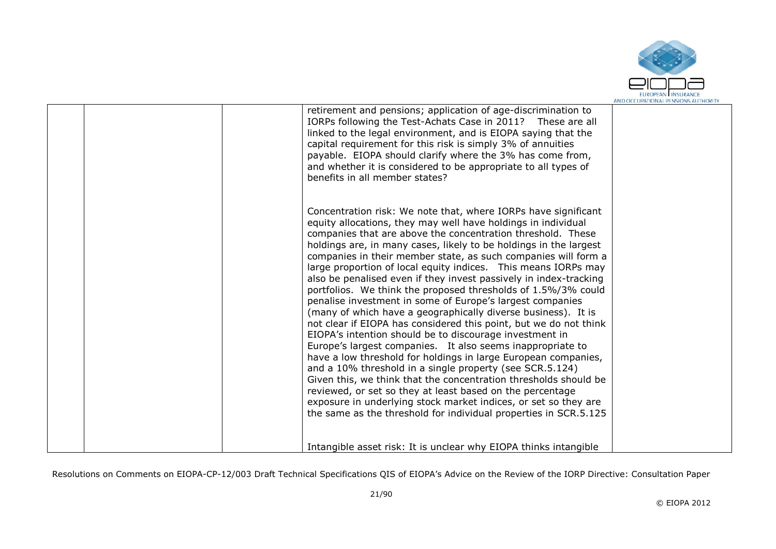

|  | retirement and pensions; application of age-discrimination to<br>IORPs following the Test-Achats Case in 2011? These are all<br>linked to the legal environment, and is EIOPA saying that the<br>capital requirement for this risk is simply 3% of annuities<br>payable. EIOPA should clarify where the 3% has come from,<br>and whether it is considered to be appropriate to all types of<br>benefits in all member states?                                                                                                                                                                                                                                                                                                                                                                                                                                                                                                                                                                                                                                                                                                                                                                                                                                                   |  |
|--|---------------------------------------------------------------------------------------------------------------------------------------------------------------------------------------------------------------------------------------------------------------------------------------------------------------------------------------------------------------------------------------------------------------------------------------------------------------------------------------------------------------------------------------------------------------------------------------------------------------------------------------------------------------------------------------------------------------------------------------------------------------------------------------------------------------------------------------------------------------------------------------------------------------------------------------------------------------------------------------------------------------------------------------------------------------------------------------------------------------------------------------------------------------------------------------------------------------------------------------------------------------------------------|--|
|  | Concentration risk: We note that, where IORPs have significant<br>equity allocations, they may well have holdings in individual<br>companies that are above the concentration threshold. These<br>holdings are, in many cases, likely to be holdings in the largest<br>companies in their member state, as such companies will form a<br>large proportion of local equity indices. This means IORPs may<br>also be penalised even if they invest passively in index-tracking<br>portfolios. We think the proposed thresholds of 1.5%/3% could<br>penalise investment in some of Europe's largest companies<br>(many of which have a geographically diverse business). It is<br>not clear if EIOPA has considered this point, but we do not think<br>EIOPA's intention should be to discourage investment in<br>Europe's largest companies. It also seems inappropriate to<br>have a low threshold for holdings in large European companies,<br>and a 10% threshold in a single property (see SCR.5.124)<br>Given this, we think that the concentration thresholds should be<br>reviewed, or set so they at least based on the percentage<br>exposure in underlying stock market indices, or set so they are<br>the same as the threshold for individual properties in SCR.5.125 |  |
|  | Intangible asset risk: It is unclear why EIOPA thinks intangible                                                                                                                                                                                                                                                                                                                                                                                                                                                                                                                                                                                                                                                                                                                                                                                                                                                                                                                                                                                                                                                                                                                                                                                                                |  |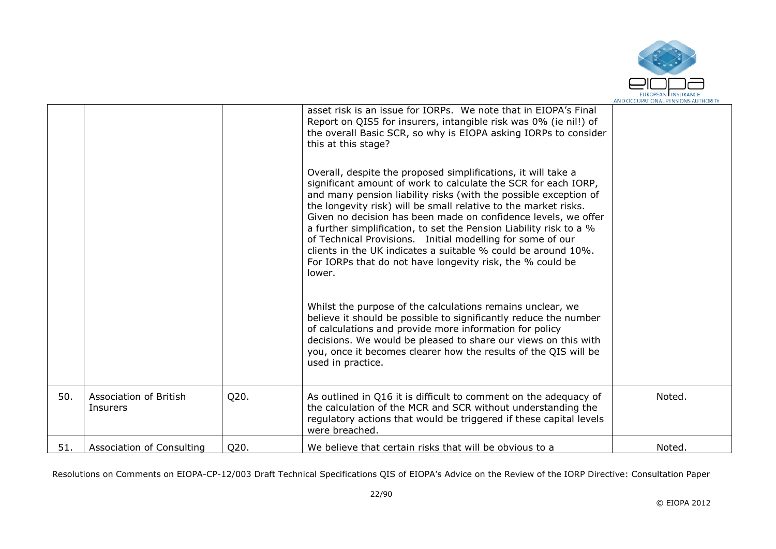

|     |                                    |      | asset risk is an issue for IORPs. We note that in EIOPA's Final<br>Report on QIS5 for insurers, intangible risk was 0% (ie nil!) of<br>the overall Basic SCR, so why is EIOPA asking IORPs to consider<br>this at this stage?<br>Overall, despite the proposed simplifications, it will take a<br>significant amount of work to calculate the SCR for each IORP,<br>and many pension liability risks (with the possible exception of<br>the longevity risk) will be small relative to the market risks.<br>Given no decision has been made on confidence levels, we offer<br>a further simplification, to set the Pension Liability risk to a %<br>of Technical Provisions. Initial modelling for some of our<br>clients in the UK indicates a suitable % could be around 10%.<br>For IORPs that do not have longevity risk, the % could be<br>lower.<br>Whilst the purpose of the calculations remains unclear, we<br>believe it should be possible to significantly reduce the number<br>of calculations and provide more information for policy<br>decisions. We would be pleased to share our views on this with<br>you, once it becomes clearer how the results of the QIS will be<br>used in practice. |        |
|-----|------------------------------------|------|--------------------------------------------------------------------------------------------------------------------------------------------------------------------------------------------------------------------------------------------------------------------------------------------------------------------------------------------------------------------------------------------------------------------------------------------------------------------------------------------------------------------------------------------------------------------------------------------------------------------------------------------------------------------------------------------------------------------------------------------------------------------------------------------------------------------------------------------------------------------------------------------------------------------------------------------------------------------------------------------------------------------------------------------------------------------------------------------------------------------------------------------------------------------------------------------------------------|--------|
| 50. | Association of British<br>Insurers | Q20. | As outlined in Q16 it is difficult to comment on the adequacy of<br>the calculation of the MCR and SCR without understanding the<br>regulatory actions that would be triggered if these capital levels<br>were breached.                                                                                                                                                                                                                                                                                                                                                                                                                                                                                                                                                                                                                                                                                                                                                                                                                                                                                                                                                                                     | Noted. |
| 51. | Association of Consulting          | Q20. | We believe that certain risks that will be obvious to a                                                                                                                                                                                                                                                                                                                                                                                                                                                                                                                                                                                                                                                                                                                                                                                                                                                                                                                                                                                                                                                                                                                                                      | Noted. |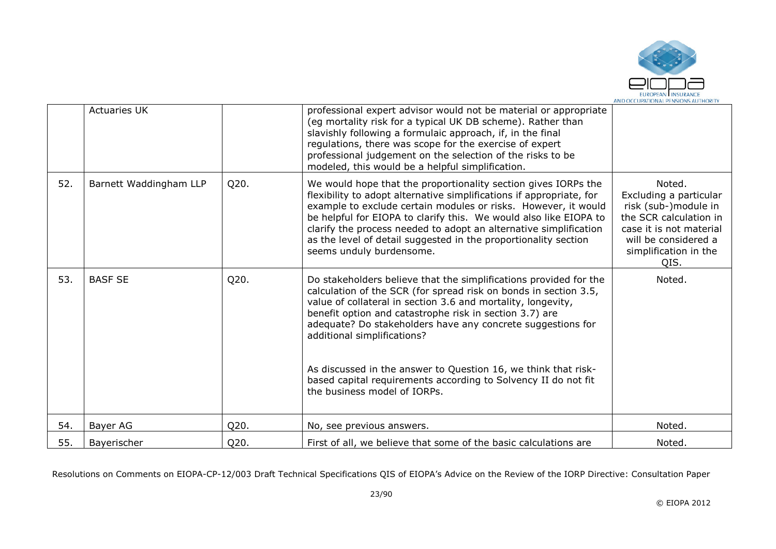

|     | <b>Actuaries UK</b>    |      | professional expert advisor would not be material or appropriate<br>(eg mortality risk for a typical UK DB scheme). Rather than<br>slavishly following a formulaic approach, if, in the final<br>regulations, there was scope for the exercise of expert<br>professional judgement on the selection of the risks to be<br>modeled, this would be a helpful simplification.                                                                                                                                                         |                                                                                                                                                                        |
|-----|------------------------|------|------------------------------------------------------------------------------------------------------------------------------------------------------------------------------------------------------------------------------------------------------------------------------------------------------------------------------------------------------------------------------------------------------------------------------------------------------------------------------------------------------------------------------------|------------------------------------------------------------------------------------------------------------------------------------------------------------------------|
| 52. | Barnett Waddingham LLP | Q20. | We would hope that the proportionality section gives IORPs the<br>flexibility to adopt alternative simplifications if appropriate, for<br>example to exclude certain modules or risks. However, it would<br>be helpful for EIOPA to clarify this. We would also like EIOPA to<br>clarify the process needed to adopt an alternative simplification<br>as the level of detail suggested in the proportionality section<br>seems unduly burdensome.                                                                                  | Noted.<br>Excluding a particular<br>risk (sub-)module in<br>the SCR calculation in<br>case it is not material<br>will be considered a<br>simplification in the<br>QIS. |
| 53. | <b>BASF SE</b>         | Q20. | Do stakeholders believe that the simplifications provided for the<br>calculation of the SCR (for spread risk on bonds in section 3.5,<br>value of collateral in section 3.6 and mortality, longevity,<br>benefit option and catastrophe risk in section 3.7) are<br>adequate? Do stakeholders have any concrete suggestions for<br>additional simplifications?<br>As discussed in the answer to Question 16, we think that risk-<br>based capital requirements according to Solvency II do not fit<br>the business model of IORPs. | Noted.                                                                                                                                                                 |
| 54. | Bayer AG               | Q20. | No, see previous answers.                                                                                                                                                                                                                                                                                                                                                                                                                                                                                                          | Noted.                                                                                                                                                                 |
| 55. | Bayerischer            | Q20. | First of all, we believe that some of the basic calculations are                                                                                                                                                                                                                                                                                                                                                                                                                                                                   | Noted.                                                                                                                                                                 |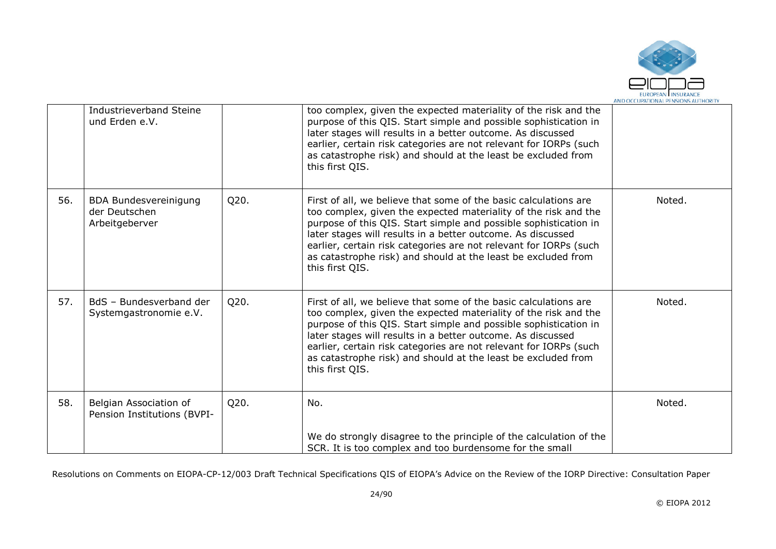

|     | Industrieverband Steine<br>und Erden e.V.                       |      | too complex, given the expected materiality of the risk and the<br>purpose of this QIS. Start simple and possible sophistication in<br>later stages will results in a better outcome. As discussed<br>earlier, certain risk categories are not relevant for IORPs (such<br>as catastrophe risk) and should at the least be excluded from<br>this first QIS.                                                                     |        |
|-----|-----------------------------------------------------------------|------|---------------------------------------------------------------------------------------------------------------------------------------------------------------------------------------------------------------------------------------------------------------------------------------------------------------------------------------------------------------------------------------------------------------------------------|--------|
| 56. | <b>BDA Bundesvereinigung</b><br>der Deutschen<br>Arbeitgeberver | Q20. | First of all, we believe that some of the basic calculations are<br>too complex, given the expected materiality of the risk and the<br>purpose of this QIS. Start simple and possible sophistication in<br>later stages will results in a better outcome. As discussed<br>earlier, certain risk categories are not relevant for IORPs (such<br>as catastrophe risk) and should at the least be excluded from<br>this first QIS. | Noted. |
| 57. | BdS - Bundesverband der<br>Systemgastronomie e.V.               | Q20. | First of all, we believe that some of the basic calculations are<br>too complex, given the expected materiality of the risk and the<br>purpose of this QIS. Start simple and possible sophistication in<br>later stages will results in a better outcome. As discussed<br>earlier, certain risk categories are not relevant for IORPs (such<br>as catastrophe risk) and should at the least be excluded from<br>this first QIS. | Noted. |
| 58. | Belgian Association of<br>Pension Institutions (BVPI-           | Q20. | No.<br>We do strongly disagree to the principle of the calculation of the<br>SCR. It is too complex and too burdensome for the small                                                                                                                                                                                                                                                                                            | Noted. |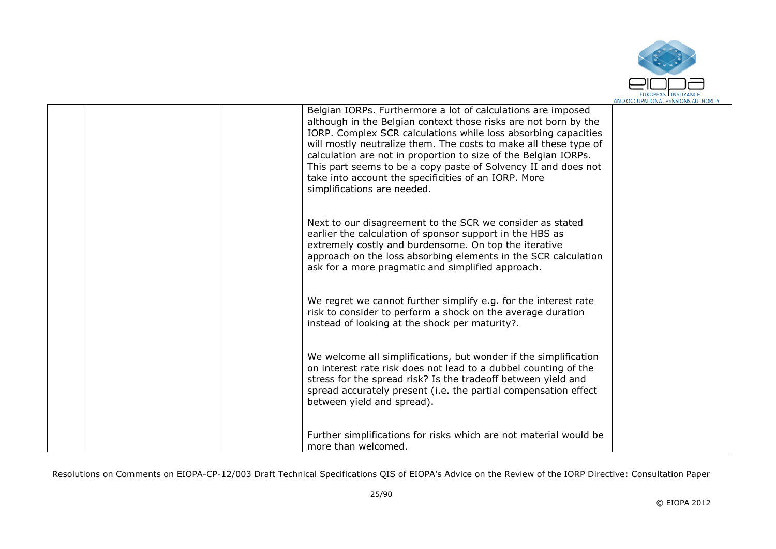

|  | Belgian IORPs. Furthermore a lot of calculations are imposed<br>although in the Belgian context those risks are not born by the<br>IORP. Complex SCR calculations while loss absorbing capacities<br>will mostly neutralize them. The costs to make all these type of<br>calculation are not in proportion to size of the Belgian IORPs.<br>This part seems to be a copy paste of Solvency II and does not<br>take into account the specificities of an IORP. More<br>simplifications are needed. |  |
|--|---------------------------------------------------------------------------------------------------------------------------------------------------------------------------------------------------------------------------------------------------------------------------------------------------------------------------------------------------------------------------------------------------------------------------------------------------------------------------------------------------|--|
|  | Next to our disagreement to the SCR we consider as stated<br>earlier the calculation of sponsor support in the HBS as<br>extremely costly and burdensome. On top the iterative<br>approach on the loss absorbing elements in the SCR calculation<br>ask for a more pragmatic and simplified approach.                                                                                                                                                                                             |  |
|  | We regret we cannot further simplify e.g. for the interest rate<br>risk to consider to perform a shock on the average duration<br>instead of looking at the shock per maturity?.                                                                                                                                                                                                                                                                                                                  |  |
|  | We welcome all simplifications, but wonder if the simplification<br>on interest rate risk does not lead to a dubbel counting of the<br>stress for the spread risk? Is the tradeoff between yield and<br>spread accurately present (i.e. the partial compensation effect<br>between yield and spread).                                                                                                                                                                                             |  |
|  | Further simplifications for risks which are not material would be<br>more than welcomed.                                                                                                                                                                                                                                                                                                                                                                                                          |  |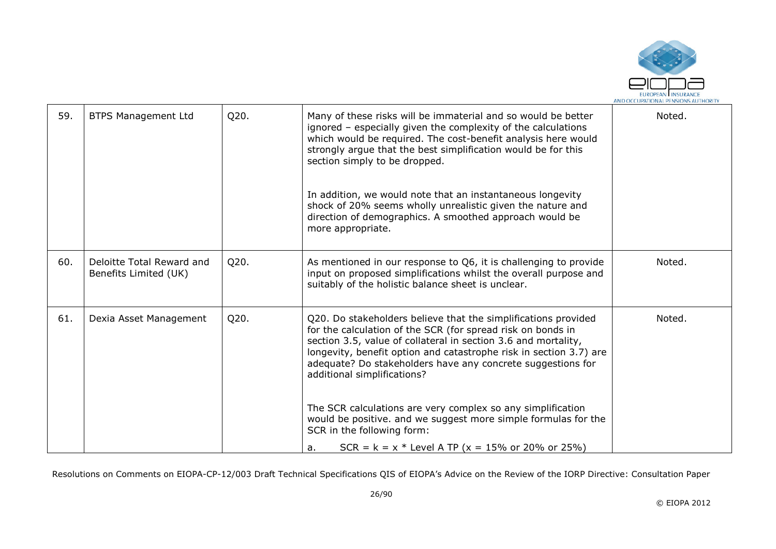

| 59. | <b>BTPS Management Ltd</b>                         | Q20. | Many of these risks will be immaterial and so would be better<br>ignored - especially given the complexity of the calculations<br>which would be required. The cost-benefit analysis here would<br>strongly argue that the best simplification would be for this<br>section simply to be dropped.<br>In addition, we would note that an instantaneous longevity<br>shock of 20% seems wholly unrealistic given the nature and<br>direction of demographics. A smoothed approach would be<br>more appropriate.                      | Noted. |
|-----|----------------------------------------------------|------|------------------------------------------------------------------------------------------------------------------------------------------------------------------------------------------------------------------------------------------------------------------------------------------------------------------------------------------------------------------------------------------------------------------------------------------------------------------------------------------------------------------------------------|--------|
| 60. | Deloitte Total Reward and<br>Benefits Limited (UK) | Q20. | As mentioned in our response to Q6, it is challenging to provide<br>input on proposed simplifications whilst the overall purpose and<br>suitably of the holistic balance sheet is unclear.                                                                                                                                                                                                                                                                                                                                         | Noted. |
| 61. | Dexia Asset Management                             | Q20. | Q20. Do stakeholders believe that the simplifications provided<br>for the calculation of the SCR (for spread risk on bonds in<br>section 3.5, value of collateral in section 3.6 and mortality,<br>longevity, benefit option and catastrophe risk in section 3.7) are<br>adequate? Do stakeholders have any concrete suggestions for<br>additional simplifications?<br>The SCR calculations are very complex so any simplification<br>would be positive. and we suggest more simple formulas for the<br>SCR in the following form: | Noted. |
|     |                                                    |      | $SCR = k = x * Level A TP (x = 15% or 20% or 25%)$<br>a.                                                                                                                                                                                                                                                                                                                                                                                                                                                                           |        |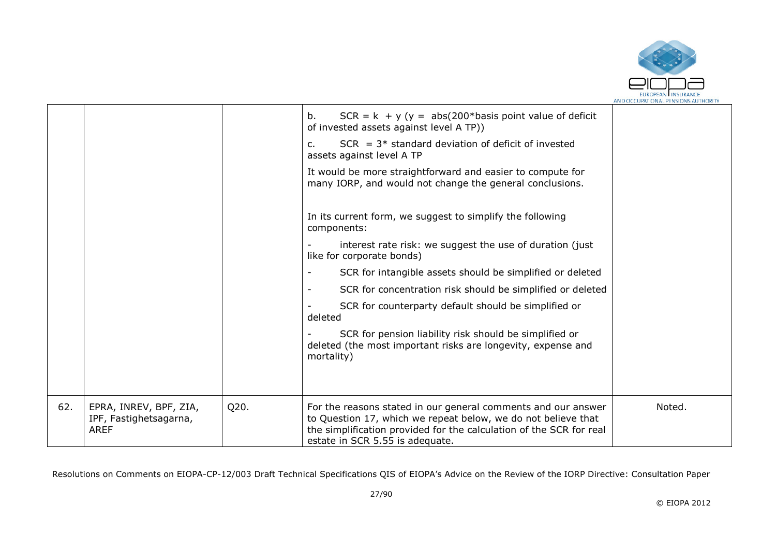

|     |                                                                 |      | $SCR = k + y (y = abs(200 * basis point value of.$<br>b.<br>of invested assets against level A TP))                                                                                                                                      |        |
|-----|-----------------------------------------------------------------|------|------------------------------------------------------------------------------------------------------------------------------------------------------------------------------------------------------------------------------------------|--------|
|     |                                                                 |      | $SCR = 3*$ standard deviation of deficit of invested<br>c.<br>assets against level A TP                                                                                                                                                  |        |
|     |                                                                 |      | It would be more straightforward and easier to compute for<br>many IORP, and would not change the general conclusions.                                                                                                                   |        |
|     |                                                                 |      | In its current form, we suggest to simplify the following<br>components:                                                                                                                                                                 |        |
|     |                                                                 |      | interest rate risk: we suggest the use of duration (just<br>like for corporate bonds)                                                                                                                                                    |        |
|     |                                                                 |      | SCR for intangible assets should be simplified or deleted                                                                                                                                                                                |        |
|     |                                                                 |      | SCR for concentration risk should be simplified or deleted                                                                                                                                                                               |        |
|     |                                                                 |      | SCR for counterparty default should be simplified or<br>deleted                                                                                                                                                                          |        |
|     |                                                                 |      | SCR for pension liability risk should be simplified or<br>deleted (the most important risks are longevity, expense and<br>mortality)                                                                                                     |        |
|     |                                                                 |      |                                                                                                                                                                                                                                          |        |
| 62. | EPRA, INREV, BPF, ZIA,<br>IPF, Fastighetsagarna,<br><b>AREF</b> | Q20. | For the reasons stated in our general comments and our answer<br>to Question 17, which we repeat below, we do not believe that<br>the simplification provided for the calculation of the SCR for real<br>estate in SCR 5.55 is adequate. | Noted. |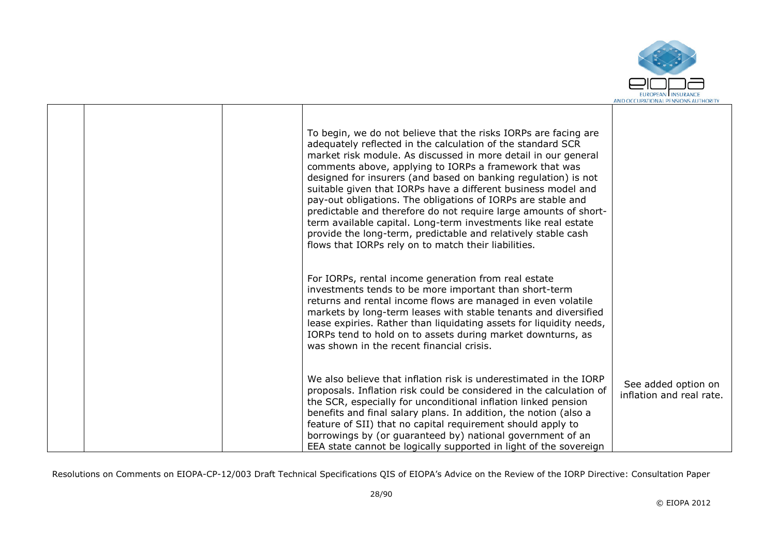

|  | To begin, we do not believe that the risks IORPs are facing are<br>adequately reflected in the calculation of the standard SCR<br>market risk module. As discussed in more detail in our general<br>comments above, applying to IORPs a framework that was<br>designed for insurers (and based on banking regulation) is not<br>suitable given that IORPs have a different business model and<br>pay-out obligations. The obligations of IORPs are stable and<br>predictable and therefore do not require large amounts of short-<br>term available capital. Long-term investments like real estate<br>provide the long-term, predictable and relatively stable cash<br>flows that IORPs rely on to match their liabilities. |                                                 |
|--|------------------------------------------------------------------------------------------------------------------------------------------------------------------------------------------------------------------------------------------------------------------------------------------------------------------------------------------------------------------------------------------------------------------------------------------------------------------------------------------------------------------------------------------------------------------------------------------------------------------------------------------------------------------------------------------------------------------------------|-------------------------------------------------|
|  | For IORPs, rental income generation from real estate<br>investments tends to be more important than short-term<br>returns and rental income flows are managed in even volatile<br>markets by long-term leases with stable tenants and diversified<br>lease expiries. Rather than liquidating assets for liquidity needs,<br>IORPs tend to hold on to assets during market downturns, as<br>was shown in the recent financial crisis.                                                                                                                                                                                                                                                                                         |                                                 |
|  | We also believe that inflation risk is underestimated in the IORP<br>proposals. Inflation risk could be considered in the calculation of<br>the SCR, especially for unconditional inflation linked pension<br>benefits and final salary plans. In addition, the notion (also a<br>feature of SII) that no capital requirement should apply to<br>borrowings by (or guaranteed by) national government of an<br>EEA state cannot be logically supported in light of the sovereign                                                                                                                                                                                                                                             | See added option on<br>inflation and real rate. |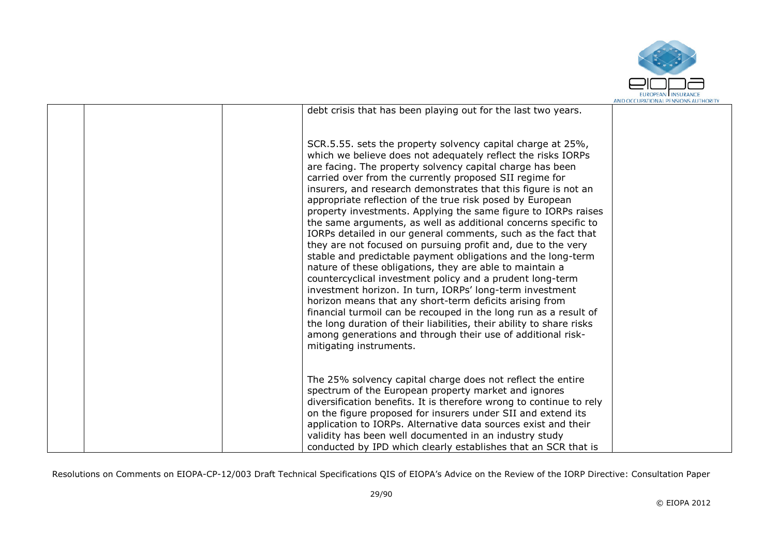

|  | debt crisis that has been playing out for the last two years.                                                                                                                                                                                                                                                                                                                                                                                                                                                                                                                                                                                                                                                                                                                                                                                                                                                                                                                                                                                                                                                                                                                                                 |  |
|--|---------------------------------------------------------------------------------------------------------------------------------------------------------------------------------------------------------------------------------------------------------------------------------------------------------------------------------------------------------------------------------------------------------------------------------------------------------------------------------------------------------------------------------------------------------------------------------------------------------------------------------------------------------------------------------------------------------------------------------------------------------------------------------------------------------------------------------------------------------------------------------------------------------------------------------------------------------------------------------------------------------------------------------------------------------------------------------------------------------------------------------------------------------------------------------------------------------------|--|
|  | SCR.5.55. sets the property solvency capital charge at 25%,<br>which we believe does not adequately reflect the risks IORPs<br>are facing. The property solvency capital charge has been<br>carried over from the currently proposed SII regime for<br>insurers, and research demonstrates that this figure is not an<br>appropriate reflection of the true risk posed by European<br>property investments. Applying the same figure to IORPs raises<br>the same arguments, as well as additional concerns specific to<br>IORPs detailed in our general comments, such as the fact that<br>they are not focused on pursuing profit and, due to the very<br>stable and predictable payment obligations and the long-term<br>nature of these obligations, they are able to maintain a<br>countercyclical investment policy and a prudent long-term<br>investment horizon. In turn, IORPs' long-term investment<br>horizon means that any short-term deficits arising from<br>financial turmoil can be recouped in the long run as a result of<br>the long duration of their liabilities, their ability to share risks<br>among generations and through their use of additional risk-<br>mitigating instruments. |  |
|  | The 25% solvency capital charge does not reflect the entire<br>spectrum of the European property market and ignores<br>diversification benefits. It is therefore wrong to continue to rely<br>on the figure proposed for insurers under SII and extend its<br>application to IORPs. Alternative data sources exist and their<br>validity has been well documented in an industry study<br>conducted by IPD which clearly establishes that an SCR that is                                                                                                                                                                                                                                                                                                                                                                                                                                                                                                                                                                                                                                                                                                                                                      |  |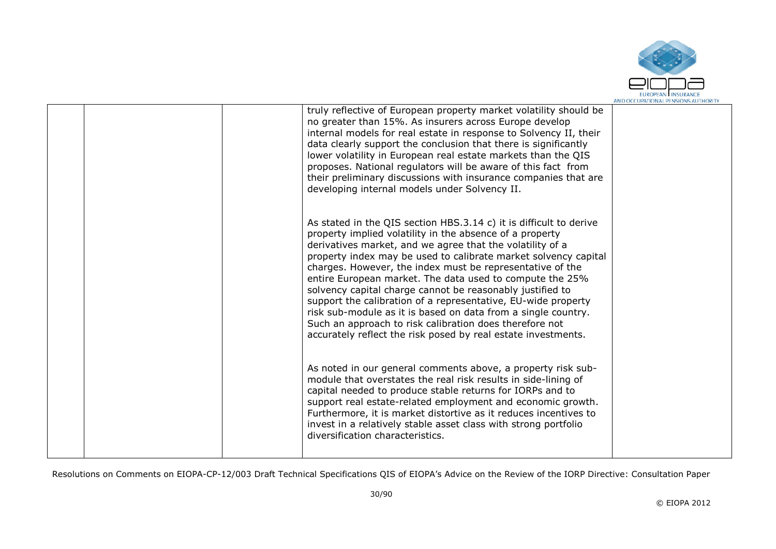

|  | truly reflective of European property market volatility should be<br>no greater than 15%. As insurers across Europe develop<br>internal models for real estate in response to Solvency II, their<br>data clearly support the conclusion that there is significantly<br>lower volatility in European real estate markets than the QIS<br>proposes. National regulators will be aware of this fact from<br>their preliminary discussions with insurance companies that are<br>developing internal models under Solvency II.                                                                                                                                                                                          |  |
|--|--------------------------------------------------------------------------------------------------------------------------------------------------------------------------------------------------------------------------------------------------------------------------------------------------------------------------------------------------------------------------------------------------------------------------------------------------------------------------------------------------------------------------------------------------------------------------------------------------------------------------------------------------------------------------------------------------------------------|--|
|  | As stated in the QIS section HBS.3.14 c) it is difficult to derive<br>property implied volatility in the absence of a property<br>derivatives market, and we agree that the volatility of a<br>property index may be used to calibrate market solvency capital<br>charges. However, the index must be representative of the<br>entire European market. The data used to compute the 25%<br>solvency capital charge cannot be reasonably justified to<br>support the calibration of a representative, EU-wide property<br>risk sub-module as it is based on data from a single country.<br>Such an approach to risk calibration does therefore not<br>accurately reflect the risk posed by real estate investments. |  |
|  | As noted in our general comments above, a property risk sub-<br>module that overstates the real risk results in side-lining of<br>capital needed to produce stable returns for IORPs and to<br>support real estate-related employment and economic growth.<br>Furthermore, it is market distortive as it reduces incentives to<br>invest in a relatively stable asset class with strong portfolio<br>diversification characteristics.                                                                                                                                                                                                                                                                              |  |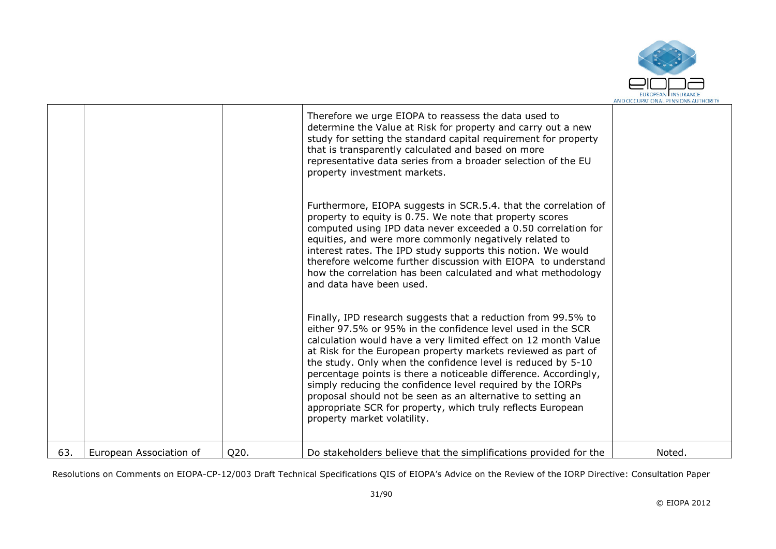

|     |                         |      | Therefore we urge EIOPA to reassess the data used to<br>determine the Value at Risk for property and carry out a new<br>study for setting the standard capital requirement for property<br>that is transparently calculated and based on more<br>representative data series from a broader selection of the EU<br>property investment markets.                                                                                                                                                                                                                                                                                 |        |
|-----|-------------------------|------|--------------------------------------------------------------------------------------------------------------------------------------------------------------------------------------------------------------------------------------------------------------------------------------------------------------------------------------------------------------------------------------------------------------------------------------------------------------------------------------------------------------------------------------------------------------------------------------------------------------------------------|--------|
|     |                         |      | Furthermore, EIOPA suggests in SCR.5.4. that the correlation of<br>property to equity is 0.75. We note that property scores<br>computed using IPD data never exceeded a 0.50 correlation for<br>equities, and were more commonly negatively related to<br>interest rates. The IPD study supports this notion. We would<br>therefore welcome further discussion with EIOPA to understand<br>how the correlation has been calculated and what methodology<br>and data have been used.                                                                                                                                            |        |
|     |                         |      | Finally, IPD research suggests that a reduction from 99.5% to<br>either 97.5% or 95% in the confidence level used in the SCR<br>calculation would have a very limited effect on 12 month Value<br>at Risk for the European property markets reviewed as part of<br>the study. Only when the confidence level is reduced by 5-10<br>percentage points is there a noticeable difference. Accordingly,<br>simply reducing the confidence level required by the IORPs<br>proposal should not be seen as an alternative to setting an<br>appropriate SCR for property, which truly reflects European<br>property market volatility. |        |
| 63. | European Association of | Q20. | Do stakeholders believe that the simplifications provided for the                                                                                                                                                                                                                                                                                                                                                                                                                                                                                                                                                              | Noted. |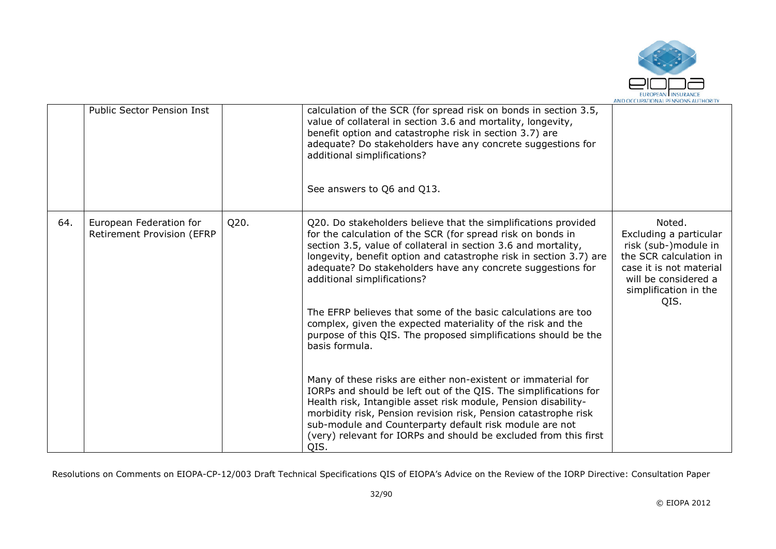

|     | <b>Public Sector Pension Inst</b>                     |      | calculation of the SCR (for spread risk on bonds in section 3.5,<br>value of collateral in section 3.6 and mortality, longevity,<br>benefit option and catastrophe risk in section 3.7) are<br>adequate? Do stakeholders have any concrete suggestions for<br>additional simplifications?<br>See answers to Q6 and Q13.                                                                                                                                                                                                                                                                  |                                                                                                                                                                        |
|-----|-------------------------------------------------------|------|------------------------------------------------------------------------------------------------------------------------------------------------------------------------------------------------------------------------------------------------------------------------------------------------------------------------------------------------------------------------------------------------------------------------------------------------------------------------------------------------------------------------------------------------------------------------------------------|------------------------------------------------------------------------------------------------------------------------------------------------------------------------|
| 64. | European Federation for<br>Retirement Provision (EFRP | Q20. | Q20. Do stakeholders believe that the simplifications provided<br>for the calculation of the SCR (for spread risk on bonds in<br>section 3.5, value of collateral in section 3.6 and mortality,<br>longevity, benefit option and catastrophe risk in section 3.7) are<br>adequate? Do stakeholders have any concrete suggestions for<br>additional simplifications?<br>The EFRP believes that some of the basic calculations are too<br>complex, given the expected materiality of the risk and the<br>purpose of this QIS. The proposed simplifications should be the<br>basis formula. | Noted.<br>Excluding a particular<br>risk (sub-)module in<br>the SCR calculation in<br>case it is not material<br>will be considered a<br>simplification in the<br>QIS. |
|     |                                                       |      | Many of these risks are either non-existent or immaterial for<br>IORPs and should be left out of the QIS. The simplifications for<br>Health risk, Intangible asset risk module, Pension disability-<br>morbidity risk, Pension revision risk, Pension catastrophe risk<br>sub-module and Counterparty default risk module are not<br>(very) relevant for IORPs and should be excluded from this first<br>QIS.                                                                                                                                                                            |                                                                                                                                                                        |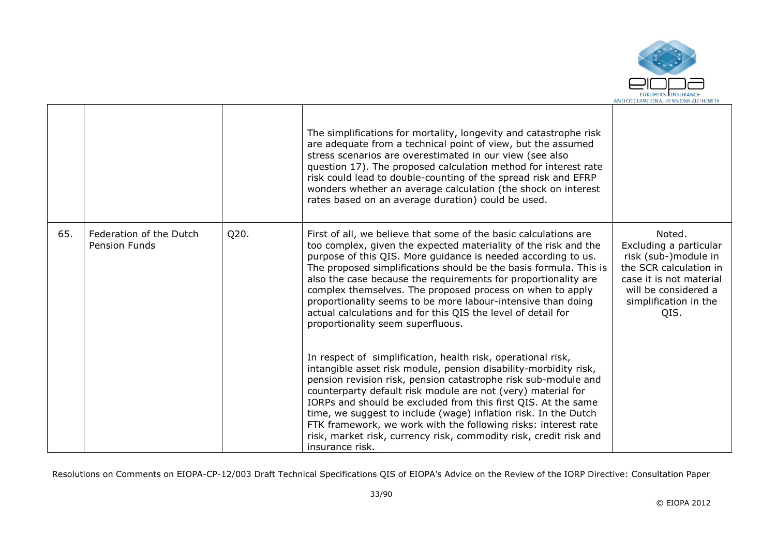

|     |                                                 |      | The simplifications for mortality, longevity and catastrophe risk<br>are adequate from a technical point of view, but the assumed<br>stress scenarios are overestimated in our view (see also<br>question 17). The proposed calculation method for interest rate<br>risk could lead to double-counting of the spread risk and EFRP<br>wonders whether an average calculation (the shock on interest<br>rates based on an average duration) could be used.                                                                                                                     |                                                                                                                                                                        |
|-----|-------------------------------------------------|------|-------------------------------------------------------------------------------------------------------------------------------------------------------------------------------------------------------------------------------------------------------------------------------------------------------------------------------------------------------------------------------------------------------------------------------------------------------------------------------------------------------------------------------------------------------------------------------|------------------------------------------------------------------------------------------------------------------------------------------------------------------------|
| 65. | Federation of the Dutch<br><b>Pension Funds</b> | Q20. | First of all, we believe that some of the basic calculations are<br>too complex, given the expected materiality of the risk and the<br>purpose of this QIS. More quidance is needed according to us.<br>The proposed simplifications should be the basis formula. This is<br>also the case because the requirements for proportionality are<br>complex themselves. The proposed process on when to apply<br>proportionality seems to be more labour-intensive than doing<br>actual calculations and for this QIS the level of detail for<br>proportionality seem superfluous. | Noted.<br>Excluding a particular<br>risk (sub-)module in<br>the SCR calculation in<br>case it is not material<br>will be considered a<br>simplification in the<br>QIS. |
|     |                                                 |      | In respect of simplification, health risk, operational risk,<br>intangible asset risk module, pension disability-morbidity risk,<br>pension revision risk, pension catastrophe risk sub-module and<br>counterparty default risk module are not (very) material for<br>IORPs and should be excluded from this first QIS. At the same<br>time, we suggest to include (wage) inflation risk. In the Dutch<br>FTK framework, we work with the following risks: interest rate<br>risk, market risk, currency risk, commodity risk, credit risk and<br>insurance risk.              |                                                                                                                                                                        |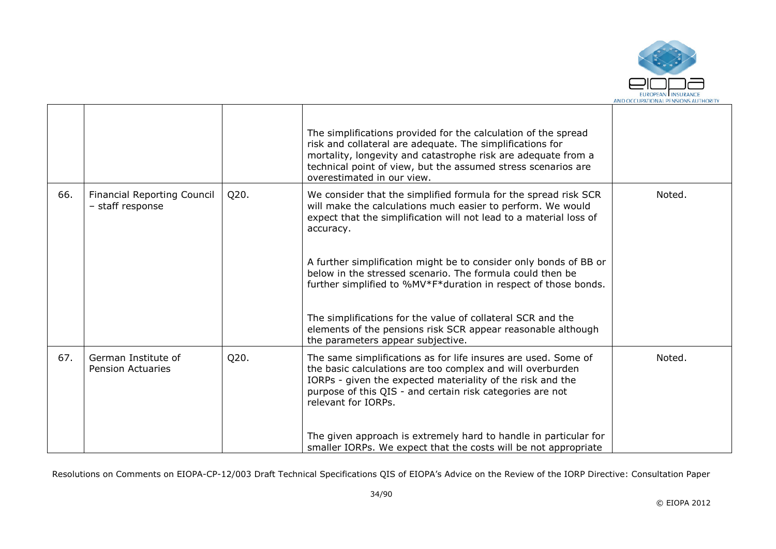

|     |                                                        |      | The simplifications provided for the calculation of the spread<br>risk and collateral are adequate. The simplifications for<br>mortality, longevity and catastrophe risk are adequate from a<br>technical point of view, but the assumed stress scenarios are<br>overestimated in our view. |        |
|-----|--------------------------------------------------------|------|---------------------------------------------------------------------------------------------------------------------------------------------------------------------------------------------------------------------------------------------------------------------------------------------|--------|
| 66. | <b>Financial Reporting Council</b><br>- staff response | Q20. | We consider that the simplified formula for the spread risk SCR<br>will make the calculations much easier to perform. We would<br>expect that the simplification will not lead to a material loss of<br>accuracy.                                                                           | Noted. |
|     |                                                        |      | A further simplification might be to consider only bonds of BB or<br>below in the stressed scenario. The formula could then be<br>further simplified to %MV*F*duration in respect of those bonds.                                                                                           |        |
|     |                                                        |      | The simplifications for the value of collateral SCR and the<br>elements of the pensions risk SCR appear reasonable although<br>the parameters appear subjective.                                                                                                                            |        |
| 67. | German Institute of<br><b>Pension Actuaries</b>        | Q20. | The same simplifications as for life insures are used. Some of<br>the basic calculations are too complex and will overburden<br>IORPs - given the expected materiality of the risk and the<br>purpose of this QIS - and certain risk categories are not<br>relevant for IORPs.              | Noted. |
|     |                                                        |      | The given approach is extremely hard to handle in particular for<br>smaller IORPs. We expect that the costs will be not appropriate                                                                                                                                                         |        |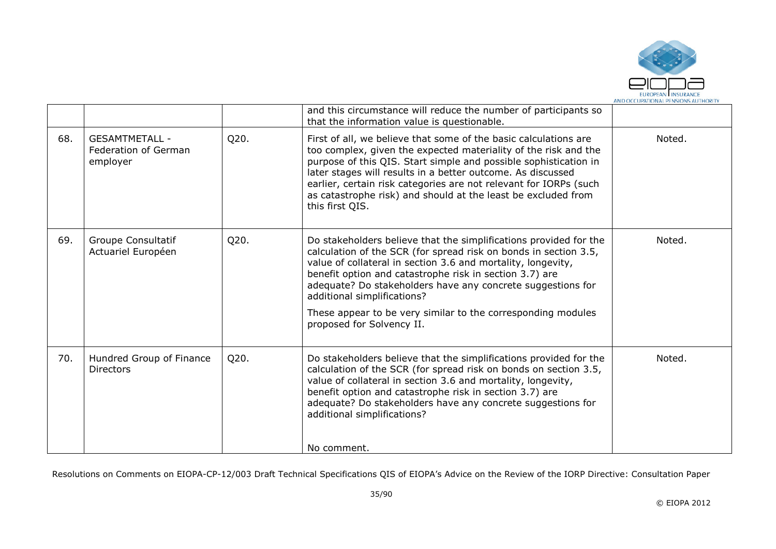

|     |                                                           |      | and this circumstance will reduce the number of participants so<br>that the information value is questionable.                                                                                                                                                                                                                                                                                                                                              |        |
|-----|-----------------------------------------------------------|------|-------------------------------------------------------------------------------------------------------------------------------------------------------------------------------------------------------------------------------------------------------------------------------------------------------------------------------------------------------------------------------------------------------------------------------------------------------------|--------|
| 68. | <b>GESAMTMETALL -</b><br>Federation of German<br>employer | Q20. | First of all, we believe that some of the basic calculations are<br>too complex, given the expected materiality of the risk and the<br>purpose of this QIS. Start simple and possible sophistication in<br>later stages will results in a better outcome. As discussed<br>earlier, certain risk categories are not relevant for IORPs (such<br>as catastrophe risk) and should at the least be excluded from<br>this first QIS.                             | Noted. |
| 69. | Groupe Consultatif<br>Actuariel Européen                  | Q20. | Do stakeholders believe that the simplifications provided for the<br>calculation of the SCR (for spread risk on bonds in section 3.5,<br>value of collateral in section 3.6 and mortality, longevity,<br>benefit option and catastrophe risk in section 3.7) are<br>adequate? Do stakeholders have any concrete suggestions for<br>additional simplifications?<br>These appear to be very similar to the corresponding modules<br>proposed for Solvency II. | Noted. |
| 70. | Hundred Group of Finance<br><b>Directors</b>              | Q20. | Do stakeholders believe that the simplifications provided for the<br>calculation of the SCR (for spread risk on bonds on section 3.5,<br>value of collateral in section 3.6 and mortality, longevity,<br>benefit option and catastrophe risk in section 3.7) are<br>adequate? Do stakeholders have any concrete suggestions for<br>additional simplifications?<br>No comment.                                                                               | Noted. |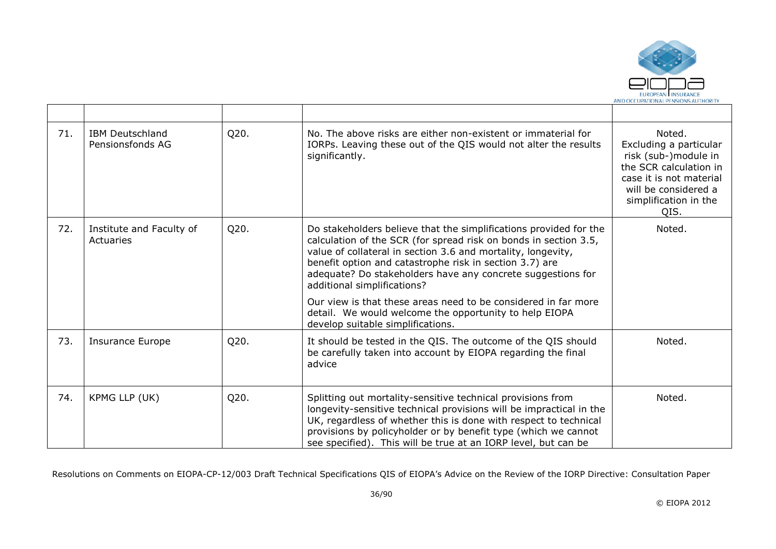

| 71. | <b>IBM Deutschland</b><br>Pensionsfonds AG | Q20. | No. The above risks are either non-existent or immaterial for<br>IORPs. Leaving these out of the QIS would not alter the results<br>significantly.                                                                                                                                                                                                                                                                                                                                                                              | Noted.<br>Excluding a particular<br>risk (sub-)module in<br>the SCR calculation in<br>case it is not material<br>will be considered a<br>simplification in the<br>QIS. |
|-----|--------------------------------------------|------|---------------------------------------------------------------------------------------------------------------------------------------------------------------------------------------------------------------------------------------------------------------------------------------------------------------------------------------------------------------------------------------------------------------------------------------------------------------------------------------------------------------------------------|------------------------------------------------------------------------------------------------------------------------------------------------------------------------|
| 72. | Institute and Faculty of<br>Actuaries      | Q20. | Do stakeholders believe that the simplifications provided for the<br>calculation of the SCR (for spread risk on bonds in section 3.5,<br>value of collateral in section 3.6 and mortality, longevity,<br>benefit option and catastrophe risk in section 3.7) are<br>adequate? Do stakeholders have any concrete suggestions for<br>additional simplifications?<br>Our view is that these areas need to be considered in far more<br>detail. We would welcome the opportunity to help EIOPA<br>develop suitable simplifications. | Noted.                                                                                                                                                                 |
| 73. | <b>Insurance Europe</b>                    | Q20. | It should be tested in the QIS. The outcome of the QIS should<br>be carefully taken into account by EIOPA regarding the final<br>advice                                                                                                                                                                                                                                                                                                                                                                                         | Noted.                                                                                                                                                                 |
| 74. | KPMG LLP (UK)                              | Q20. | Splitting out mortality-sensitive technical provisions from<br>longevity-sensitive technical provisions will be impractical in the<br>UK, regardless of whether this is done with respect to technical<br>provisions by policyholder or by benefit type (which we cannot<br>see specified). This will be true at an IORP level, but can be                                                                                                                                                                                      | Noted.                                                                                                                                                                 |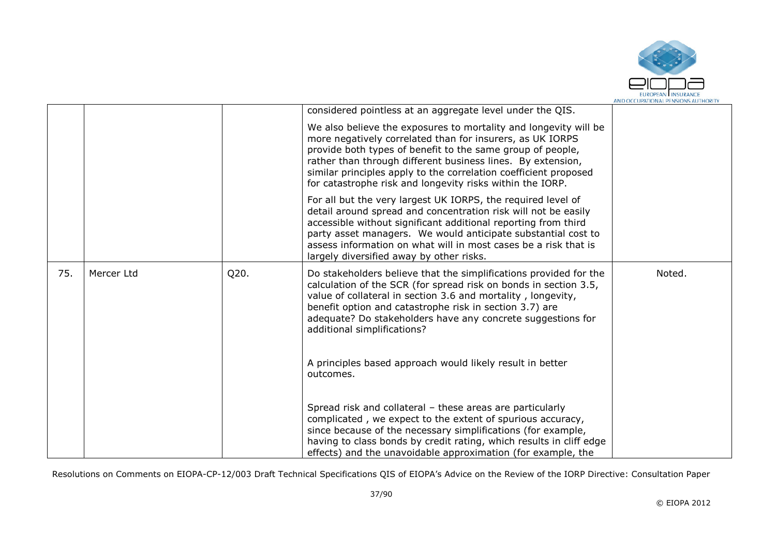

|     |            |      | considered pointless at an aggregate level under the QIS.                                                                                                                                                                                                                                                                                                                                   |        |
|-----|------------|------|---------------------------------------------------------------------------------------------------------------------------------------------------------------------------------------------------------------------------------------------------------------------------------------------------------------------------------------------------------------------------------------------|--------|
|     |            |      | We also believe the exposures to mortality and longevity will be<br>more negatively correlated than for insurers, as UK IORPS<br>provide both types of benefit to the same group of people,<br>rather than through different business lines. By extension,<br>similar principles apply to the correlation coefficient proposed<br>for catastrophe risk and longevity risks within the IORP. |        |
|     |            |      | For all but the very largest UK IORPS, the required level of<br>detail around spread and concentration risk will not be easily<br>accessible without significant additional reporting from third<br>party asset managers. We would anticipate substantial cost to<br>assess information on what will in most cases be a risk that is<br>largely diversified away by other risks.            |        |
| 75. | Mercer Ltd | Q20. | Do stakeholders believe that the simplifications provided for the<br>calculation of the SCR (for spread risk on bonds in section 3.5,<br>value of collateral in section 3.6 and mortality, longevity,<br>benefit option and catastrophe risk in section 3.7) are<br>adequate? Do stakeholders have any concrete suggestions for<br>additional simplifications?                              | Noted. |
|     |            |      | A principles based approach would likely result in better<br>outcomes.                                                                                                                                                                                                                                                                                                                      |        |
|     |            |      | Spread risk and collateral - these areas are particularly<br>complicated, we expect to the extent of spurious accuracy,<br>since because of the necessary simplifications (for example,<br>having to class bonds by credit rating, which results in cliff edge<br>effects) and the unavoidable approximation (for example, the                                                              |        |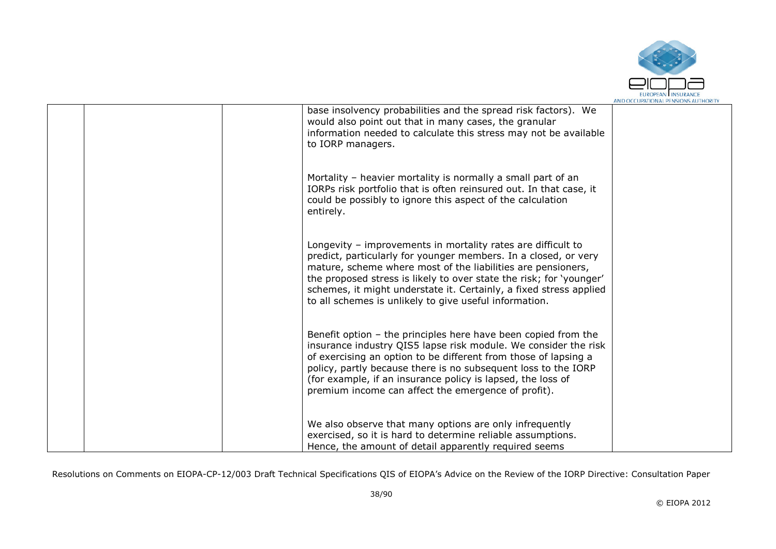

|  | base insolvency probabilities and the spread risk factors). We<br>would also point out that in many cases, the granular<br>information needed to calculate this stress may not be available<br>to IORP managers.                                                                                                                                                                                       |  |
|--|--------------------------------------------------------------------------------------------------------------------------------------------------------------------------------------------------------------------------------------------------------------------------------------------------------------------------------------------------------------------------------------------------------|--|
|  | Mortality - heavier mortality is normally a small part of an<br>IORPs risk portfolio that is often reinsured out. In that case, it<br>could be possibly to ignore this aspect of the calculation<br>entirely.                                                                                                                                                                                          |  |
|  | Longevity - improvements in mortality rates are difficult to<br>predict, particularly for younger members. In a closed, or very<br>mature, scheme where most of the liabilities are pensioners,<br>the proposed stress is likely to over state the risk; for 'younger'<br>schemes, it might understate it. Certainly, a fixed stress applied<br>to all schemes is unlikely to give useful information. |  |
|  | Benefit option - the principles here have been copied from the<br>insurance industry QIS5 lapse risk module. We consider the risk<br>of exercising an option to be different from those of lapsing a<br>policy, partly because there is no subsequent loss to the IORP<br>(for example, if an insurance policy is lapsed, the loss of<br>premium income can affect the emergence of profit).           |  |
|  | We also observe that many options are only infrequently<br>exercised, so it is hard to determine reliable assumptions.<br>Hence, the amount of detail apparently required seems                                                                                                                                                                                                                        |  |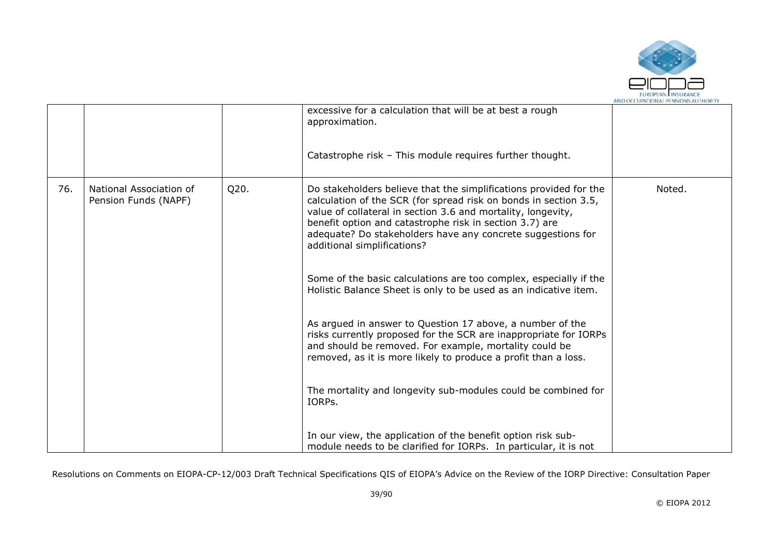

|     |                                                 |      | excessive for a calculation that will be at best a rough<br>approximation.<br>Catastrophe risk - This module requires further thought.                                                                                                                                                                                                                                                                                                                                                                                                                                                                                                                                                                                                                                                                                                          |        |
|-----|-------------------------------------------------|------|-------------------------------------------------------------------------------------------------------------------------------------------------------------------------------------------------------------------------------------------------------------------------------------------------------------------------------------------------------------------------------------------------------------------------------------------------------------------------------------------------------------------------------------------------------------------------------------------------------------------------------------------------------------------------------------------------------------------------------------------------------------------------------------------------------------------------------------------------|--------|
| 76. | National Association of<br>Pension Funds (NAPF) | Q20. | Do stakeholders believe that the simplifications provided for the<br>calculation of the SCR (for spread risk on bonds in section 3.5,<br>value of collateral in section 3.6 and mortality, longevity,<br>benefit option and catastrophe risk in section 3.7) are<br>adequate? Do stakeholders have any concrete suggestions for<br>additional simplifications?<br>Some of the basic calculations are too complex, especially if the<br>Holistic Balance Sheet is only to be used as an indicative item.<br>As argued in answer to Question 17 above, a number of the<br>risks currently proposed for the SCR are inappropriate for IORPs<br>and should be removed. For example, mortality could be<br>removed, as it is more likely to produce a profit than a loss.<br>The mortality and longevity sub-modules could be combined for<br>IORPs. | Noted. |
|     |                                                 |      | In our view, the application of the benefit option risk sub-<br>module needs to be clarified for IORPs. In particular, it is not                                                                                                                                                                                                                                                                                                                                                                                                                                                                                                                                                                                                                                                                                                                |        |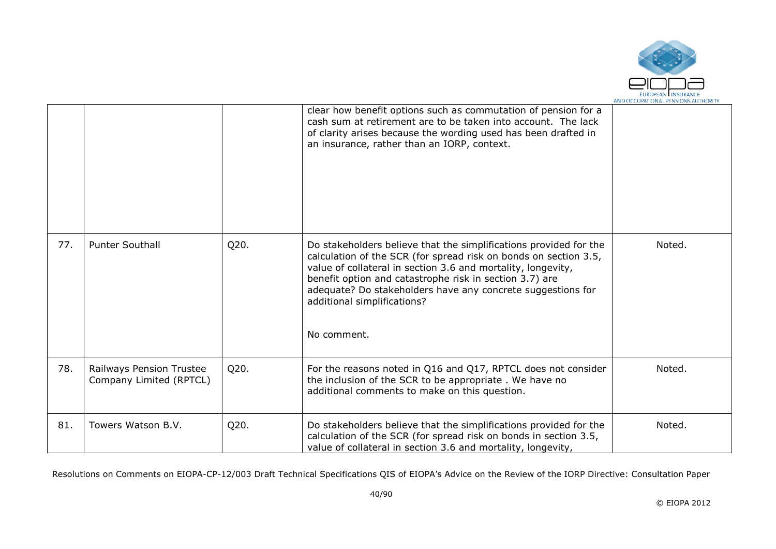

|     |                                                     |      | clear how benefit options such as commutation of pension for a<br>cash sum at retirement are to be taken into account. The lack<br>of clarity arises because the wording used has been drafted in<br>an insurance, rather than an IORP, context.                                                                                                                              |        |
|-----|-----------------------------------------------------|------|-------------------------------------------------------------------------------------------------------------------------------------------------------------------------------------------------------------------------------------------------------------------------------------------------------------------------------------------------------------------------------|--------|
| 77. | <b>Punter Southall</b>                              | Q20. | Do stakeholders believe that the simplifications provided for the<br>calculation of the SCR (for spread risk on bonds on section 3.5,<br>value of collateral in section 3.6 and mortality, longevity,<br>benefit option and catastrophe risk in section 3.7) are<br>adequate? Do stakeholders have any concrete suggestions for<br>additional simplifications?<br>No comment. | Noted. |
| 78. | Railways Pension Trustee<br>Company Limited (RPTCL) | Q20. | For the reasons noted in Q16 and Q17, RPTCL does not consider<br>the inclusion of the SCR to be appropriate. We have no<br>additional comments to make on this question.                                                                                                                                                                                                      | Noted. |
| 81. | Towers Watson B.V.                                  | Q20. | Do stakeholders believe that the simplifications provided for the<br>calculation of the SCR (for spread risk on bonds in section 3.5,<br>value of collateral in section 3.6 and mortality, longevity,                                                                                                                                                                         | Noted. |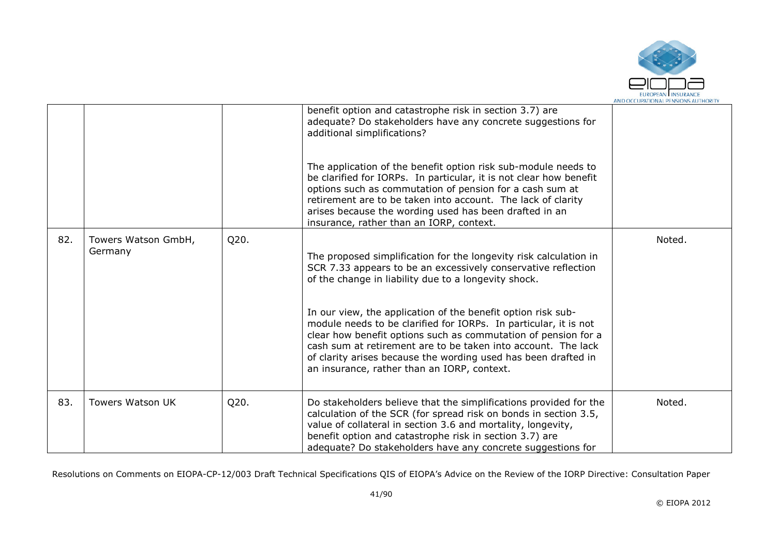

|     |                         |      | benefit option and catastrophe risk in section 3.7) are<br>adequate? Do stakeholders have any concrete suggestions for<br>additional simplifications?                                                                                                                                                                                                                                |        |
|-----|-------------------------|------|--------------------------------------------------------------------------------------------------------------------------------------------------------------------------------------------------------------------------------------------------------------------------------------------------------------------------------------------------------------------------------------|--------|
|     |                         |      | The application of the benefit option risk sub-module needs to<br>be clarified for IORPs. In particular, it is not clear how benefit<br>options such as commutation of pension for a cash sum at<br>retirement are to be taken into account. The lack of clarity<br>arises because the wording used has been drafted in an<br>insurance, rather than an IORP, context.               |        |
| 82. | Towers Watson GmbH,     | Q20. |                                                                                                                                                                                                                                                                                                                                                                                      | Noted. |
|     | Germany                 |      | The proposed simplification for the longevity risk calculation in<br>SCR 7.33 appears to be an excessively conservative reflection<br>of the change in liability due to a longevity shock.                                                                                                                                                                                           |        |
|     |                         |      | In our view, the application of the benefit option risk sub-<br>module needs to be clarified for IORPs. In particular, it is not<br>clear how benefit options such as commutation of pension for a<br>cash sum at retirement are to be taken into account. The lack<br>of clarity arises because the wording used has been drafted in<br>an insurance, rather than an IORP, context. |        |
| 83. | <b>Towers Watson UK</b> | Q20. | Do stakeholders believe that the simplifications provided for the<br>calculation of the SCR (for spread risk on bonds in section 3.5,<br>value of collateral in section 3.6 and mortality, longevity,<br>benefit option and catastrophe risk in section 3.7) are<br>adequate? Do stakeholders have any concrete suggestions for                                                      | Noted. |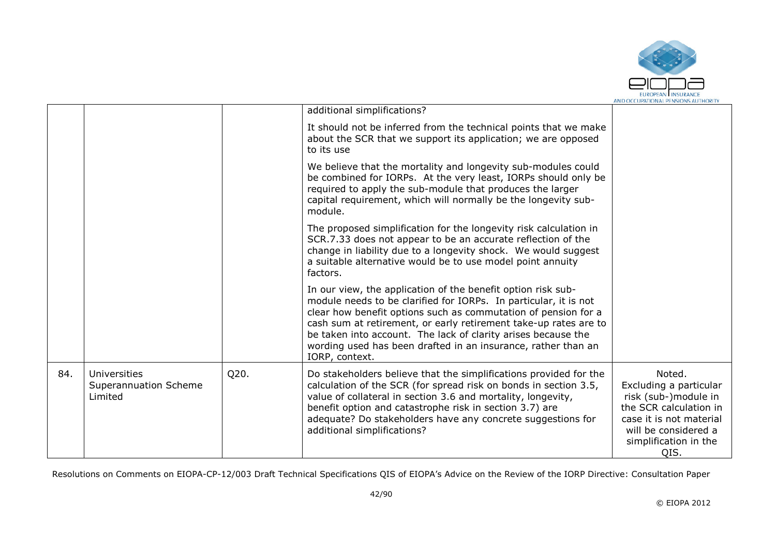

|     |                                                  |      | additional simplifications?                                                                                                                                                                                                                                                                                                                                                                                                |                                                                                                                                                                        |
|-----|--------------------------------------------------|------|----------------------------------------------------------------------------------------------------------------------------------------------------------------------------------------------------------------------------------------------------------------------------------------------------------------------------------------------------------------------------------------------------------------------------|------------------------------------------------------------------------------------------------------------------------------------------------------------------------|
|     |                                                  |      | It should not be inferred from the technical points that we make<br>about the SCR that we support its application; we are opposed<br>to its use                                                                                                                                                                                                                                                                            |                                                                                                                                                                        |
|     |                                                  |      | We believe that the mortality and longevity sub-modules could<br>be combined for IORPs. At the very least, IORPs should only be<br>required to apply the sub-module that produces the larger<br>capital requirement, which will normally be the longevity sub-<br>module.                                                                                                                                                  |                                                                                                                                                                        |
|     |                                                  |      | The proposed simplification for the longevity risk calculation in<br>SCR.7.33 does not appear to be an accurate reflection of the<br>change in liability due to a longevity shock. We would suggest<br>a suitable alternative would be to use model point annuity<br>factors.                                                                                                                                              |                                                                                                                                                                        |
|     |                                                  |      | In our view, the application of the benefit option risk sub-<br>module needs to be clarified for IORPs. In particular, it is not<br>clear how benefit options such as commutation of pension for a<br>cash sum at retirement, or early retirement take-up rates are to<br>be taken into account. The lack of clarity arises because the<br>wording used has been drafted in an insurance, rather than an<br>IORP, context. |                                                                                                                                                                        |
| 84. | Universities<br>Superannuation Scheme<br>Limited | Q20. | Do stakeholders believe that the simplifications provided for the<br>calculation of the SCR (for spread risk on bonds in section 3.5,<br>value of collateral in section 3.6 and mortality, longevity,<br>benefit option and catastrophe risk in section 3.7) are<br>adequate? Do stakeholders have any concrete suggestions for<br>additional simplifications?                                                             | Noted.<br>Excluding a particular<br>risk (sub-)module in<br>the SCR calculation in<br>case it is not material<br>will be considered a<br>simplification in the<br>QIS. |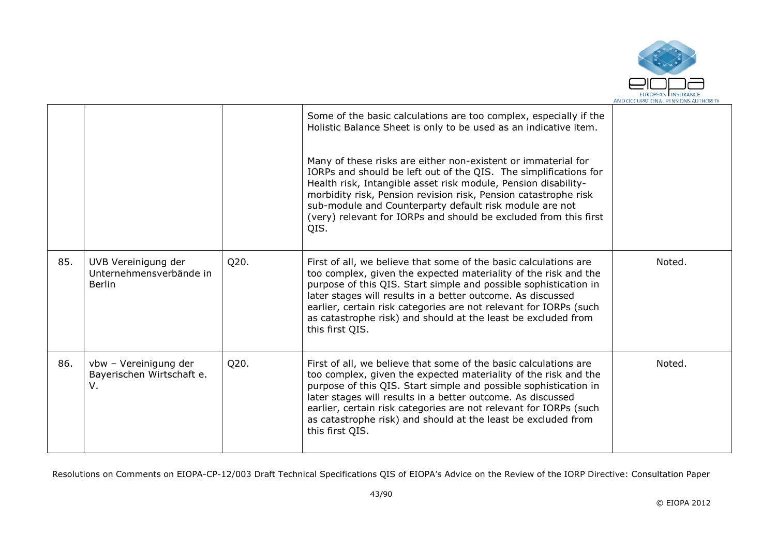

|     |                                                                 |      | Some of the basic calculations are too complex, especially if the<br>Holistic Balance Sheet is only to be used as an indicative item.<br>Many of these risks are either non-existent or immaterial for<br>IORPs and should be left out of the QIS. The simplifications for<br>Health risk, Intangible asset risk module, Pension disability-<br>morbidity risk, Pension revision risk, Pension catastrophe risk<br>sub-module and Counterparty default risk module are not<br>(very) relevant for IORPs and should be excluded from this first<br>QIS. |        |
|-----|-----------------------------------------------------------------|------|--------------------------------------------------------------------------------------------------------------------------------------------------------------------------------------------------------------------------------------------------------------------------------------------------------------------------------------------------------------------------------------------------------------------------------------------------------------------------------------------------------------------------------------------------------|--------|
| 85. | UVB Vereinigung der<br>Unternehmensverbände in<br><b>Berlin</b> | Q20. | First of all, we believe that some of the basic calculations are<br>too complex, given the expected materiality of the risk and the<br>purpose of this QIS. Start simple and possible sophistication in<br>later stages will results in a better outcome. As discussed<br>earlier, certain risk categories are not relevant for IORPs (such<br>as catastrophe risk) and should at the least be excluded from<br>this first QIS.                                                                                                                        | Noted. |
| 86. | vbw - Vereinigung der<br>Bayerischen Wirtschaft e.<br>V.        | Q20. | First of all, we believe that some of the basic calculations are<br>too complex, given the expected materiality of the risk and the<br>purpose of this QIS. Start simple and possible sophistication in<br>later stages will results in a better outcome. As discussed<br>earlier, certain risk categories are not relevant for IORPs (such<br>as catastrophe risk) and should at the least be excluded from<br>this first QIS.                                                                                                                        | Noted. |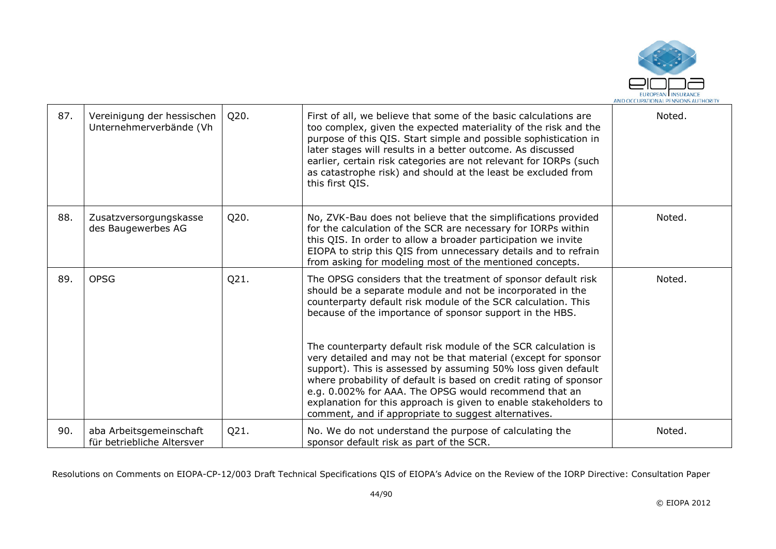

| 87. | Vereinigung der hessischen<br>Unternehmerverbände (Vh | Q20. | First of all, we believe that some of the basic calculations are<br>too complex, given the expected materiality of the risk and the<br>purpose of this QIS. Start simple and possible sophistication in<br>later stages will results in a better outcome. As discussed<br>earlier, certain risk categories are not relevant for IORPs (such<br>as catastrophe risk) and should at the least be excluded from<br>this first QIS.                             | Noted. |
|-----|-------------------------------------------------------|------|-------------------------------------------------------------------------------------------------------------------------------------------------------------------------------------------------------------------------------------------------------------------------------------------------------------------------------------------------------------------------------------------------------------------------------------------------------------|--------|
| 88. | Zusatzversorgungskasse<br>des Baugewerbes AG          | Q20. | No, ZVK-Bau does not believe that the simplifications provided<br>for the calculation of the SCR are necessary for IORPs within<br>this QIS. In order to allow a broader participation we invite<br>EIOPA to strip this QIS from unnecessary details and to refrain<br>from asking for modeling most of the mentioned concepts.                                                                                                                             | Noted. |
| 89. | <b>OPSG</b>                                           | Q21. | The OPSG considers that the treatment of sponsor default risk<br>should be a separate module and not be incorporated in the<br>counterparty default risk module of the SCR calculation. This<br>because of the importance of sponsor support in the HBS.                                                                                                                                                                                                    | Noted. |
|     |                                                       |      | The counterparty default risk module of the SCR calculation is<br>very detailed and may not be that material (except for sponsor<br>support). This is assessed by assuming 50% loss given default<br>where probability of default is based on credit rating of sponsor<br>e.g. 0.002% for AAA. The OPSG would recommend that an<br>explanation for this approach is given to enable stakeholders to<br>comment, and if appropriate to suggest alternatives. |        |
| 90. | aba Arbeitsgemeinschaft<br>für betriebliche Altersver | Q21. | No. We do not understand the purpose of calculating the<br>sponsor default risk as part of the SCR.                                                                                                                                                                                                                                                                                                                                                         | Noted. |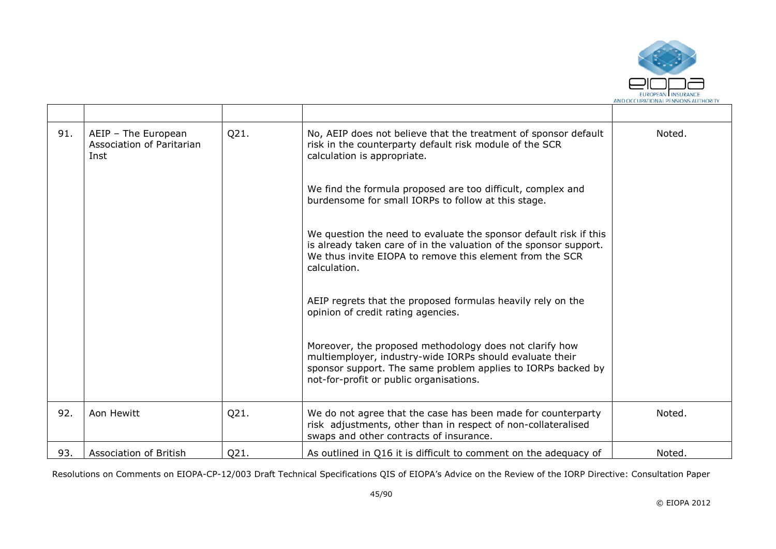

| 91. | AEIP - The European<br>Association of Paritarian<br>Inst | Q21. | No, AEIP does not believe that the treatment of sponsor default<br>risk in the counterparty default risk module of the SCR<br>calculation is appropriate.                                                                      | Noted. |
|-----|----------------------------------------------------------|------|--------------------------------------------------------------------------------------------------------------------------------------------------------------------------------------------------------------------------------|--------|
|     |                                                          |      | We find the formula proposed are too difficult, complex and<br>burdensome for small IORPs to follow at this stage.                                                                                                             |        |
|     |                                                          |      | We question the need to evaluate the sponsor default risk if this<br>is already taken care of in the valuation of the sponsor support.<br>We thus invite EIOPA to remove this element from the SCR<br>calculation.             |        |
|     |                                                          |      | AEIP regrets that the proposed formulas heavily rely on the<br>opinion of credit rating agencies.                                                                                                                              |        |
|     |                                                          |      | Moreover, the proposed methodology does not clarify how<br>multiemployer, industry-wide IORPs should evaluate their<br>sponsor support. The same problem applies to IORPs backed by<br>not-for-profit or public organisations. |        |
| 92. | Aon Hewitt                                               | Q21. | We do not agree that the case has been made for counterparty<br>risk adjustments, other than in respect of non-collateralised<br>swaps and other contracts of insurance.                                                       | Noted. |
| 93. | Association of British                                   | Q21. | As outlined in Q16 it is difficult to comment on the adequacy of                                                                                                                                                               | Noted. |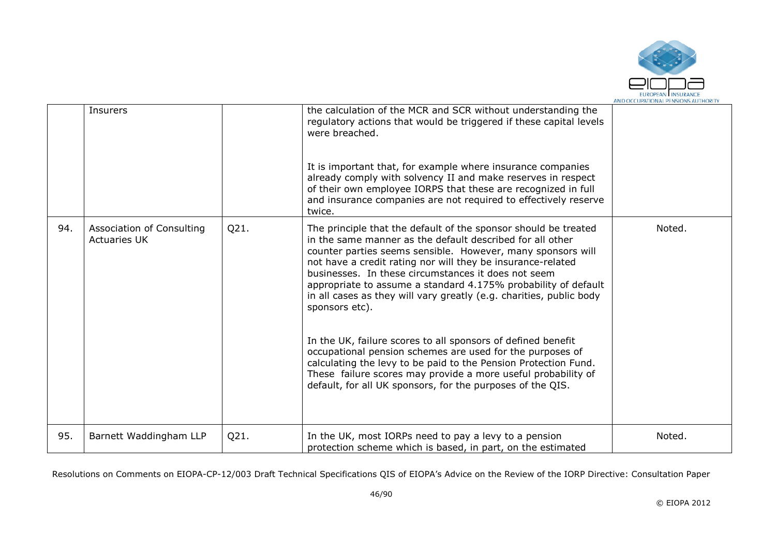

|     | Insurers                                         |      | the calculation of the MCR and SCR without understanding the<br>regulatory actions that would be triggered if these capital levels<br>were breached.                                                                                                                                                                                                                                                                                                                                                                                                                                                                                                                                                                                                                                                        |        |
|-----|--------------------------------------------------|------|-------------------------------------------------------------------------------------------------------------------------------------------------------------------------------------------------------------------------------------------------------------------------------------------------------------------------------------------------------------------------------------------------------------------------------------------------------------------------------------------------------------------------------------------------------------------------------------------------------------------------------------------------------------------------------------------------------------------------------------------------------------------------------------------------------------|--------|
|     |                                                  |      | It is important that, for example where insurance companies<br>already comply with solvency II and make reserves in respect<br>of their own employee IORPS that these are recognized in full<br>and insurance companies are not required to effectively reserve<br>twice.                                                                                                                                                                                                                                                                                                                                                                                                                                                                                                                                   |        |
| 94. | Association of Consulting<br><b>Actuaries UK</b> | Q21. | The principle that the default of the sponsor should be treated<br>in the same manner as the default described for all other<br>counter parties seems sensible. However, many sponsors will<br>not have a credit rating nor will they be insurance-related<br>businesses. In these circumstances it does not seem<br>appropriate to assume a standard 4.175% probability of default<br>in all cases as they will vary greatly (e.g. charities, public body<br>sponsors etc).<br>In the UK, failure scores to all sponsors of defined benefit<br>occupational pension schemes are used for the purposes of<br>calculating the levy to be paid to the Pension Protection Fund.<br>These failure scores may provide a more useful probability of<br>default, for all UK sponsors, for the purposes of the QIS. | Noted. |
| 95. | Barnett Waddingham LLP                           | Q21. | In the UK, most IORPs need to pay a levy to a pension<br>protection scheme which is based, in part, on the estimated                                                                                                                                                                                                                                                                                                                                                                                                                                                                                                                                                                                                                                                                                        | Noted. |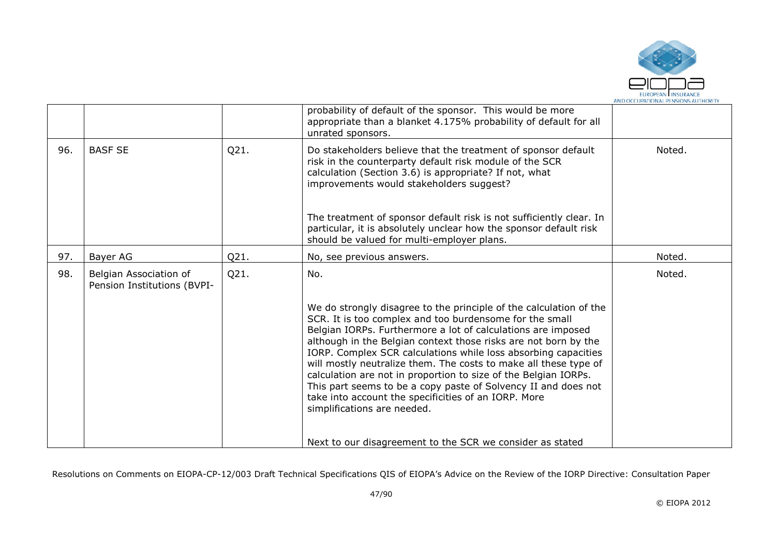

|     |                                                       |      | probability of default of the sponsor. This would be more<br>appropriate than a blanket 4.175% probability of default for all<br>unrated sponsors.                                                                                                                                                                                                                                                                                                                                                                                                                                                                                 |        |
|-----|-------------------------------------------------------|------|------------------------------------------------------------------------------------------------------------------------------------------------------------------------------------------------------------------------------------------------------------------------------------------------------------------------------------------------------------------------------------------------------------------------------------------------------------------------------------------------------------------------------------------------------------------------------------------------------------------------------------|--------|
| 96. | <b>BASF SE</b>                                        | Q21. | Do stakeholders believe that the treatment of sponsor default<br>risk in the counterparty default risk module of the SCR<br>calculation (Section 3.6) is appropriate? If not, what<br>improvements would stakeholders suggest?                                                                                                                                                                                                                                                                                                                                                                                                     | Noted. |
|     |                                                       |      | The treatment of sponsor default risk is not sufficiently clear. In<br>particular, it is absolutely unclear how the sponsor default risk<br>should be valued for multi-employer plans.                                                                                                                                                                                                                                                                                                                                                                                                                                             |        |
| 97. | Bayer AG                                              | Q21. | No, see previous answers.                                                                                                                                                                                                                                                                                                                                                                                                                                                                                                                                                                                                          | Noted. |
| 98. | Belgian Association of<br>Pension Institutions (BVPI- | Q21. | No.                                                                                                                                                                                                                                                                                                                                                                                                                                                                                                                                                                                                                                | Noted. |
|     |                                                       |      | We do strongly disagree to the principle of the calculation of the<br>SCR. It is too complex and too burdensome for the small<br>Belgian IORPs. Furthermore a lot of calculations are imposed<br>although in the Belgian context those risks are not born by the<br>IORP. Complex SCR calculations while loss absorbing capacities<br>will mostly neutralize them. The costs to make all these type of<br>calculation are not in proportion to size of the Belgian IORPs.<br>This part seems to be a copy paste of Solvency II and does not<br>take into account the specificities of an IORP. More<br>simplifications are needed. |        |
|     |                                                       |      | Next to our disagreement to the SCR we consider as stated                                                                                                                                                                                                                                                                                                                                                                                                                                                                                                                                                                          |        |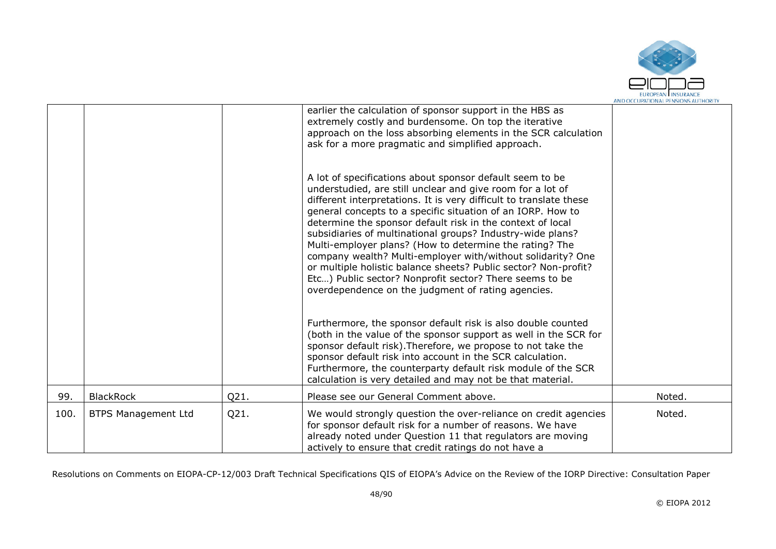

|      |                            |      | earlier the calculation of sponsor support in the HBS as<br>extremely costly and burdensome. On top the iterative<br>approach on the loss absorbing elements in the SCR calculation<br>ask for a more pragmatic and simplified approach.<br>A lot of specifications about sponsor default seem to be<br>understudied, are still unclear and give room for a lot of<br>different interpretations. It is very difficult to translate these<br>general concepts to a specific situation of an IORP. How to<br>determine the sponsor default risk in the context of local<br>subsidiaries of multinational groups? Industry-wide plans?<br>Multi-employer plans? (How to determine the rating? The<br>company wealth? Multi-employer with/without solidarity? One<br>or multiple holistic balance sheets? Public sector? Non-profit?<br>Etc) Public sector? Nonprofit sector? There seems to be<br>overdependence on the judgment of rating agencies.<br>Furthermore, the sponsor default risk is also double counted<br>(both in the value of the sponsor support as well in the SCR for<br>sponsor default risk). Therefore, we propose to not take the<br>sponsor default risk into account in the SCR calculation. |        |
|------|----------------------------|------|--------------------------------------------------------------------------------------------------------------------------------------------------------------------------------------------------------------------------------------------------------------------------------------------------------------------------------------------------------------------------------------------------------------------------------------------------------------------------------------------------------------------------------------------------------------------------------------------------------------------------------------------------------------------------------------------------------------------------------------------------------------------------------------------------------------------------------------------------------------------------------------------------------------------------------------------------------------------------------------------------------------------------------------------------------------------------------------------------------------------------------------------------------------------------------------------------------------------|--------|
|      |                            |      | Furthermore, the counterparty default risk module of the SCR<br>calculation is very detailed and may not be that material.                                                                                                                                                                                                                                                                                                                                                                                                                                                                                                                                                                                                                                                                                                                                                                                                                                                                                                                                                                                                                                                                                         |        |
| 99.  | <b>BlackRock</b>           | Q21. | Please see our General Comment above.                                                                                                                                                                                                                                                                                                                                                                                                                                                                                                                                                                                                                                                                                                                                                                                                                                                                                                                                                                                                                                                                                                                                                                              | Noted. |
| 100. | <b>BTPS Management Ltd</b> | Q21. | We would strongly question the over-reliance on credit agencies<br>for sponsor default risk for a number of reasons. We have<br>already noted under Question 11 that regulators are moving<br>actively to ensure that credit ratings do not have a                                                                                                                                                                                                                                                                                                                                                                                                                                                                                                                                                                                                                                                                                                                                                                                                                                                                                                                                                                 | Noted. |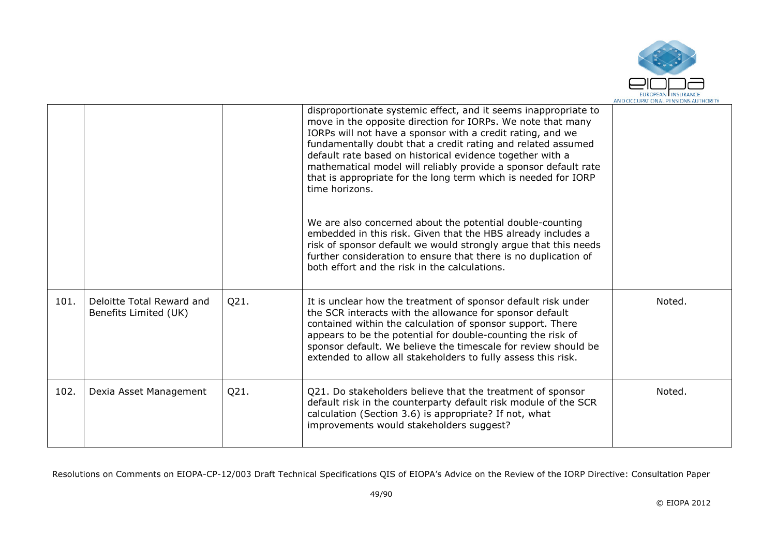

|      |                                                    |      | disproportionate systemic effect, and it seems inappropriate to<br>move in the opposite direction for IORPs. We note that many<br>IORPs will not have a sponsor with a credit rating, and we<br>fundamentally doubt that a credit rating and related assumed<br>default rate based on historical evidence together with a<br>mathematical model will reliably provide a sponsor default rate<br>that is appropriate for the long term which is needed for IORP<br>time horizons. |        |
|------|----------------------------------------------------|------|----------------------------------------------------------------------------------------------------------------------------------------------------------------------------------------------------------------------------------------------------------------------------------------------------------------------------------------------------------------------------------------------------------------------------------------------------------------------------------|--------|
|      |                                                    |      | We are also concerned about the potential double-counting<br>embedded in this risk. Given that the HBS already includes a<br>risk of sponsor default we would strongly argue that this needs<br>further consideration to ensure that there is no duplication of<br>both effort and the risk in the calculations.                                                                                                                                                                 |        |
| 101. | Deloitte Total Reward and<br>Benefits Limited (UK) | Q21. | It is unclear how the treatment of sponsor default risk under<br>the SCR interacts with the allowance for sponsor default<br>contained within the calculation of sponsor support. There<br>appears to be the potential for double-counting the risk of<br>sponsor default. We believe the timescale for review should be<br>extended to allow all stakeholders to fully assess this risk.                                                                                        | Noted. |
| 102. | Dexia Asset Management                             | Q21. | Q21. Do stakeholders believe that the treatment of sponsor<br>default risk in the counterparty default risk module of the SCR<br>calculation (Section 3.6) is appropriate? If not, what<br>improvements would stakeholders suggest?                                                                                                                                                                                                                                              | Noted. |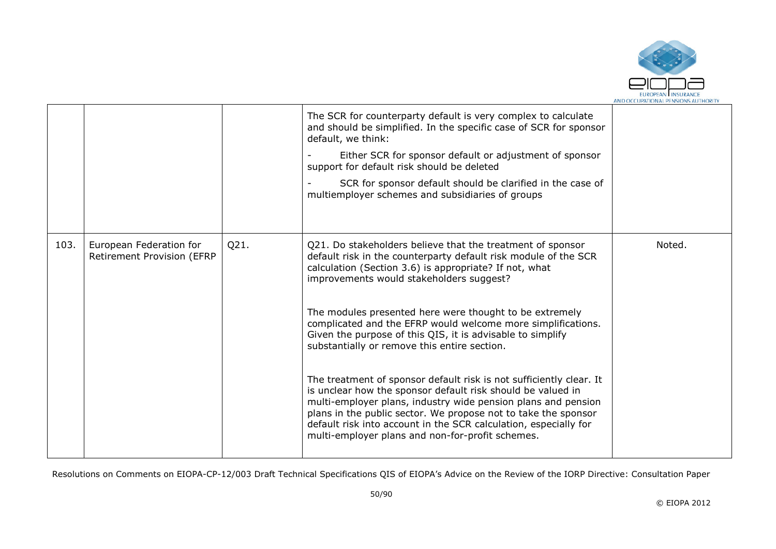

|      |                                                       |      | The SCR for counterparty default is very complex to calculate<br>and should be simplified. In the specific case of SCR for sponsor<br>default, we think:                                                                                                                                                                                                                                      |        |
|------|-------------------------------------------------------|------|-----------------------------------------------------------------------------------------------------------------------------------------------------------------------------------------------------------------------------------------------------------------------------------------------------------------------------------------------------------------------------------------------|--------|
|      |                                                       |      | Either SCR for sponsor default or adjustment of sponsor<br>support for default risk should be deleted                                                                                                                                                                                                                                                                                         |        |
|      |                                                       |      | SCR for sponsor default should be clarified in the case of<br>multiemployer schemes and subsidiaries of groups                                                                                                                                                                                                                                                                                |        |
|      |                                                       |      |                                                                                                                                                                                                                                                                                                                                                                                               |        |
| 103. | European Federation for<br>Retirement Provision (EFRP | Q21. | Q21. Do stakeholders believe that the treatment of sponsor<br>default risk in the counterparty default risk module of the SCR<br>calculation (Section 3.6) is appropriate? If not, what<br>improvements would stakeholders suggest?                                                                                                                                                           | Noted. |
|      |                                                       |      | The modules presented here were thought to be extremely<br>complicated and the EFRP would welcome more simplifications.<br>Given the purpose of this QIS, it is advisable to simplify<br>substantially or remove this entire section.                                                                                                                                                         |        |
|      |                                                       |      | The treatment of sponsor default risk is not sufficiently clear. It<br>is unclear how the sponsor default risk should be valued in<br>multi-employer plans, industry wide pension plans and pension<br>plans in the public sector. We propose not to take the sponsor<br>default risk into account in the SCR calculation, especially for<br>multi-employer plans and non-for-profit schemes. |        |
|      |                                                       |      |                                                                                                                                                                                                                                                                                                                                                                                               |        |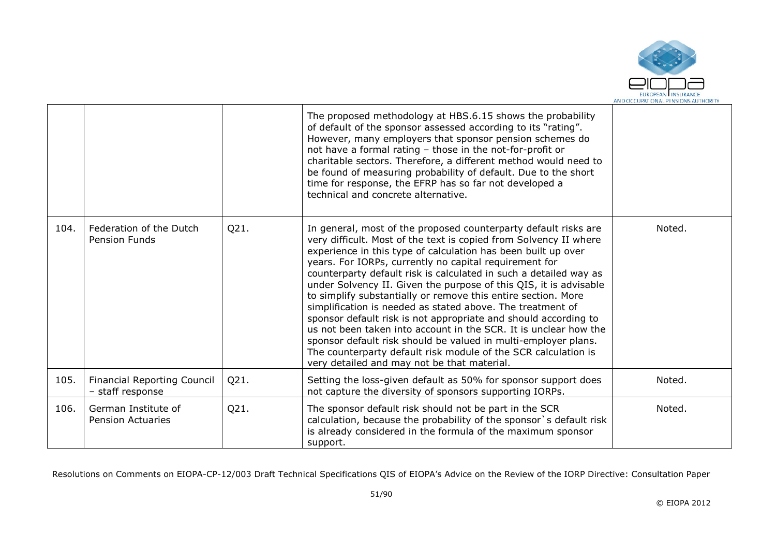

|      |                                                        |      | The proposed methodology at HBS.6.15 shows the probability<br>of default of the sponsor assessed according to its "rating".<br>However, many employers that sponsor pension schemes do<br>not have a formal rating - those in the not-for-profit or<br>charitable sectors. Therefore, a different method would need to<br>be found of measuring probability of default. Due to the short<br>time for response, the EFRP has so far not developed a<br>technical and concrete alternative.                                                                                                                                                                                                                                                                                                                                                                          |        |
|------|--------------------------------------------------------|------|--------------------------------------------------------------------------------------------------------------------------------------------------------------------------------------------------------------------------------------------------------------------------------------------------------------------------------------------------------------------------------------------------------------------------------------------------------------------------------------------------------------------------------------------------------------------------------------------------------------------------------------------------------------------------------------------------------------------------------------------------------------------------------------------------------------------------------------------------------------------|--------|
| 104. | Federation of the Dutch<br>Pension Funds               | Q21. | In general, most of the proposed counterparty default risks are<br>very difficult. Most of the text is copied from Solvency II where<br>experience in this type of calculation has been built up over<br>years. For IORPs, currently no capital requirement for<br>counterparty default risk is calculated in such a detailed way as<br>under Solvency II. Given the purpose of this QIS, it is advisable<br>to simplify substantially or remove this entire section. More<br>simplification is needed as stated above. The treatment of<br>sponsor default risk is not appropriate and should according to<br>us not been taken into account in the SCR. It is unclear how the<br>sponsor default risk should be valued in multi-employer plans.<br>The counterparty default risk module of the SCR calculation is<br>very detailed and may not be that material. | Noted. |
| 105. | <b>Financial Reporting Council</b><br>- staff response | Q21. | Setting the loss-given default as 50% for sponsor support does<br>not capture the diversity of sponsors supporting IORPs.                                                                                                                                                                                                                                                                                                                                                                                                                                                                                                                                                                                                                                                                                                                                          | Noted. |
| 106. | German Institute of<br><b>Pension Actuaries</b>        | Q21. | The sponsor default risk should not be part in the SCR<br>calculation, because the probability of the sponsor's default risk<br>is already considered in the formula of the maximum sponsor<br>support.                                                                                                                                                                                                                                                                                                                                                                                                                                                                                                                                                                                                                                                            | Noted. |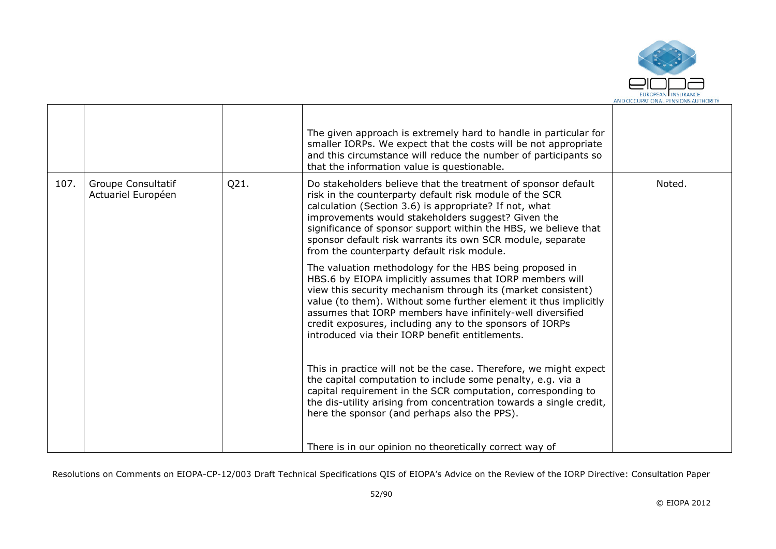

|      |                                                 |      | The given approach is extremely hard to handle in particular for<br>smaller IORPs. We expect that the costs will be not appropriate<br>and this circumstance will reduce the number of participants so<br>that the information value is questionable.                                                                                                                                                                                |        |
|------|-------------------------------------------------|------|--------------------------------------------------------------------------------------------------------------------------------------------------------------------------------------------------------------------------------------------------------------------------------------------------------------------------------------------------------------------------------------------------------------------------------------|--------|
| 107. | <b>Groupe Consultatif</b><br>Actuariel Européen | Q21. | Do stakeholders believe that the treatment of sponsor default<br>risk in the counterparty default risk module of the SCR<br>calculation (Section 3.6) is appropriate? If not, what<br>improvements would stakeholders suggest? Given the<br>significance of sponsor support within the HBS, we believe that<br>sponsor default risk warrants its own SCR module, separate<br>from the counterparty default risk module.              | Noted. |
|      |                                                 |      | The valuation methodology for the HBS being proposed in<br>HBS.6 by EIOPA implicitly assumes that IORP members will<br>view this security mechanism through its (market consistent)<br>value (to them). Without some further element it thus implicitly<br>assumes that IORP members have infinitely-well diversified<br>credit exposures, including any to the sponsors of IORPs<br>introduced via their IORP benefit entitlements. |        |
|      |                                                 |      | This in practice will not be the case. Therefore, we might expect<br>the capital computation to include some penalty, e.g. via a<br>capital requirement in the SCR computation, corresponding to<br>the dis-utility arising from concentration towards a single credit,<br>here the sponsor (and perhaps also the PPS).                                                                                                              |        |
|      |                                                 |      | There is in our opinion no theoretically correct way of                                                                                                                                                                                                                                                                                                                                                                              |        |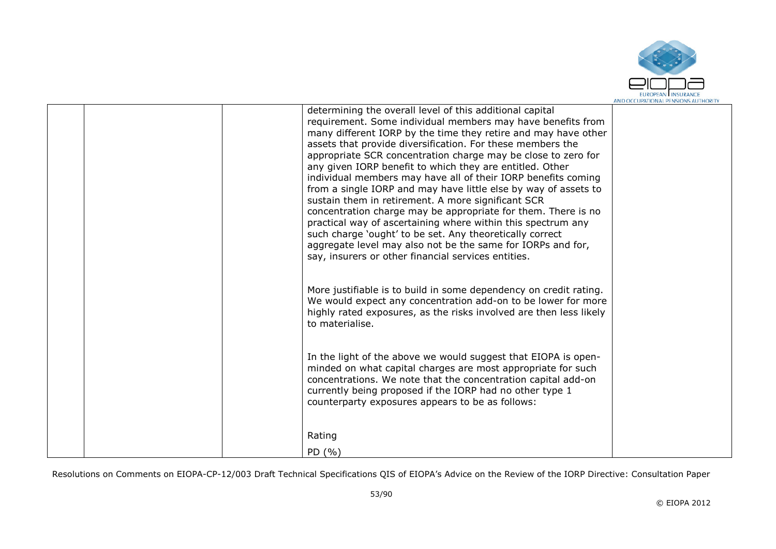

| determining the overall level of this additional capital<br>requirement. Some individual members may have benefits from<br>many different IORP by the time they retire and may have other<br>assets that provide diversification. For these members the<br>appropriate SCR concentration charge may be close to zero for<br>any given IORP benefit to which they are entitled. Other<br>individual members may have all of their IORP benefits coming<br>from a single IORP and may have little else by way of assets to<br>sustain them in retirement. A more significant SCR<br>concentration charge may be appropriate for them. There is no<br>practical way of ascertaining where within this spectrum any<br>such charge 'ought' to be set. Any theoretically correct<br>aggregate level may also not be the same for IORPs and for,<br>say, insurers or other financial services entities. |  |
|---------------------------------------------------------------------------------------------------------------------------------------------------------------------------------------------------------------------------------------------------------------------------------------------------------------------------------------------------------------------------------------------------------------------------------------------------------------------------------------------------------------------------------------------------------------------------------------------------------------------------------------------------------------------------------------------------------------------------------------------------------------------------------------------------------------------------------------------------------------------------------------------------|--|
| More justifiable is to build in some dependency on credit rating.<br>We would expect any concentration add-on to be lower for more<br>highly rated exposures, as the risks involved are then less likely<br>to materialise.                                                                                                                                                                                                                                                                                                                                                                                                                                                                                                                                                                                                                                                                       |  |
| In the light of the above we would suggest that EIOPA is open-<br>minded on what capital charges are most appropriate for such<br>concentrations. We note that the concentration capital add-on<br>currently being proposed if the IORP had no other type 1<br>counterparty exposures appears to be as follows:                                                                                                                                                                                                                                                                                                                                                                                                                                                                                                                                                                                   |  |
| Rating<br>PD (%)                                                                                                                                                                                                                                                                                                                                                                                                                                                                                                                                                                                                                                                                                                                                                                                                                                                                                  |  |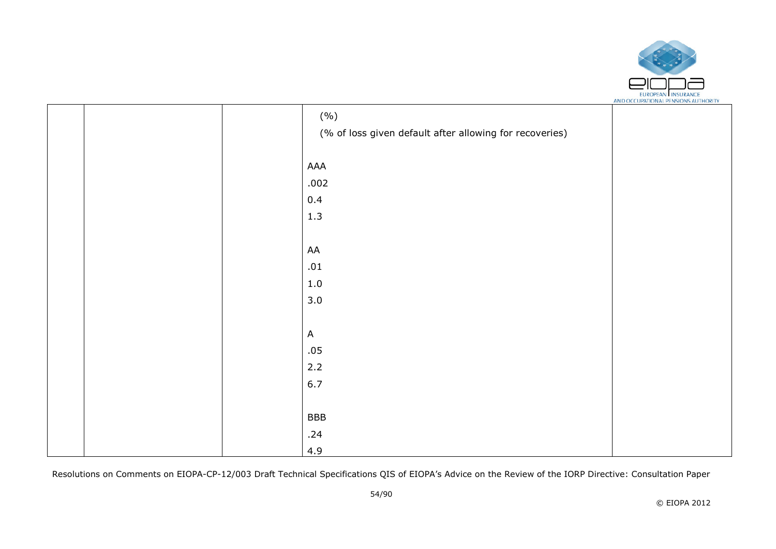

|  | (%)                                                     |  |
|--|---------------------------------------------------------|--|
|  | (% of loss given default after allowing for recoveries) |  |
|  |                                                         |  |
|  | AAA                                                     |  |
|  | .002                                                    |  |
|  | 0.4                                                     |  |
|  | $1.3\,$                                                 |  |
|  |                                                         |  |
|  | AA                                                      |  |
|  | $.01\,$                                                 |  |
|  | $1.0\,$                                                 |  |
|  | 3.0                                                     |  |
|  |                                                         |  |
|  | $\mathsf{A}$                                            |  |
|  | .05                                                     |  |
|  | 2.2                                                     |  |
|  | 6.7                                                     |  |
|  |                                                         |  |
|  | <b>BBB</b>                                              |  |
|  | .24                                                     |  |
|  | 4.9                                                     |  |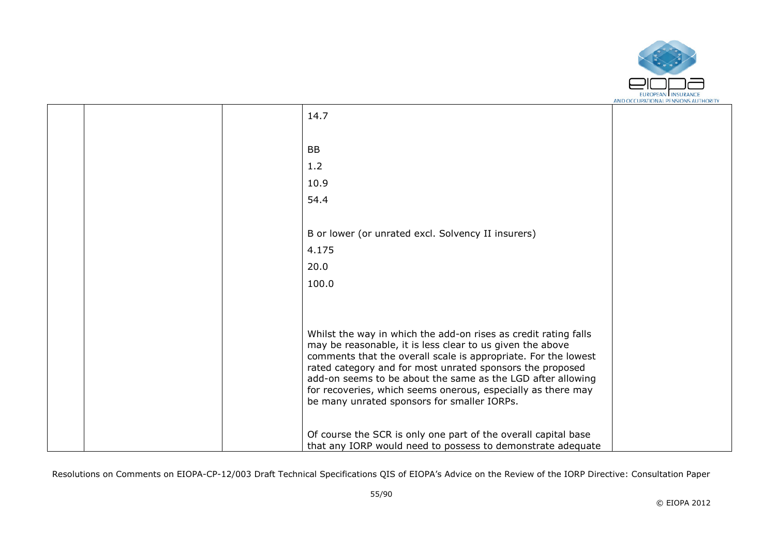

|  | 14.7                                                                                                                                                                                                                                                                                                                                                                                                                                      |  |
|--|-------------------------------------------------------------------------------------------------------------------------------------------------------------------------------------------------------------------------------------------------------------------------------------------------------------------------------------------------------------------------------------------------------------------------------------------|--|
|  |                                                                                                                                                                                                                                                                                                                                                                                                                                           |  |
|  | <b>BB</b>                                                                                                                                                                                                                                                                                                                                                                                                                                 |  |
|  | 1.2                                                                                                                                                                                                                                                                                                                                                                                                                                       |  |
|  | 10.9                                                                                                                                                                                                                                                                                                                                                                                                                                      |  |
|  | 54.4                                                                                                                                                                                                                                                                                                                                                                                                                                      |  |
|  |                                                                                                                                                                                                                                                                                                                                                                                                                                           |  |
|  | B or lower (or unrated excl. Solvency II insurers)                                                                                                                                                                                                                                                                                                                                                                                        |  |
|  | 4.175                                                                                                                                                                                                                                                                                                                                                                                                                                     |  |
|  | 20.0                                                                                                                                                                                                                                                                                                                                                                                                                                      |  |
|  | 100.0                                                                                                                                                                                                                                                                                                                                                                                                                                     |  |
|  |                                                                                                                                                                                                                                                                                                                                                                                                                                           |  |
|  |                                                                                                                                                                                                                                                                                                                                                                                                                                           |  |
|  | Whilst the way in which the add-on rises as credit rating falls<br>may be reasonable, it is less clear to us given the above<br>comments that the overall scale is appropriate. For the lowest<br>rated category and for most unrated sponsors the proposed<br>add-on seems to be about the same as the LGD after allowing<br>for recoveries, which seems onerous, especially as there may<br>be many unrated sponsors for smaller IORPs. |  |
|  | Of course the SCR is only one part of the overall capital base<br>that any IORP would need to possess to demonstrate adequate                                                                                                                                                                                                                                                                                                             |  |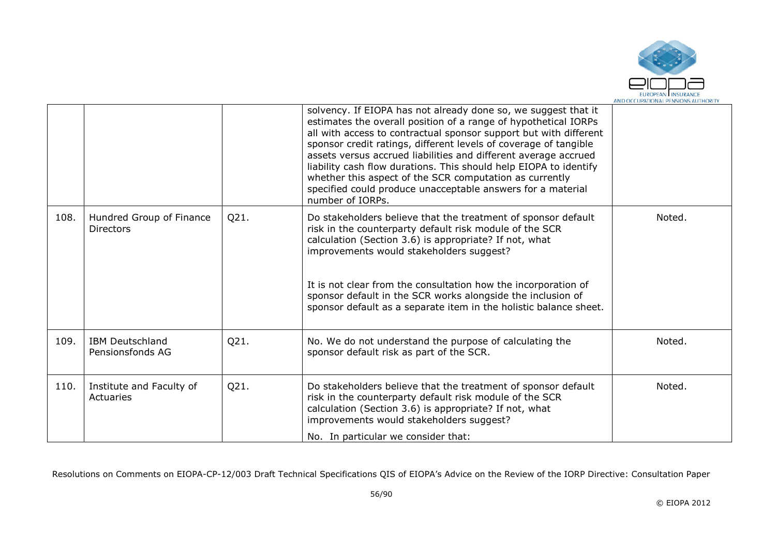

|      |                                              |      | solvency. If EIOPA has not already done so, we suggest that it<br>estimates the overall position of a range of hypothetical IORPs<br>all with access to contractual sponsor support but with different<br>sponsor credit ratings, different levels of coverage of tangible<br>assets versus accrued liabilities and different average accrued<br>liability cash flow durations. This should help EIOPA to identify<br>whether this aspect of the SCR computation as currently<br>specified could produce unacceptable answers for a material<br>number of IORPs. |        |
|------|----------------------------------------------|------|------------------------------------------------------------------------------------------------------------------------------------------------------------------------------------------------------------------------------------------------------------------------------------------------------------------------------------------------------------------------------------------------------------------------------------------------------------------------------------------------------------------------------------------------------------------|--------|
| 108. | Hundred Group of Finance<br><b>Directors</b> | Q21. | Do stakeholders believe that the treatment of sponsor default<br>risk in the counterparty default risk module of the SCR<br>calculation (Section 3.6) is appropriate? If not, what<br>improvements would stakeholders suggest?<br>It is not clear from the consultation how the incorporation of<br>sponsor default in the SCR works alongside the inclusion of<br>sponsor default as a separate item in the holistic balance sheet.                                                                                                                             | Noted. |
| 109. | <b>IBM Deutschland</b><br>Pensionsfonds AG   | Q21. | No. We do not understand the purpose of calculating the<br>sponsor default risk as part of the SCR.                                                                                                                                                                                                                                                                                                                                                                                                                                                              | Noted. |
| 110. | Institute and Faculty of<br>Actuaries        | Q21. | Do stakeholders believe that the treatment of sponsor default<br>risk in the counterparty default risk module of the SCR<br>calculation (Section 3.6) is appropriate? If not, what<br>improvements would stakeholders suggest?<br>No. In particular we consider that:                                                                                                                                                                                                                                                                                            | Noted. |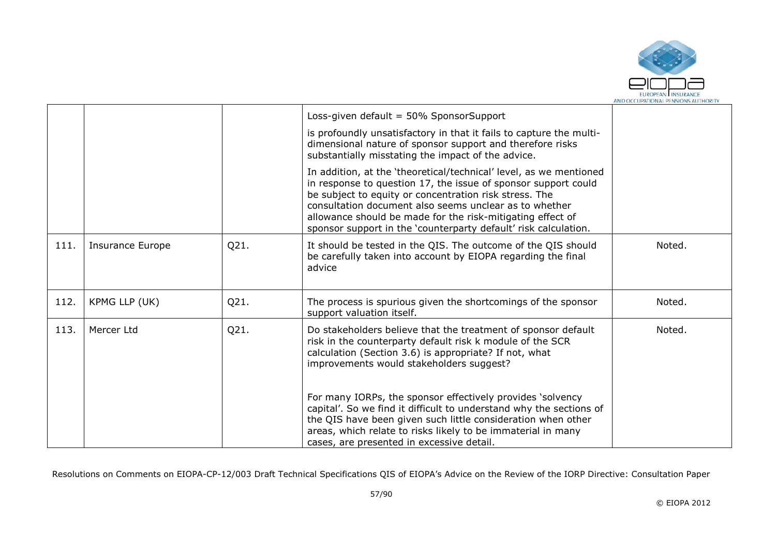

|      |                         |      | Loss-given default = 50% SponsorSupport                                                                                                                                                                                                                                                                                                                                                   |        |
|------|-------------------------|------|-------------------------------------------------------------------------------------------------------------------------------------------------------------------------------------------------------------------------------------------------------------------------------------------------------------------------------------------------------------------------------------------|--------|
|      |                         |      | is profoundly unsatisfactory in that it fails to capture the multi-<br>dimensional nature of sponsor support and therefore risks<br>substantially misstating the impact of the advice.                                                                                                                                                                                                    |        |
|      |                         |      | In addition, at the 'theoretical/technical' level, as we mentioned<br>in response to question 17, the issue of sponsor support could<br>be subject to equity or concentration risk stress. The<br>consultation document also seems unclear as to whether<br>allowance should be made for the risk-mitigating effect of<br>sponsor support in the 'counterparty default' risk calculation. |        |
| 111. | <b>Insurance Europe</b> | Q21. | It should be tested in the QIS. The outcome of the QIS should<br>be carefully taken into account by EIOPA regarding the final<br>advice                                                                                                                                                                                                                                                   | Noted. |
| 112. | KPMG LLP (UK)           | Q21. | The process is spurious given the shortcomings of the sponsor<br>support valuation itself.                                                                                                                                                                                                                                                                                                | Noted. |
| 113. | Mercer Ltd              | Q21. | Do stakeholders believe that the treatment of sponsor default<br>risk in the counterparty default risk k module of the SCR<br>calculation (Section 3.6) is appropriate? If not, what<br>improvements would stakeholders suggest?                                                                                                                                                          | Noted. |
|      |                         |      | For many IORPs, the sponsor effectively provides 'solvency<br>capital'. So we find it difficult to understand why the sections of<br>the QIS have been given such little consideration when other<br>areas, which relate to risks likely to be immaterial in many<br>cases, are presented in excessive detail.                                                                            |        |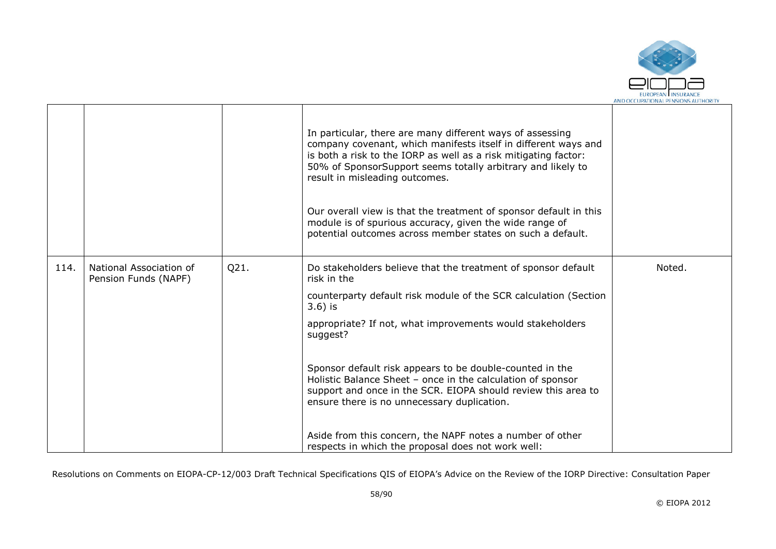

|      |                                                 |      | In particular, there are many different ways of assessing<br>company covenant, which manifests itself in different ways and<br>is both a risk to the IORP as well as a risk mitigating factor:<br>50% of SponsorSupport seems totally arbitrary and likely to<br>result in misleading outcomes.<br>Our overall view is that the treatment of sponsor default in this<br>module is of spurious accuracy, given the wide range of<br>potential outcomes across member states on such a default. |        |
|------|-------------------------------------------------|------|-----------------------------------------------------------------------------------------------------------------------------------------------------------------------------------------------------------------------------------------------------------------------------------------------------------------------------------------------------------------------------------------------------------------------------------------------------------------------------------------------|--------|
| 114. | National Association of<br>Pension Funds (NAPF) | Q21. | Do stakeholders believe that the treatment of sponsor default<br>risk in the<br>counterparty default risk module of the SCR calculation (Section<br>$3.6$ ) is<br>appropriate? If not, what improvements would stakeholders<br>suggest?<br>Sponsor default risk appears to be double-counted in the<br>Holistic Balance Sheet - once in the calculation of sponsor<br>support and once in the SCR. EIOPA should review this area to<br>ensure there is no unnecessary duplication.            | Noted. |
|      |                                                 |      | Aside from this concern, the NAPF notes a number of other<br>respects in which the proposal does not work well:                                                                                                                                                                                                                                                                                                                                                                               |        |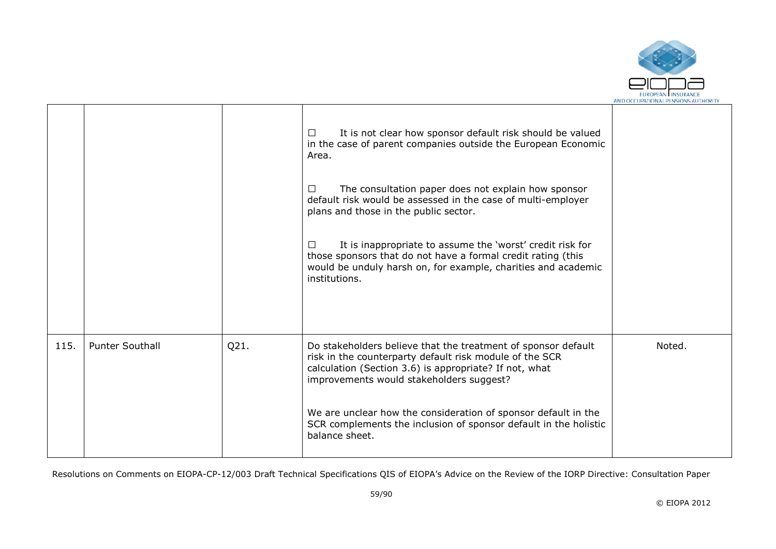

|      |                        |      | It is not clear how sponsor default risk should be valued<br>$\perp$<br>in the case of parent companies outside the European Economic<br>Area.<br>The consultation paper does not explain how sponsor<br>ப<br>default risk would be assessed in the case of multi-employer<br>plans and those in the public sector.<br>It is inappropriate to assume the 'worst' credit risk for<br>$\perp$<br>those sponsors that do not have a formal credit rating (this<br>would be unduly harsh on, for example, charities and academic<br>institutions. |        |
|------|------------------------|------|-----------------------------------------------------------------------------------------------------------------------------------------------------------------------------------------------------------------------------------------------------------------------------------------------------------------------------------------------------------------------------------------------------------------------------------------------------------------------------------------------------------------------------------------------|--------|
| 115. | <b>Punter Southall</b> | Q21. | Do stakeholders believe that the treatment of sponsor default<br>risk in the counterparty default risk module of the SCR<br>calculation (Section 3.6) is appropriate? If not, what<br>improvements would stakeholders suggest?<br>We are unclear how the consideration of sponsor default in the<br>SCR complements the inclusion of sponsor default in the holistic<br>balance sheet.                                                                                                                                                        | Noted. |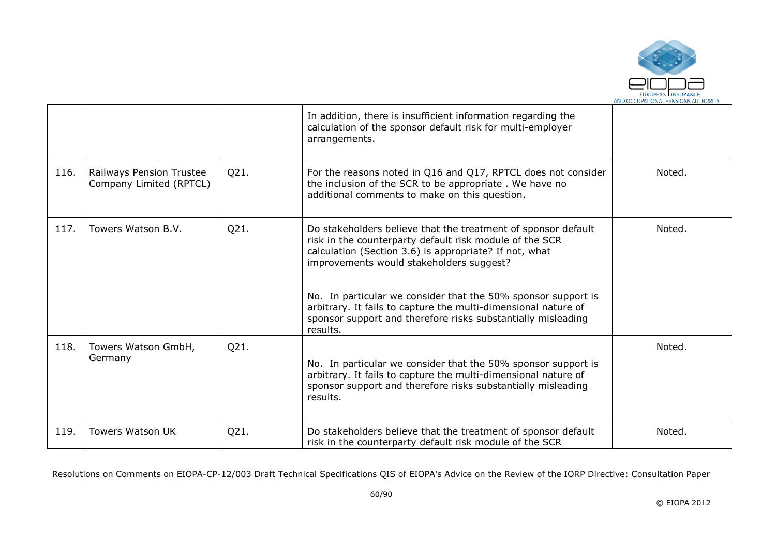

|      |                                                     |      | In addition, there is insufficient information regarding the<br>calculation of the sponsor default risk for multi-employer<br>arrangements.                                                                                                                                                                                                                                                                                                   |        |
|------|-----------------------------------------------------|------|-----------------------------------------------------------------------------------------------------------------------------------------------------------------------------------------------------------------------------------------------------------------------------------------------------------------------------------------------------------------------------------------------------------------------------------------------|--------|
| 116. | Railways Pension Trustee<br>Company Limited (RPTCL) | Q21. | For the reasons noted in Q16 and Q17, RPTCL does not consider<br>the inclusion of the SCR to be appropriate. We have no<br>additional comments to make on this question.                                                                                                                                                                                                                                                                      | Noted. |
| 117. | Towers Watson B.V.                                  | Q21. | Do stakeholders believe that the treatment of sponsor default<br>risk in the counterparty default risk module of the SCR<br>calculation (Section 3.6) is appropriate? If not, what<br>improvements would stakeholders suggest?<br>No. In particular we consider that the 50% sponsor support is<br>arbitrary. It fails to capture the multi-dimensional nature of<br>sponsor support and therefore risks substantially misleading<br>results. | Noted. |
| 118. | Towers Watson GmbH,<br>Germany                      | Q21. | No. In particular we consider that the 50% sponsor support is<br>arbitrary. It fails to capture the multi-dimensional nature of<br>sponsor support and therefore risks substantially misleading<br>results.                                                                                                                                                                                                                                   | Noted. |
| 119. | <b>Towers Watson UK</b>                             | Q21. | Do stakeholders believe that the treatment of sponsor default<br>risk in the counterparty default risk module of the SCR                                                                                                                                                                                                                                                                                                                      | Noted. |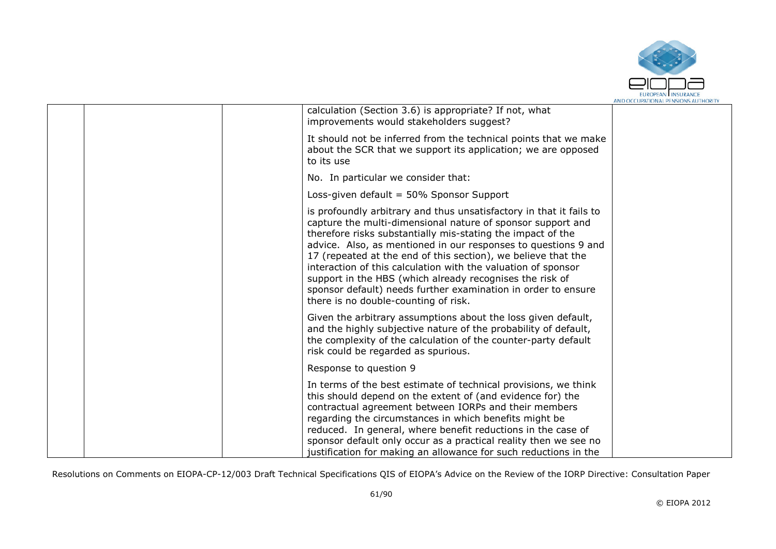

|  | calculation (Section 3.6) is appropriate? If not, what<br>improvements would stakeholders suggest?                                                                                                                                                                                                                                                                                                                                                                                                                                                                         |  |
|--|----------------------------------------------------------------------------------------------------------------------------------------------------------------------------------------------------------------------------------------------------------------------------------------------------------------------------------------------------------------------------------------------------------------------------------------------------------------------------------------------------------------------------------------------------------------------------|--|
|  | It should not be inferred from the technical points that we make<br>about the SCR that we support its application; we are opposed<br>to its use                                                                                                                                                                                                                                                                                                                                                                                                                            |  |
|  | No. In particular we consider that:                                                                                                                                                                                                                                                                                                                                                                                                                                                                                                                                        |  |
|  | Loss-given default = 50% Sponsor Support                                                                                                                                                                                                                                                                                                                                                                                                                                                                                                                                   |  |
|  | is profoundly arbitrary and thus unsatisfactory in that it fails to<br>capture the multi-dimensional nature of sponsor support and<br>therefore risks substantially mis-stating the impact of the<br>advice. Also, as mentioned in our responses to questions 9 and<br>17 (repeated at the end of this section), we believe that the<br>interaction of this calculation with the valuation of sponsor<br>support in the HBS (which already recognises the risk of<br>sponsor default) needs further examination in order to ensure<br>there is no double-counting of risk. |  |
|  | Given the arbitrary assumptions about the loss given default,<br>and the highly subjective nature of the probability of default,<br>the complexity of the calculation of the counter-party default<br>risk could be regarded as spurious.                                                                                                                                                                                                                                                                                                                                  |  |
|  | Response to question 9                                                                                                                                                                                                                                                                                                                                                                                                                                                                                                                                                     |  |
|  | In terms of the best estimate of technical provisions, we think<br>this should depend on the extent of (and evidence for) the<br>contractual agreement between IORPs and their members<br>regarding the circumstances in which benefits might be<br>reduced. In general, where benefit reductions in the case of<br>sponsor default only occur as a practical reality then we see no<br>justification for making an allowance for such reductions in the                                                                                                                   |  |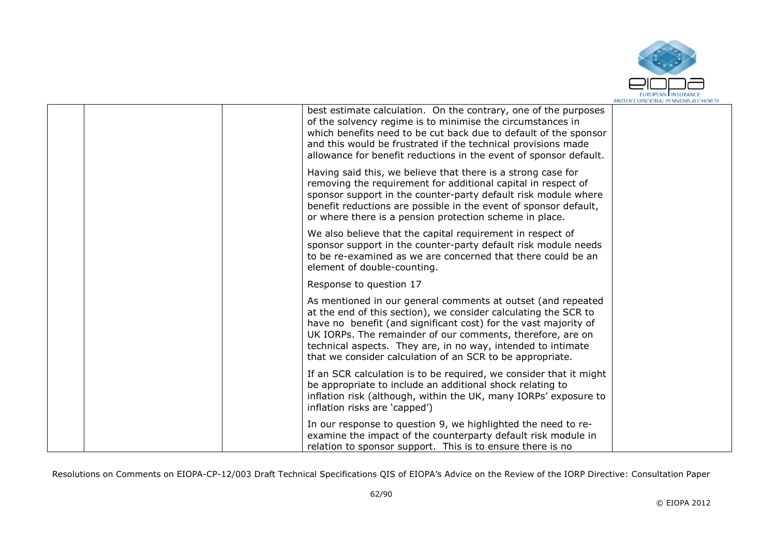

|  | best estimate calculation. On the contrary, one of the purposes<br>of the solvency regime is to minimise the circumstances in<br>which benefits need to be cut back due to default of the sponsor<br>and this would be frustrated if the technical provisions made<br>allowance for benefit reductions in the event of sponsor default.                                                       |  |
|--|-----------------------------------------------------------------------------------------------------------------------------------------------------------------------------------------------------------------------------------------------------------------------------------------------------------------------------------------------------------------------------------------------|--|
|  | Having said this, we believe that there is a strong case for<br>removing the requirement for additional capital in respect of<br>sponsor support in the counter-party default risk module where<br>benefit reductions are possible in the event of sponsor default,<br>or where there is a pension protection scheme in place.                                                                |  |
|  | We also believe that the capital requirement in respect of<br>sponsor support in the counter-party default risk module needs<br>to be re-examined as we are concerned that there could be an<br>element of double-counting.                                                                                                                                                                   |  |
|  | Response to question 17                                                                                                                                                                                                                                                                                                                                                                       |  |
|  | As mentioned in our general comments at outset (and repeated<br>at the end of this section), we consider calculating the SCR to<br>have no benefit (and significant cost) for the vast majority of<br>UK IORPs. The remainder of our comments, therefore, are on<br>technical aspects. They are, in no way, intended to intimate<br>that we consider calculation of an SCR to be appropriate. |  |
|  | If an SCR calculation is to be required, we consider that it might<br>be appropriate to include an additional shock relating to<br>inflation risk (although, within the UK, many IORPs' exposure to<br>inflation risks are 'capped')                                                                                                                                                          |  |
|  | In our response to question 9, we highlighted the need to re-<br>examine the impact of the counterparty default risk module in<br>relation to sponsor support. This is to ensure there is no                                                                                                                                                                                                  |  |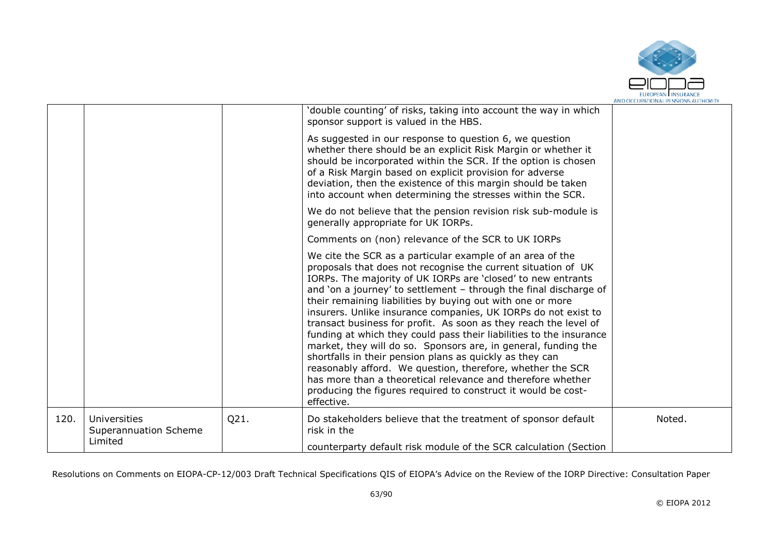

|      |                                                  |      | 'double counting' of risks, taking into account the way in which<br>sponsor support is valued in the HBS.                                                                                                                                                                                                                                                                                                                                                                                                                                                                                                                                                                                                                                                                                                                                                                            |        |
|------|--------------------------------------------------|------|--------------------------------------------------------------------------------------------------------------------------------------------------------------------------------------------------------------------------------------------------------------------------------------------------------------------------------------------------------------------------------------------------------------------------------------------------------------------------------------------------------------------------------------------------------------------------------------------------------------------------------------------------------------------------------------------------------------------------------------------------------------------------------------------------------------------------------------------------------------------------------------|--------|
|      |                                                  |      | As suggested in our response to question 6, we question<br>whether there should be an explicit Risk Margin or whether it<br>should be incorporated within the SCR. If the option is chosen<br>of a Risk Margin based on explicit provision for adverse<br>deviation, then the existence of this margin should be taken<br>into account when determining the stresses within the SCR.                                                                                                                                                                                                                                                                                                                                                                                                                                                                                                 |        |
|      |                                                  |      | We do not believe that the pension revision risk sub-module is<br>generally appropriate for UK IORPs.                                                                                                                                                                                                                                                                                                                                                                                                                                                                                                                                                                                                                                                                                                                                                                                |        |
|      |                                                  |      | Comments on (non) relevance of the SCR to UK IORPs                                                                                                                                                                                                                                                                                                                                                                                                                                                                                                                                                                                                                                                                                                                                                                                                                                   |        |
|      |                                                  |      | We cite the SCR as a particular example of an area of the<br>proposals that does not recognise the current situation of UK<br>IORPs. The majority of UK IORPs are 'closed' to new entrants<br>and 'on a journey' to settlement - through the final discharge of<br>their remaining liabilities by buying out with one or more<br>insurers. Unlike insurance companies, UK IORPs do not exist to<br>transact business for profit. As soon as they reach the level of<br>funding at which they could pass their liabilities to the insurance<br>market, they will do so. Sponsors are, in general, funding the<br>shortfalls in their pension plans as quickly as they can<br>reasonably afford. We question, therefore, whether the SCR<br>has more than a theoretical relevance and therefore whether<br>producing the figures required to construct it would be cost-<br>effective. |        |
| 120. | Universities<br>Superannuation Scheme<br>Limited | Q21. | Do stakeholders believe that the treatment of sponsor default<br>risk in the                                                                                                                                                                                                                                                                                                                                                                                                                                                                                                                                                                                                                                                                                                                                                                                                         | Noted. |
|      |                                                  |      | counterparty default risk module of the SCR calculation (Section                                                                                                                                                                                                                                                                                                                                                                                                                                                                                                                                                                                                                                                                                                                                                                                                                     |        |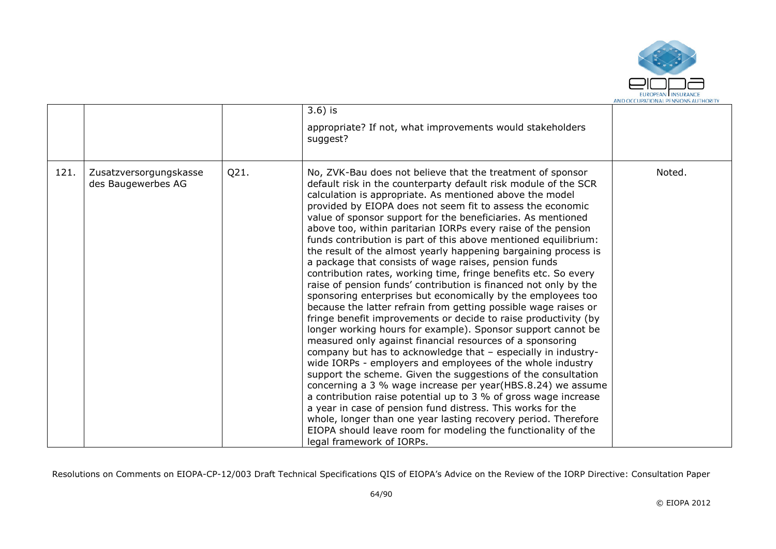

|      |                                              |      | $3.6$ ) is<br>appropriate? If not, what improvements would stakeholders<br>suggest?                                                                                                                                                                                                                                                                                                                                                                                                                                                                                                                                                                                                                                                                                                                                                                                                                                                                                                                                                                                                                                                                                                                                                                                                                                                                                                                                                                                                                                                                                                                                                |        |
|------|----------------------------------------------|------|------------------------------------------------------------------------------------------------------------------------------------------------------------------------------------------------------------------------------------------------------------------------------------------------------------------------------------------------------------------------------------------------------------------------------------------------------------------------------------------------------------------------------------------------------------------------------------------------------------------------------------------------------------------------------------------------------------------------------------------------------------------------------------------------------------------------------------------------------------------------------------------------------------------------------------------------------------------------------------------------------------------------------------------------------------------------------------------------------------------------------------------------------------------------------------------------------------------------------------------------------------------------------------------------------------------------------------------------------------------------------------------------------------------------------------------------------------------------------------------------------------------------------------------------------------------------------------------------------------------------------------|--------|
| 121. | Zusatzversorgungskasse<br>des Baugewerbes AG | Q21. | No, ZVK-Bau does not believe that the treatment of sponsor<br>default risk in the counterparty default risk module of the SCR<br>calculation is appropriate. As mentioned above the model<br>provided by EIOPA does not seem fit to assess the economic<br>value of sponsor support for the beneficiaries. As mentioned<br>above too, within paritarian IORPs every raise of the pension<br>funds contribution is part of this above mentioned equilibrium:<br>the result of the almost yearly happening bargaining process is<br>a package that consists of wage raises, pension funds<br>contribution rates, working time, fringe benefits etc. So every<br>raise of pension funds' contribution is financed not only by the<br>sponsoring enterprises but economically by the employees too<br>because the latter refrain from getting possible wage raises or<br>fringe benefit improvements or decide to raise productivity (by<br>longer working hours for example). Sponsor support cannot be<br>measured only against financial resources of a sponsoring<br>company but has to acknowledge that - especially in industry-<br>wide IORPs - employers and employees of the whole industry<br>support the scheme. Given the suggestions of the consultation<br>concerning a 3 % wage increase per year(HBS.8.24) we assume<br>a contribution raise potential up to 3 % of gross wage increase<br>a year in case of pension fund distress. This works for the<br>whole, longer than one year lasting recovery period. Therefore<br>EIOPA should leave room for modeling the functionality of the<br>legal framework of IORPs. | Noted. |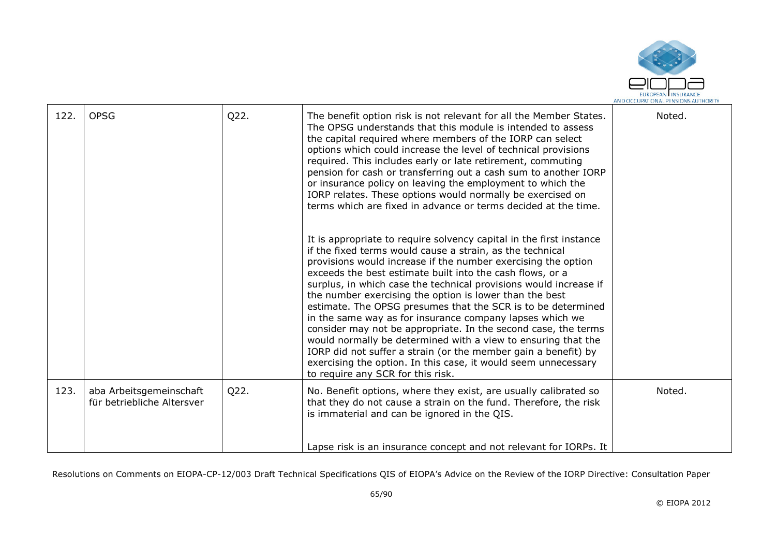

| 122. | <b>OPSG</b>                                           | Q22. | The benefit option risk is not relevant for all the Member States.<br>The OPSG understands that this module is intended to assess<br>the capital required where members of the IORP can select<br>options which could increase the level of technical provisions<br>required. This includes early or late retirement, commuting<br>pension for cash or transferring out a cash sum to another IORP<br>or insurance policy on leaving the employment to which the<br>IORP relates. These options would normally be exercised on<br>terms which are fixed in advance or terms decided at the time.<br>It is appropriate to require solvency capital in the first instance<br>if the fixed terms would cause a strain, as the technical<br>provisions would increase if the number exercising the option<br>exceeds the best estimate built into the cash flows, or a<br>surplus, in which case the technical provisions would increase if<br>the number exercising the option is lower than the best<br>estimate. The OPSG presumes that the SCR is to be determined<br>in the same way as for insurance company lapses which we<br>consider may not be appropriate. In the second case, the terms<br>would normally be determined with a view to ensuring that the<br>IORP did not suffer a strain (or the member gain a benefit) by<br>exercising the option. In this case, it would seem unnecessary | Noted. |
|------|-------------------------------------------------------|------|-------------------------------------------------------------------------------------------------------------------------------------------------------------------------------------------------------------------------------------------------------------------------------------------------------------------------------------------------------------------------------------------------------------------------------------------------------------------------------------------------------------------------------------------------------------------------------------------------------------------------------------------------------------------------------------------------------------------------------------------------------------------------------------------------------------------------------------------------------------------------------------------------------------------------------------------------------------------------------------------------------------------------------------------------------------------------------------------------------------------------------------------------------------------------------------------------------------------------------------------------------------------------------------------------------------------------------------------------------------------------------------------------------|--------|
|      |                                                       |      | to require any SCR for this risk.                                                                                                                                                                                                                                                                                                                                                                                                                                                                                                                                                                                                                                                                                                                                                                                                                                                                                                                                                                                                                                                                                                                                                                                                                                                                                                                                                                     |        |
| 123. | aba Arbeitsgemeinschaft<br>für betriebliche Altersver | Q22. | No. Benefit options, where they exist, are usually calibrated so<br>that they do not cause a strain on the fund. Therefore, the risk<br>is immaterial and can be ignored in the QIS.                                                                                                                                                                                                                                                                                                                                                                                                                                                                                                                                                                                                                                                                                                                                                                                                                                                                                                                                                                                                                                                                                                                                                                                                                  | Noted. |
|      |                                                       |      | Lapse risk is an insurance concept and not relevant for IORPs. It                                                                                                                                                                                                                                                                                                                                                                                                                                                                                                                                                                                                                                                                                                                                                                                                                                                                                                                                                                                                                                                                                                                                                                                                                                                                                                                                     |        |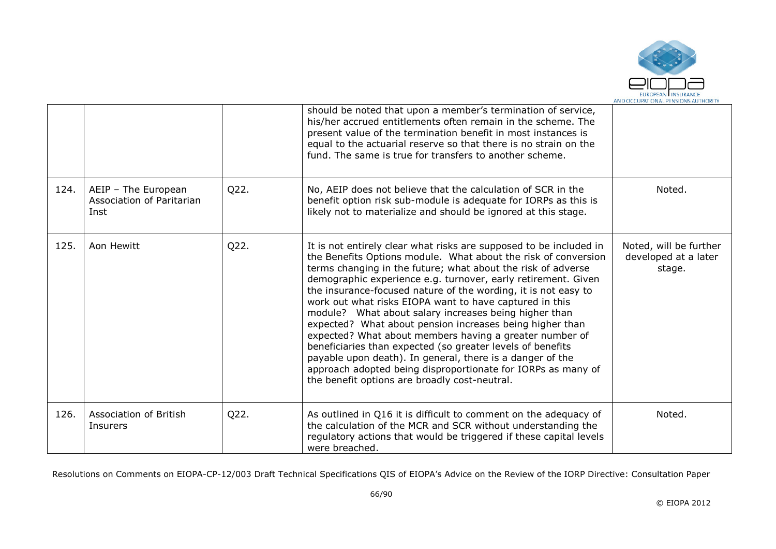

|      |                                                          |      | should be noted that upon a member's termination of service,<br>his/her accrued entitlements often remain in the scheme. The<br>present value of the termination benefit in most instances is<br>equal to the actuarial reserve so that there is no strain on the<br>fund. The same is true for transfers to another scheme.                                                                                                                                                                                                                                                                                                                                                                                                                                                                                                   |                                                          |
|------|----------------------------------------------------------|------|--------------------------------------------------------------------------------------------------------------------------------------------------------------------------------------------------------------------------------------------------------------------------------------------------------------------------------------------------------------------------------------------------------------------------------------------------------------------------------------------------------------------------------------------------------------------------------------------------------------------------------------------------------------------------------------------------------------------------------------------------------------------------------------------------------------------------------|----------------------------------------------------------|
| 124. | AEIP - The European<br>Association of Paritarian<br>Inst | Q22. | No, AEIP does not believe that the calculation of SCR in the<br>benefit option risk sub-module is adequate for IORPs as this is<br>likely not to materialize and should be ignored at this stage.                                                                                                                                                                                                                                                                                                                                                                                                                                                                                                                                                                                                                              | Noted.                                                   |
| 125. | Aon Hewitt                                               | Q22. | It is not entirely clear what risks are supposed to be included in<br>the Benefits Options module. What about the risk of conversion<br>terms changing in the future; what about the risk of adverse<br>demographic experience e.g. turnover, early retirement. Given<br>the insurance-focused nature of the wording, it is not easy to<br>work out what risks EIOPA want to have captured in this<br>module? What about salary increases being higher than<br>expected? What about pension increases being higher than<br>expected? What about members having a greater number of<br>beneficiaries than expected (so greater levels of benefits<br>payable upon death). In general, there is a danger of the<br>approach adopted being disproportionate for IORPs as many of<br>the benefit options are broadly cost-neutral. | Noted, will be further<br>developed at a later<br>stage. |
| 126. | Association of British<br>Insurers                       | Q22. | As outlined in Q16 it is difficult to comment on the adequacy of<br>the calculation of the MCR and SCR without understanding the<br>regulatory actions that would be triggered if these capital levels<br>were breached.                                                                                                                                                                                                                                                                                                                                                                                                                                                                                                                                                                                                       | Noted.                                                   |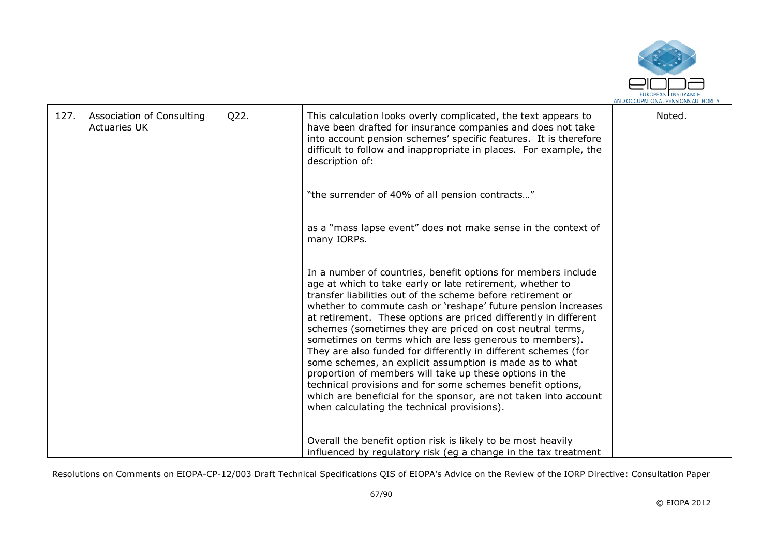

| 127. | Association of Consulting<br><b>Actuaries UK</b> | Q22. | This calculation looks overly complicated, the text appears to<br>have been drafted for insurance companies and does not take<br>into account pension schemes' specific features. It is therefore<br>difficult to follow and inappropriate in places. For example, the<br>description of:                                                                                                                                                                                                                                                                                                                                                                                                                                                                                                                                       | Noted. |
|------|--------------------------------------------------|------|---------------------------------------------------------------------------------------------------------------------------------------------------------------------------------------------------------------------------------------------------------------------------------------------------------------------------------------------------------------------------------------------------------------------------------------------------------------------------------------------------------------------------------------------------------------------------------------------------------------------------------------------------------------------------------------------------------------------------------------------------------------------------------------------------------------------------------|--------|
|      |                                                  |      | "the surrender of 40% of all pension contracts"                                                                                                                                                                                                                                                                                                                                                                                                                                                                                                                                                                                                                                                                                                                                                                                 |        |
|      |                                                  |      | as a "mass lapse event" does not make sense in the context of<br>many IORPs.                                                                                                                                                                                                                                                                                                                                                                                                                                                                                                                                                                                                                                                                                                                                                    |        |
|      |                                                  |      | In a number of countries, benefit options for members include<br>age at which to take early or late retirement, whether to<br>transfer liabilities out of the scheme before retirement or<br>whether to commute cash or 'reshape' future pension increases<br>at retirement. These options are priced differently in different<br>schemes (sometimes they are priced on cost neutral terms,<br>sometimes on terms which are less generous to members).<br>They are also funded for differently in different schemes (for<br>some schemes, an explicit assumption is made as to what<br>proportion of members will take up these options in the<br>technical provisions and for some schemes benefit options,<br>which are beneficial for the sponsor, are not taken into account<br>when calculating the technical provisions). |        |
|      |                                                  |      | Overall the benefit option risk is likely to be most heavily<br>influenced by regulatory risk (eg a change in the tax treatment                                                                                                                                                                                                                                                                                                                                                                                                                                                                                                                                                                                                                                                                                                 |        |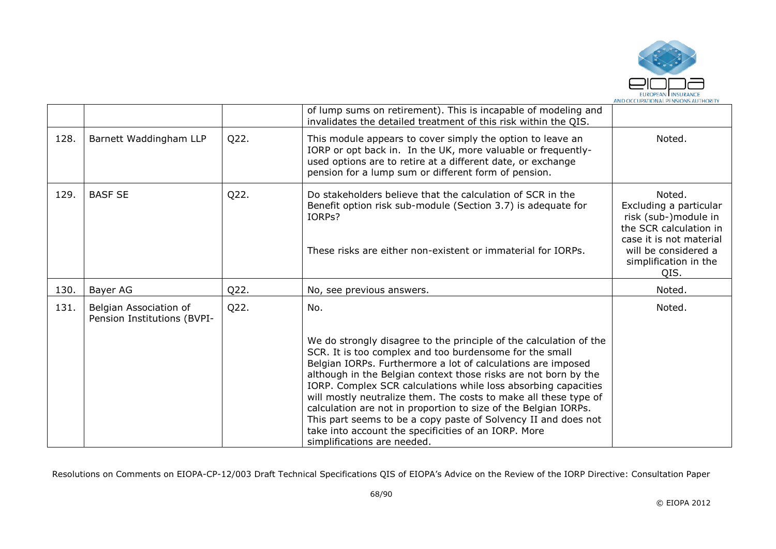

|      |                                                       |      | of lump sums on retirement). This is incapable of modeling and<br>invalidates the detailed treatment of this risk within the QIS.                                                                                                                                                                                                                                                                                                                                                                                                                                                                                                  |                                                                                                                                                                        |
|------|-------------------------------------------------------|------|------------------------------------------------------------------------------------------------------------------------------------------------------------------------------------------------------------------------------------------------------------------------------------------------------------------------------------------------------------------------------------------------------------------------------------------------------------------------------------------------------------------------------------------------------------------------------------------------------------------------------------|------------------------------------------------------------------------------------------------------------------------------------------------------------------------|
| 128. | Barnett Waddingham LLP                                | Q22. | This module appears to cover simply the option to leave an<br>IORP or opt back in. In the UK, more valuable or frequently-<br>used options are to retire at a different date, or exchange<br>pension for a lump sum or different form of pension.                                                                                                                                                                                                                                                                                                                                                                                  | Noted.                                                                                                                                                                 |
| 129. | <b>BASF SE</b>                                        | Q22. | Do stakeholders believe that the calculation of SCR in the<br>Benefit option risk sub-module (Section 3.7) is adequate for<br>IORPs?<br>These risks are either non-existent or immaterial for IORPs.                                                                                                                                                                                                                                                                                                                                                                                                                               | Noted.<br>Excluding a particular<br>risk (sub-)module in<br>the SCR calculation in<br>case it is not material<br>will be considered a<br>simplification in the<br>QIS. |
| 130. | Bayer AG                                              | Q22. | No, see previous answers.                                                                                                                                                                                                                                                                                                                                                                                                                                                                                                                                                                                                          | Noted.                                                                                                                                                                 |
| 131. | Belgian Association of<br>Pension Institutions (BVPI- | Q22. | No.                                                                                                                                                                                                                                                                                                                                                                                                                                                                                                                                                                                                                                | Noted.                                                                                                                                                                 |
|      |                                                       |      | We do strongly disagree to the principle of the calculation of the<br>SCR. It is too complex and too burdensome for the small<br>Belgian IORPs. Furthermore a lot of calculations are imposed<br>although in the Belgian context those risks are not born by the<br>IORP. Complex SCR calculations while loss absorbing capacities<br>will mostly neutralize them. The costs to make all these type of<br>calculation are not in proportion to size of the Belgian IORPs.<br>This part seems to be a copy paste of Solvency II and does not<br>take into account the specificities of an IORP. More<br>simplifications are needed. |                                                                                                                                                                        |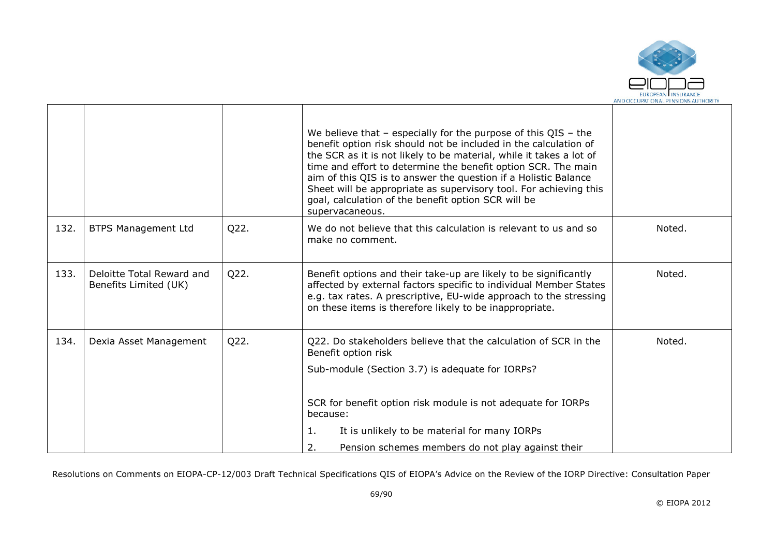

|      |                                                    |      | We believe that $-$ especially for the purpose of this QIS $-$ the<br>benefit option risk should not be included in the calculation of<br>the SCR as it is not likely to be material, while it takes a lot of<br>time and effort to determine the benefit option SCR. The main<br>aim of this QIS is to answer the question if a Holistic Balance<br>Sheet will be appropriate as supervisory tool. For achieving this<br>goal, calculation of the benefit option SCR will be<br>supervacaneous. |        |
|------|----------------------------------------------------|------|--------------------------------------------------------------------------------------------------------------------------------------------------------------------------------------------------------------------------------------------------------------------------------------------------------------------------------------------------------------------------------------------------------------------------------------------------------------------------------------------------|--------|
| 132. | <b>BTPS Management Ltd</b>                         | Q22. | We do not believe that this calculation is relevant to us and so<br>make no comment.                                                                                                                                                                                                                                                                                                                                                                                                             | Noted. |
| 133. | Deloitte Total Reward and<br>Benefits Limited (UK) | Q22. | Benefit options and their take-up are likely to be significantly<br>affected by external factors specific to individual Member States<br>e.g. tax rates. A prescriptive, EU-wide approach to the stressing<br>on these items is therefore likely to be inappropriate.                                                                                                                                                                                                                            | Noted. |
| 134. | Dexia Asset Management                             | Q22. | Q22. Do stakeholders believe that the calculation of SCR in the<br>Benefit option risk<br>Sub-module (Section 3.7) is adequate for IORPs?<br>SCR for benefit option risk module is not adequate for IORPs<br>because:                                                                                                                                                                                                                                                                            | Noted. |
|      |                                                    |      | 1.<br>It is unlikely to be material for many IORPs<br>2.<br>Pension schemes members do not play against their                                                                                                                                                                                                                                                                                                                                                                                    |        |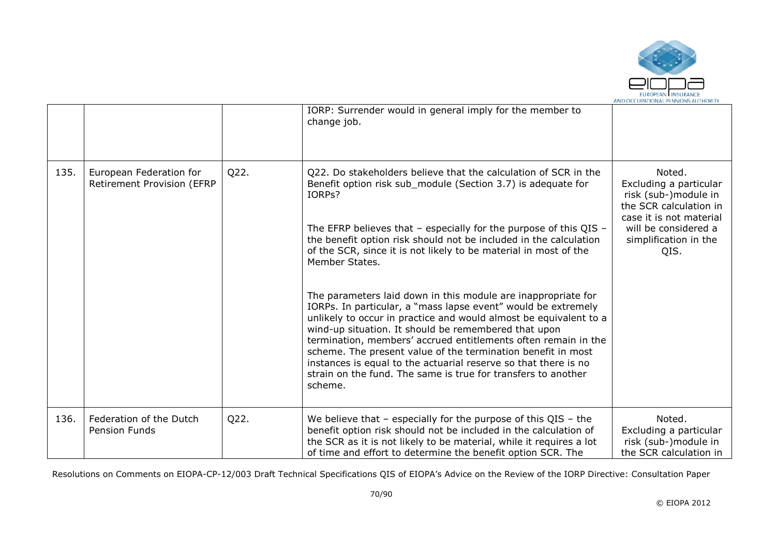

|      |                                                       |      | IORP: Surrender would in general imply for the member to<br>change job.                                                                                                                                                                                                                                                                                                                                                                                                                                                                      |                                                                                                                                                                        |
|------|-------------------------------------------------------|------|----------------------------------------------------------------------------------------------------------------------------------------------------------------------------------------------------------------------------------------------------------------------------------------------------------------------------------------------------------------------------------------------------------------------------------------------------------------------------------------------------------------------------------------------|------------------------------------------------------------------------------------------------------------------------------------------------------------------------|
| 135. | European Federation for<br>Retirement Provision (EFRP | Q22. | Q22. Do stakeholders believe that the calculation of SCR in the<br>Benefit option risk sub_module (Section 3.7) is adequate for<br>IORPs?<br>The EFRP believes that $-$ especially for the purpose of this QIS $-$<br>the benefit option risk should not be included in the calculation<br>of the SCR, since it is not likely to be material in most of the<br>Member States.                                                                                                                                                                | Noted.<br>Excluding a particular<br>risk (sub-)module in<br>the SCR calculation in<br>case it is not material<br>will be considered a<br>simplification in the<br>QIS. |
|      |                                                       |      | The parameters laid down in this module are inappropriate for<br>IORPs. In particular, a "mass lapse event" would be extremely<br>unlikely to occur in practice and would almost be equivalent to a<br>wind-up situation. It should be remembered that upon<br>termination, members' accrued entitlements often remain in the<br>scheme. The present value of the termination benefit in most<br>instances is equal to the actuarial reserve so that there is no<br>strain on the fund. The same is true for transfers to another<br>scheme. |                                                                                                                                                                        |
| 136. | Federation of the Dutch<br><b>Pension Funds</b>       | Q22. | We believe that $-$ especially for the purpose of this QIS $-$ the<br>benefit option risk should not be included in the calculation of<br>the SCR as it is not likely to be material, while it requires a lot<br>of time and effort to determine the benefit option SCR. The                                                                                                                                                                                                                                                                 | Noted.<br>Excluding a particular<br>risk (sub-)module in<br>the SCR calculation in                                                                                     |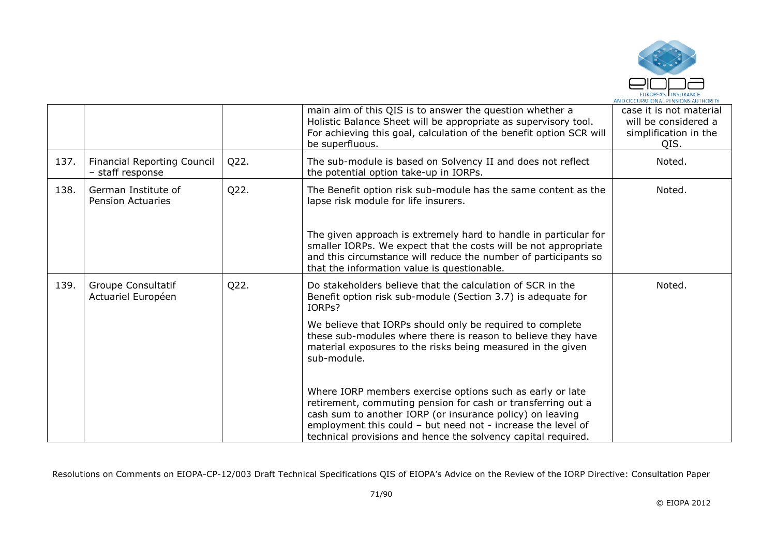

|      |                                                        |      | main aim of this QIS is to answer the question whether a<br>Holistic Balance Sheet will be appropriate as supervisory tool.<br>For achieving this goal, calculation of the benefit option SCR will<br>be superfluous.                                                                                                   | case it is not material<br>will be considered a<br>simplification in the<br>QIS. |
|------|--------------------------------------------------------|------|-------------------------------------------------------------------------------------------------------------------------------------------------------------------------------------------------------------------------------------------------------------------------------------------------------------------------|----------------------------------------------------------------------------------|
| 137. | <b>Financial Reporting Council</b><br>- staff response | Q22. | The sub-module is based on Solvency II and does not reflect<br>the potential option take-up in IORPs.                                                                                                                                                                                                                   | Noted.                                                                           |
| 138. | German Institute of<br><b>Pension Actuaries</b>        | Q22. | The Benefit option risk sub-module has the same content as the<br>lapse risk module for life insurers.                                                                                                                                                                                                                  | Noted.                                                                           |
|      |                                                        |      | The given approach is extremely hard to handle in particular for<br>smaller IORPs. We expect that the costs will be not appropriate<br>and this circumstance will reduce the number of participants so<br>that the information value is questionable.                                                                   |                                                                                  |
| 139. | Groupe Consultatif<br>Actuariel Européen               | Q22. | Do stakeholders believe that the calculation of SCR in the<br>Benefit option risk sub-module (Section 3.7) is adequate for<br>IORPs?                                                                                                                                                                                    | Noted.                                                                           |
|      |                                                        |      | We believe that IORPs should only be required to complete<br>these sub-modules where there is reason to believe they have<br>material exposures to the risks being measured in the given<br>sub-module.                                                                                                                 |                                                                                  |
|      |                                                        |      | Where IORP members exercise options such as early or late<br>retirement, commuting pension for cash or transferring out a<br>cash sum to another IORP (or insurance policy) on leaving<br>employment this could - but need not - increase the level of<br>technical provisions and hence the solvency capital required. |                                                                                  |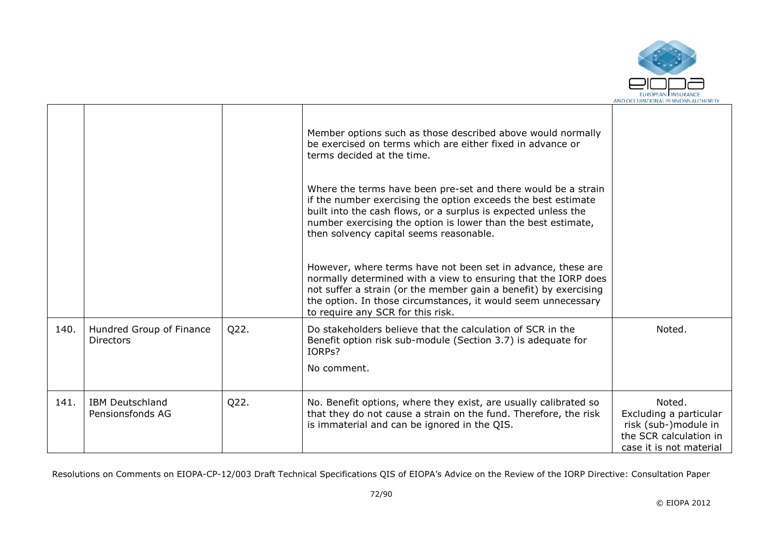

|      |                                              |      | Member options such as those described above would normally<br>be exercised on terms which are either fixed in advance or<br>terms decided at the time.<br>Where the terms have been pre-set and there would be a strain<br>if the number exercising the option exceeds the best estimate<br>built into the cash flows, or a surplus is expected unless the<br>number exercising the option is lower than the best estimate,<br>then solvency capital seems reasonable.<br>However, where terms have not been set in advance, these are<br>normally determined with a view to ensuring that the IORP does<br>not suffer a strain (or the member gain a benefit) by exercising<br>the option. In those circumstances, it would seem unnecessary<br>to require any SCR for this risk. |                                                                                                               |
|------|----------------------------------------------|------|-------------------------------------------------------------------------------------------------------------------------------------------------------------------------------------------------------------------------------------------------------------------------------------------------------------------------------------------------------------------------------------------------------------------------------------------------------------------------------------------------------------------------------------------------------------------------------------------------------------------------------------------------------------------------------------------------------------------------------------------------------------------------------------|---------------------------------------------------------------------------------------------------------------|
| 140. | Hundred Group of Finance<br><b>Directors</b> | Q22. | Do stakeholders believe that the calculation of SCR in the<br>Benefit option risk sub-module (Section 3.7) is adequate for<br>IORPs?<br>No comment.                                                                                                                                                                                                                                                                                                                                                                                                                                                                                                                                                                                                                                 | Noted.                                                                                                        |
| 141. | <b>IBM Deutschland</b><br>Pensionsfonds AG   | Q22. | No. Benefit options, where they exist, are usually calibrated so<br>that they do not cause a strain on the fund. Therefore, the risk<br>is immaterial and can be ignored in the QIS.                                                                                                                                                                                                                                                                                                                                                                                                                                                                                                                                                                                                | Noted.<br>Excluding a particular<br>risk (sub-)module in<br>the SCR calculation in<br>case it is not material |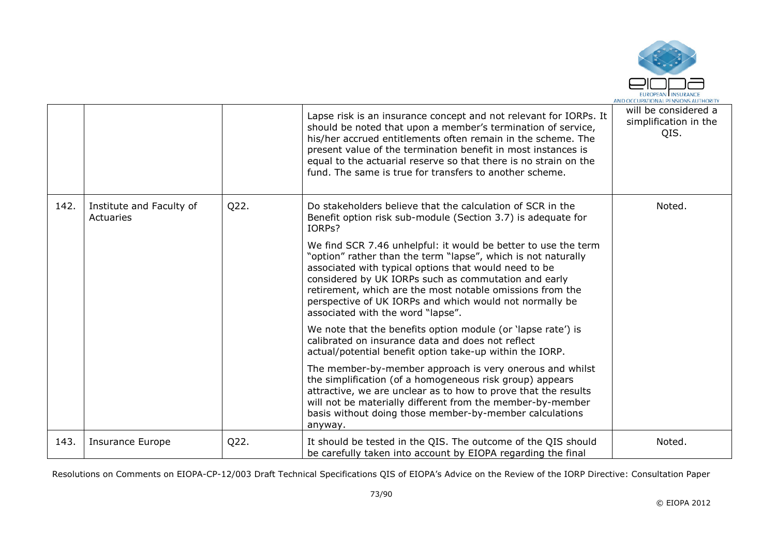

|      |                                       |      | Lapse risk is an insurance concept and not relevant for IORPs. It<br>should be noted that upon a member's termination of service,<br>his/her accrued entitlements often remain in the scheme. The<br>present value of the termination benefit in most instances is<br>equal to the actuarial reserve so that there is no strain on the<br>fund. The same is true for transfers to another scheme.             | will be considered a<br>simplification in the<br>QIS. |
|------|---------------------------------------|------|---------------------------------------------------------------------------------------------------------------------------------------------------------------------------------------------------------------------------------------------------------------------------------------------------------------------------------------------------------------------------------------------------------------|-------------------------------------------------------|
| 142. | Institute and Faculty of<br>Actuaries | Q22. | Do stakeholders believe that the calculation of SCR in the<br>Benefit option risk sub-module (Section 3.7) is adequate for<br>IORPs?                                                                                                                                                                                                                                                                          | Noted.                                                |
|      |                                       |      | We find SCR 7.46 unhelpful: it would be better to use the term<br>"option" rather than the term "lapse", which is not naturally<br>associated with typical options that would need to be<br>considered by UK IORPs such as commutation and early<br>retirement, which are the most notable omissions from the<br>perspective of UK IORPs and which would not normally be<br>associated with the word "lapse". |                                                       |
|      |                                       |      | We note that the benefits option module (or 'lapse rate') is<br>calibrated on insurance data and does not reflect<br>actual/potential benefit option take-up within the IORP.                                                                                                                                                                                                                                 |                                                       |
|      |                                       |      | The member-by-member approach is very onerous and whilst<br>the simplification (of a homogeneous risk group) appears<br>attractive, we are unclear as to how to prove that the results<br>will not be materially different from the member-by-member<br>basis without doing those member-by-member calculations<br>anyway.                                                                                    |                                                       |
| 143. | Insurance Europe                      | Q22. | It should be tested in the QIS. The outcome of the QIS should<br>be carefully taken into account by EIOPA regarding the final                                                                                                                                                                                                                                                                                 | Noted.                                                |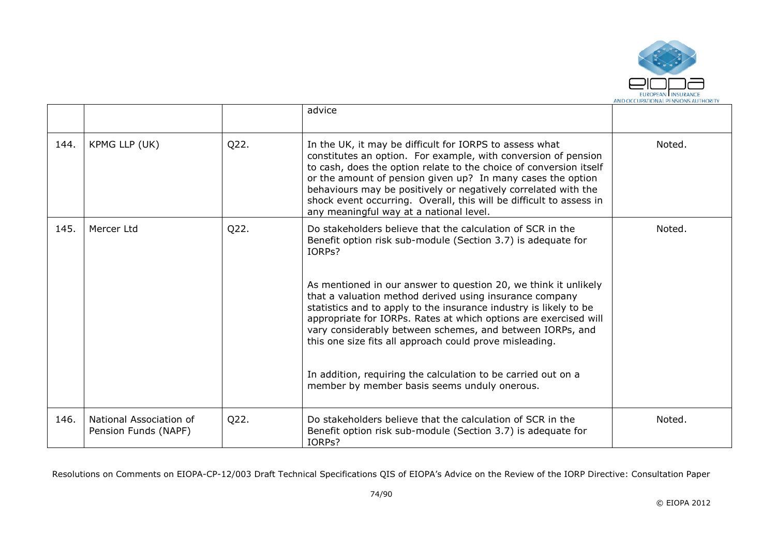

|      |                                                 |      | advice                                                                                                                                                                                                                                                                                                                                                                                                                                                                                                                                                                                                                                               |        |
|------|-------------------------------------------------|------|------------------------------------------------------------------------------------------------------------------------------------------------------------------------------------------------------------------------------------------------------------------------------------------------------------------------------------------------------------------------------------------------------------------------------------------------------------------------------------------------------------------------------------------------------------------------------------------------------------------------------------------------------|--------|
| 144. | KPMG LLP (UK)                                   | Q22. | In the UK, it may be difficult for IORPS to assess what<br>constitutes an option. For example, with conversion of pension<br>to cash, does the option relate to the choice of conversion itself<br>or the amount of pension given up? In many cases the option<br>behaviours may be positively or negatively correlated with the<br>shock event occurring. Overall, this will be difficult to assess in<br>any meaningful way at a national level.                                                                                                                                                                                                   | Noted. |
| 145. | Mercer Ltd                                      | Q22. | Do stakeholders believe that the calculation of SCR in the<br>Benefit option risk sub-module (Section 3.7) is adequate for<br>IORPs?<br>As mentioned in our answer to question 20, we think it unlikely<br>that a valuation method derived using insurance company<br>statistics and to apply to the insurance industry is likely to be<br>appropriate for IORPs. Rates at which options are exercised will<br>vary considerably between schemes, and between IORPs, and<br>this one size fits all approach could prove misleading.<br>In addition, requiring the calculation to be carried out on a<br>member by member basis seems unduly onerous. | Noted. |
| 146. | National Association of<br>Pension Funds (NAPF) | Q22. | Do stakeholders believe that the calculation of SCR in the<br>Benefit option risk sub-module (Section 3.7) is adequate for<br>IORPs?                                                                                                                                                                                                                                                                                                                                                                                                                                                                                                                 | Noted. |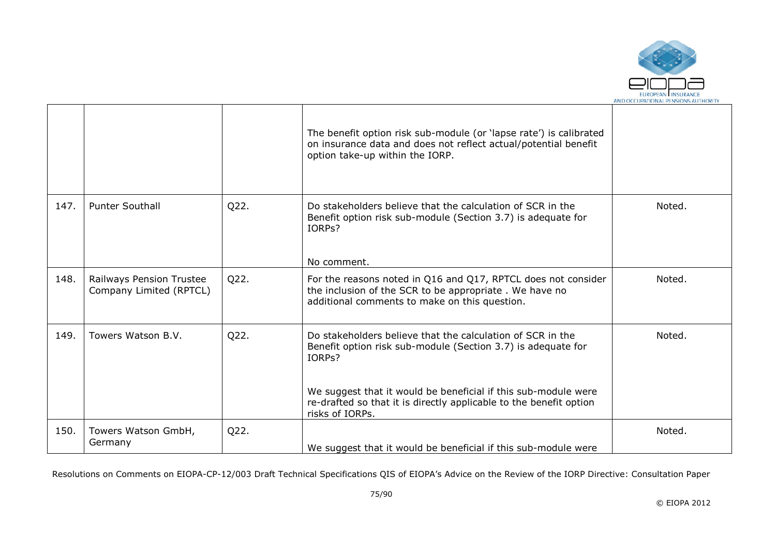

|      |                                                     |      | The benefit option risk sub-module (or 'lapse rate') is calibrated<br>on insurance data and does not reflect actual/potential benefit<br>option take-up within the IORP.                                                                                                                        |        |
|------|-----------------------------------------------------|------|-------------------------------------------------------------------------------------------------------------------------------------------------------------------------------------------------------------------------------------------------------------------------------------------------|--------|
| 147. | <b>Punter Southall</b>                              | Q22. | Do stakeholders believe that the calculation of SCR in the<br>Benefit option risk sub-module (Section 3.7) is adequate for<br>IORP <sub>S</sub> ?<br>No comment.                                                                                                                                | Noted. |
| 148. | Railways Pension Trustee<br>Company Limited (RPTCL) | Q22. | For the reasons noted in Q16 and Q17, RPTCL does not consider<br>the inclusion of the SCR to be appropriate. We have no<br>additional comments to make on this question.                                                                                                                        | Noted. |
| 149. | Towers Watson B.V.                                  | Q22. | Do stakeholders believe that the calculation of SCR in the<br>Benefit option risk sub-module (Section 3.7) is adequate for<br>IORPs?<br>We suggest that it would be beneficial if this sub-module were<br>re-drafted so that it is directly applicable to the benefit option<br>risks of IORPs. | Noted. |
| 150. | Towers Watson GmbH,<br>Germany                      | Q22. | We suggest that it would be beneficial if this sub-module were                                                                                                                                                                                                                                  | Noted. |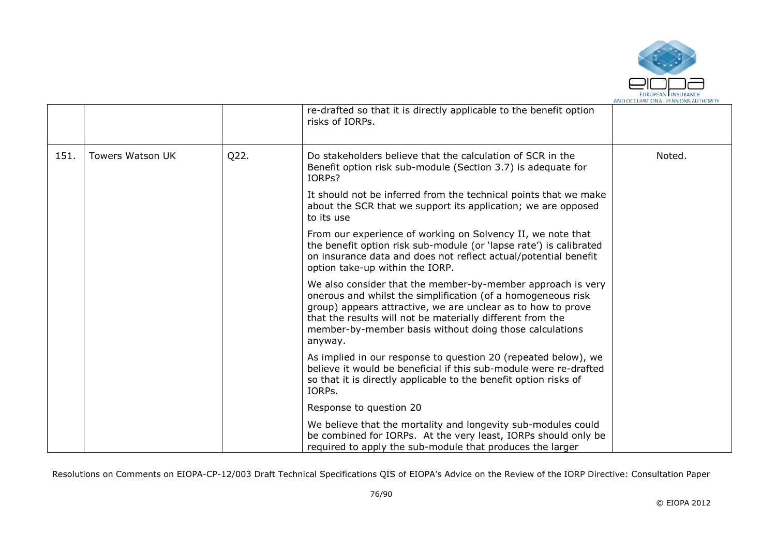

|      |                         |      | re-drafted so that it is directly applicable to the benefit option<br>risks of IORPs.                                                                                                                                                                                                                                           |        |
|------|-------------------------|------|---------------------------------------------------------------------------------------------------------------------------------------------------------------------------------------------------------------------------------------------------------------------------------------------------------------------------------|--------|
| 151. | <b>Towers Watson UK</b> | Q22. | Do stakeholders believe that the calculation of SCR in the<br>Benefit option risk sub-module (Section 3.7) is adequate for<br>IORPs?                                                                                                                                                                                            | Noted. |
|      |                         |      | It should not be inferred from the technical points that we make<br>about the SCR that we support its application; we are opposed<br>to its use                                                                                                                                                                                 |        |
|      |                         |      | From our experience of working on Solvency II, we note that<br>the benefit option risk sub-module (or 'lapse rate') is calibrated<br>on insurance data and does not reflect actual/potential benefit<br>option take-up within the IORP.                                                                                         |        |
|      |                         |      | We also consider that the member-by-member approach is very<br>onerous and whilst the simplification (of a homogeneous risk<br>group) appears attractive, we are unclear as to how to prove<br>that the results will not be materially different from the<br>member-by-member basis without doing those calculations<br>anyway. |        |
|      |                         |      | As implied in our response to question 20 (repeated below), we<br>believe it would be beneficial if this sub-module were re-drafted<br>so that it is directly applicable to the benefit option risks of<br>IORPs.                                                                                                               |        |
|      |                         |      | Response to question 20                                                                                                                                                                                                                                                                                                         |        |
|      |                         |      | We believe that the mortality and longevity sub-modules could<br>be combined for IORPs. At the very least, IORPs should only be<br>required to apply the sub-module that produces the larger                                                                                                                                    |        |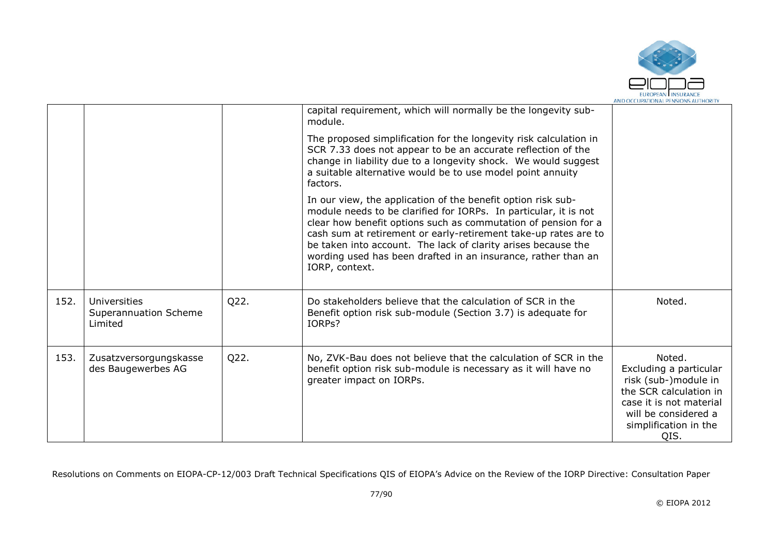

|      |                                                         |      | capital requirement, which will normally be the longevity sub-<br>module.                                                                                                                                                                                                                                                                                                                                                 |                                                                                                                                                                        |
|------|---------------------------------------------------------|------|---------------------------------------------------------------------------------------------------------------------------------------------------------------------------------------------------------------------------------------------------------------------------------------------------------------------------------------------------------------------------------------------------------------------------|------------------------------------------------------------------------------------------------------------------------------------------------------------------------|
|      |                                                         |      | The proposed simplification for the longevity risk calculation in<br>SCR 7.33 does not appear to be an accurate reflection of the<br>change in liability due to a longevity shock. We would suggest<br>a suitable alternative would be to use model point annuity<br>factors.                                                                                                                                             |                                                                                                                                                                        |
|      |                                                         |      | In our view, the application of the benefit option risk sub-<br>module needs to be clarified for IORPs. In particular, it is not<br>clear how benefit options such as commutation of pension for a<br>cash sum at retirement or early-retirement take-up rates are to<br>be taken into account. The lack of clarity arises because the<br>wording used has been drafted in an insurance, rather than an<br>IORP, context. |                                                                                                                                                                        |
| 152. | <b>Universities</b><br>Superannuation Scheme<br>Limited | Q22. | Do stakeholders believe that the calculation of SCR in the<br>Benefit option risk sub-module (Section 3.7) is adequate for<br>IORPs?                                                                                                                                                                                                                                                                                      | Noted.                                                                                                                                                                 |
| 153. | Zusatzversorgungskasse<br>des Baugewerbes AG            | Q22. | No, ZVK-Bau does not believe that the calculation of SCR in the<br>benefit option risk sub-module is necessary as it will have no<br>greater impact on IORPs.                                                                                                                                                                                                                                                             | Noted.<br>Excluding a particular<br>risk (sub-)module in<br>the SCR calculation in<br>case it is not material<br>will be considered a<br>simplification in the<br>QIS. |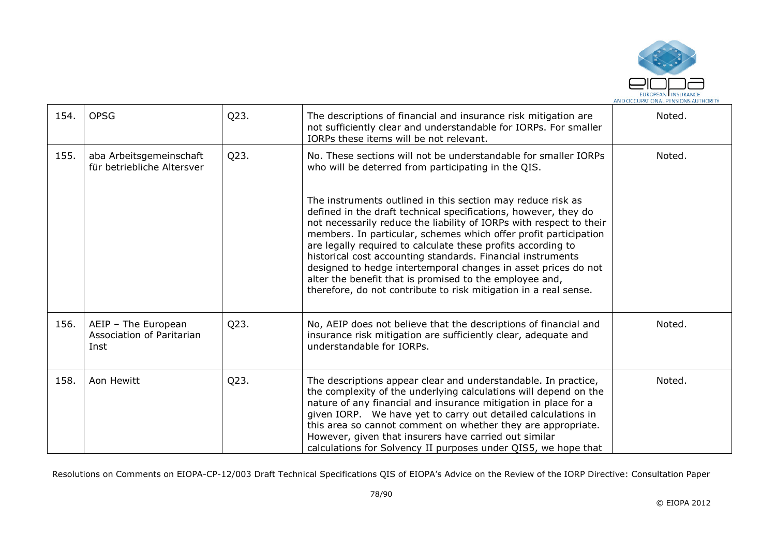

| 154. | <b>OPSG</b>                                              | Q23. | The descriptions of financial and insurance risk mitigation are<br>not sufficiently clear and understandable for IORPs. For smaller<br>IORPs these items will be not relevant.                                                                                                                                                                                                                                                                                                                                                                                                                            | Noted. |
|------|----------------------------------------------------------|------|-----------------------------------------------------------------------------------------------------------------------------------------------------------------------------------------------------------------------------------------------------------------------------------------------------------------------------------------------------------------------------------------------------------------------------------------------------------------------------------------------------------------------------------------------------------------------------------------------------------|--------|
| 155. | aba Arbeitsgemeinschaft<br>für betriebliche Altersver    | Q23. | No. These sections will not be understandable for smaller IORPs<br>who will be deterred from participating in the QIS.                                                                                                                                                                                                                                                                                                                                                                                                                                                                                    | Noted. |
|      |                                                          |      | The instruments outlined in this section may reduce risk as<br>defined in the draft technical specifications, however, they do<br>not necessarily reduce the liability of IORPs with respect to their<br>members. In particular, schemes which offer profit participation<br>are legally required to calculate these profits according to<br>historical cost accounting standards. Financial instruments<br>designed to hedge intertemporal changes in asset prices do not<br>alter the benefit that is promised to the employee and,<br>therefore, do not contribute to risk mitigation in a real sense. |        |
| 156. | AEIP - The European<br>Association of Paritarian<br>Inst | Q23. | No, AEIP does not believe that the descriptions of financial and<br>insurance risk mitigation are sufficiently clear, adequate and<br>understandable for IORPs.                                                                                                                                                                                                                                                                                                                                                                                                                                           | Noted. |
| 158. | Aon Hewitt                                               | Q23. | The descriptions appear clear and understandable. In practice,<br>the complexity of the underlying calculations will depend on the<br>nature of any financial and insurance mitigation in place for a<br>given IORP. We have yet to carry out detailed calculations in<br>this area so cannot comment on whether they are appropriate.<br>However, given that insurers have carried out similar<br>calculations for Solvency II purposes under QIS5, we hope that                                                                                                                                         | Noted. |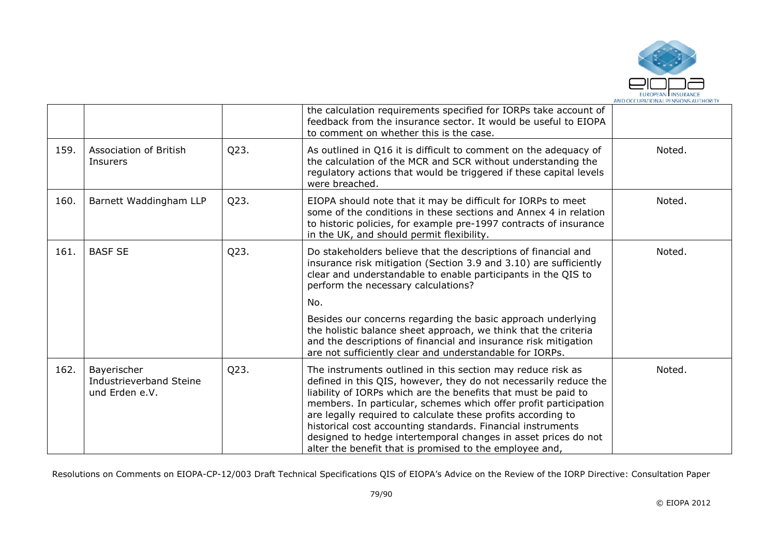

|      |                                                          |      | the calculation requirements specified for IORPs take account of<br>feedback from the insurance sector. It would be useful to EIOPA<br>to comment on whether this is the case.                                                                                                                                                                                                                                                                                                                                                    |        |
|------|----------------------------------------------------------|------|-----------------------------------------------------------------------------------------------------------------------------------------------------------------------------------------------------------------------------------------------------------------------------------------------------------------------------------------------------------------------------------------------------------------------------------------------------------------------------------------------------------------------------------|--------|
| 159. | Association of British<br>Insurers                       | Q23. | As outlined in Q16 it is difficult to comment on the adequacy of<br>the calculation of the MCR and SCR without understanding the<br>regulatory actions that would be triggered if these capital levels<br>were breached.                                                                                                                                                                                                                                                                                                          | Noted. |
| 160. | Barnett Waddingham LLP                                   | Q23. | EIOPA should note that it may be difficult for IORPs to meet<br>some of the conditions in these sections and Annex 4 in relation<br>to historic policies, for example pre-1997 contracts of insurance<br>in the UK, and should permit flexibility.                                                                                                                                                                                                                                                                                | Noted. |
| 161. | <b>BASF SE</b>                                           | Q23. | Do stakeholders believe that the descriptions of financial and<br>insurance risk mitigation (Section 3.9 and 3.10) are sufficiently<br>clear and understandable to enable participants in the QIS to<br>perform the necessary calculations?                                                                                                                                                                                                                                                                                       | Noted. |
|      |                                                          |      | No.<br>Besides our concerns regarding the basic approach underlying<br>the holistic balance sheet approach, we think that the criteria<br>and the descriptions of financial and insurance risk mitigation<br>are not sufficiently clear and understandable for IORPs.                                                                                                                                                                                                                                                             |        |
| 162. | Bayerischer<br>Industrieverband Steine<br>und Erden e.V. | Q23. | The instruments outlined in this section may reduce risk as<br>defined in this QIS, however, they do not necessarily reduce the<br>liability of IORPs which are the benefits that must be paid to<br>members. In particular, schemes which offer profit participation<br>are legally required to calculate these profits according to<br>historical cost accounting standards. Financial instruments<br>designed to hedge intertemporal changes in asset prices do not<br>alter the benefit that is promised to the employee and, | Noted. |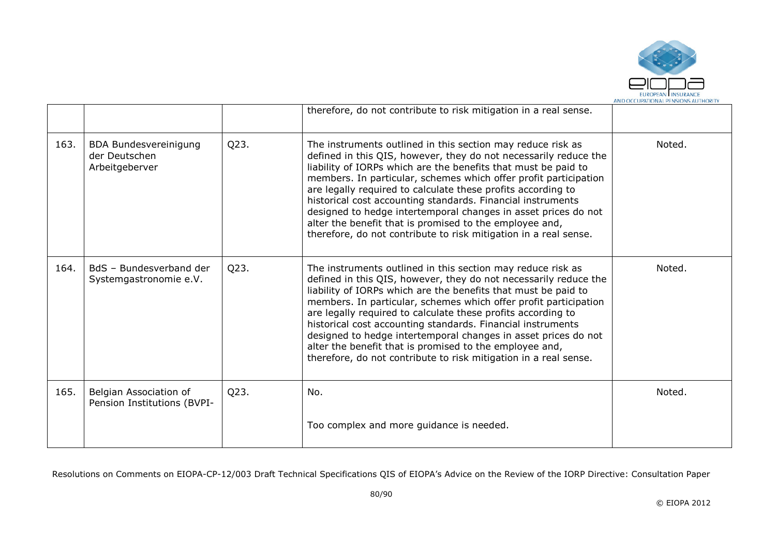

|      |                                                                 |      | therefore, do not contribute to risk mitigation in a real sense.                                                                                                                                                                                                                                                                                                                                                                                                                                                                                                                                      |        |
|------|-----------------------------------------------------------------|------|-------------------------------------------------------------------------------------------------------------------------------------------------------------------------------------------------------------------------------------------------------------------------------------------------------------------------------------------------------------------------------------------------------------------------------------------------------------------------------------------------------------------------------------------------------------------------------------------------------|--------|
| 163. | <b>BDA Bundesvereinigung</b><br>der Deutschen<br>Arbeitgeberver | Q23. | The instruments outlined in this section may reduce risk as<br>defined in this QIS, however, they do not necessarily reduce the<br>liability of IORPs which are the benefits that must be paid to<br>members. In particular, schemes which offer profit participation<br>are legally required to calculate these profits according to<br>historical cost accounting standards. Financial instruments<br>designed to hedge intertemporal changes in asset prices do not<br>alter the benefit that is promised to the employee and,<br>therefore, do not contribute to risk mitigation in a real sense. | Noted. |
| 164. | BdS - Bundesverband der<br>Systemgastronomie e.V.               | Q23. | The instruments outlined in this section may reduce risk as<br>defined in this QIS, however, they do not necessarily reduce the<br>liability of IORPs which are the benefits that must be paid to<br>members. In particular, schemes which offer profit participation<br>are legally required to calculate these profits according to<br>historical cost accounting standards. Financial instruments<br>designed to hedge intertemporal changes in asset prices do not<br>alter the benefit that is promised to the employee and,<br>therefore, do not contribute to risk mitigation in a real sense. | Noted. |
| 165. | Belgian Association of<br>Pension Institutions (BVPI-           | Q23. | No.                                                                                                                                                                                                                                                                                                                                                                                                                                                                                                                                                                                                   | Noted. |
|      |                                                                 |      | Too complex and more guidance is needed.                                                                                                                                                                                                                                                                                                                                                                                                                                                                                                                                                              |        |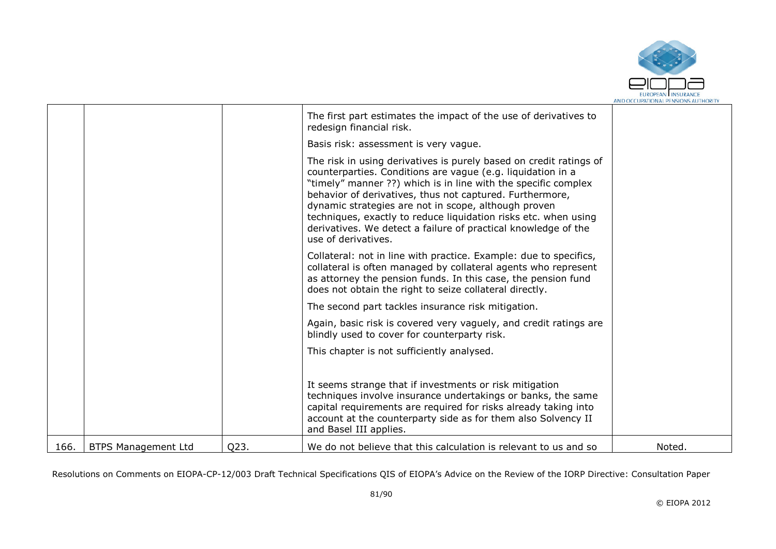

|      |                            |      | The first part estimates the impact of the use of derivatives to<br>redesign financial risk.                                                                                                                                                                                                                                                                                                                                                                                        |        |
|------|----------------------------|------|-------------------------------------------------------------------------------------------------------------------------------------------------------------------------------------------------------------------------------------------------------------------------------------------------------------------------------------------------------------------------------------------------------------------------------------------------------------------------------------|--------|
|      |                            |      | Basis risk: assessment is very vague.                                                                                                                                                                                                                                                                                                                                                                                                                                               |        |
|      |                            |      | The risk in using derivatives is purely based on credit ratings of<br>counterparties. Conditions are vague (e.g. liquidation in a<br>"timely" manner ??) which is in line with the specific complex<br>behavior of derivatives, thus not captured. Furthermore,<br>dynamic strategies are not in scope, although proven<br>techniques, exactly to reduce liquidation risks etc. when using<br>derivatives. We detect a failure of practical knowledge of the<br>use of derivatives. |        |
|      |                            |      | Collateral: not in line with practice. Example: due to specifics,<br>collateral is often managed by collateral agents who represent<br>as attorney the pension funds. In this case, the pension fund<br>does not obtain the right to seize collateral directly.                                                                                                                                                                                                                     |        |
|      |                            |      | The second part tackles insurance risk mitigation.                                                                                                                                                                                                                                                                                                                                                                                                                                  |        |
|      |                            |      | Again, basic risk is covered very vaguely, and credit ratings are<br>blindly used to cover for counterparty risk.                                                                                                                                                                                                                                                                                                                                                                   |        |
|      |                            |      | This chapter is not sufficiently analysed.                                                                                                                                                                                                                                                                                                                                                                                                                                          |        |
|      |                            |      | It seems strange that if investments or risk mitigation<br>techniques involve insurance undertakings or banks, the same<br>capital requirements are required for risks already taking into<br>account at the counterparty side as for them also Solvency II<br>and Basel III applies.                                                                                                                                                                                               |        |
| 166. | <b>BTPS Management Ltd</b> | Q23. | We do not believe that this calculation is relevant to us and so                                                                                                                                                                                                                                                                                                                                                                                                                    | Noted. |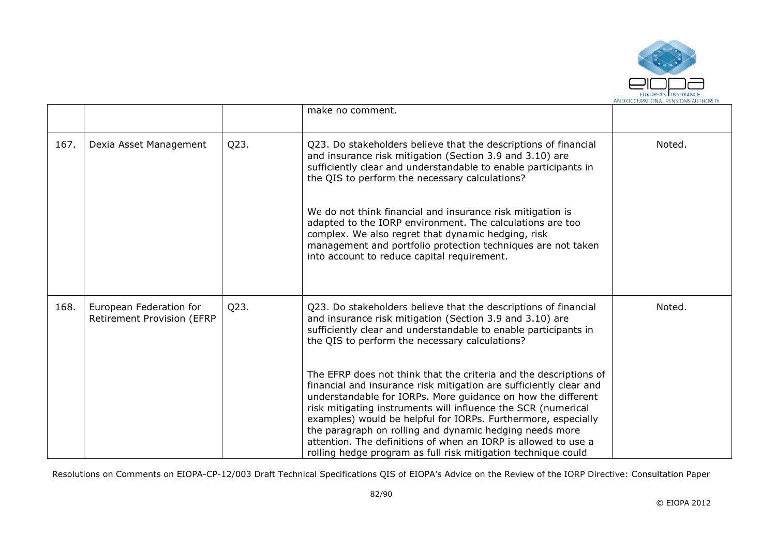

|      |                                                       |      | make no comment.                                                                                                                                                                                                                                                                                                                                                                                                                                                                                                                                                                                                                                                                                                                                                                            |        |
|------|-------------------------------------------------------|------|---------------------------------------------------------------------------------------------------------------------------------------------------------------------------------------------------------------------------------------------------------------------------------------------------------------------------------------------------------------------------------------------------------------------------------------------------------------------------------------------------------------------------------------------------------------------------------------------------------------------------------------------------------------------------------------------------------------------------------------------------------------------------------------------|--------|
| 167. | Dexia Asset Management                                | Q23. | Q23. Do stakeholders believe that the descriptions of financial<br>and insurance risk mitigation (Section 3.9 and 3.10) are<br>sufficiently clear and understandable to enable participants in<br>the QIS to perform the necessary calculations?<br>We do not think financial and insurance risk mitigation is<br>adapted to the IORP environment. The calculations are too<br>complex. We also regret that dynamic hedging, risk<br>management and portfolio protection techniques are not taken<br>into account to reduce capital requirement.                                                                                                                                                                                                                                            | Noted. |
| 168. | European Federation for<br>Retirement Provision (EFRP | Q23. | Q23. Do stakeholders believe that the descriptions of financial<br>and insurance risk mitigation (Section 3.9 and 3.10) are<br>sufficiently clear and understandable to enable participants in<br>the QIS to perform the necessary calculations?<br>The EFRP does not think that the criteria and the descriptions of<br>financial and insurance risk mitigation are sufficiently clear and<br>understandable for IORPs. More guidance on how the different<br>risk mitigating instruments will influence the SCR (numerical<br>examples) would be helpful for IORPs. Furthermore, especially<br>the paragraph on rolling and dynamic hedging needs more<br>attention. The definitions of when an IORP is allowed to use a<br>rolling hedge program as full risk mitigation technique could | Noted. |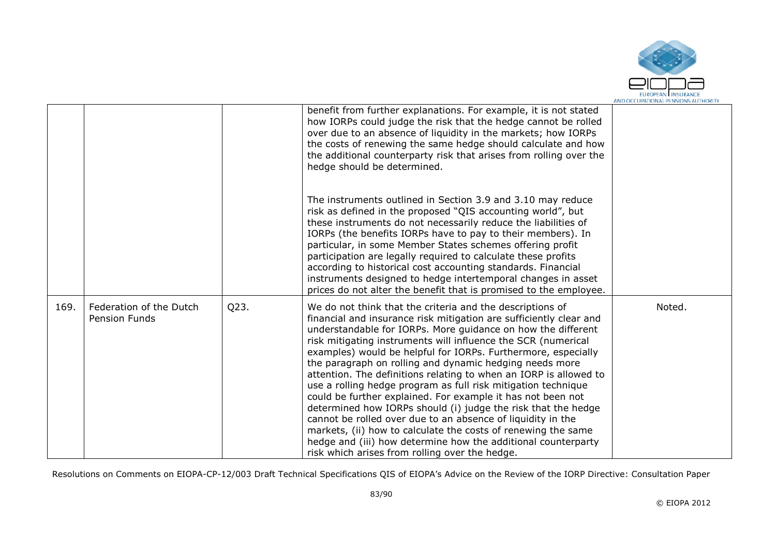

|      |                                                 |      | benefit from further explanations. For example, it is not stated<br>how IORPs could judge the risk that the hedge cannot be rolled<br>over due to an absence of liquidity in the markets; how IORPs<br>the costs of renewing the same hedge should calculate and how<br>the additional counterparty risk that arises from rolling over the<br>hedge should be determined.                                                                                                                                                                                                                                                                                                                                                                                                                                                                                                                                             |        |
|------|-------------------------------------------------|------|-----------------------------------------------------------------------------------------------------------------------------------------------------------------------------------------------------------------------------------------------------------------------------------------------------------------------------------------------------------------------------------------------------------------------------------------------------------------------------------------------------------------------------------------------------------------------------------------------------------------------------------------------------------------------------------------------------------------------------------------------------------------------------------------------------------------------------------------------------------------------------------------------------------------------|--------|
|      |                                                 |      | The instruments outlined in Section 3.9 and 3.10 may reduce<br>risk as defined in the proposed "QIS accounting world", but<br>these instruments do not necessarily reduce the liabilities of<br>IORPs (the benefits IORPs have to pay to their members). In<br>particular, in some Member States schemes offering profit<br>participation are legally required to calculate these profits<br>according to historical cost accounting standards. Financial<br>instruments designed to hedge intertemporal changes in asset<br>prices do not alter the benefit that is promised to the employee.                                                                                                                                                                                                                                                                                                                        |        |
| 169. | Federation of the Dutch<br><b>Pension Funds</b> | Q23. | We do not think that the criteria and the descriptions of<br>financial and insurance risk mitigation are sufficiently clear and<br>understandable for IORPs. More guidance on how the different<br>risk mitigating instruments will influence the SCR (numerical<br>examples) would be helpful for IORPs. Furthermore, especially<br>the paragraph on rolling and dynamic hedging needs more<br>attention. The definitions relating to when an IORP is allowed to<br>use a rolling hedge program as full risk mitigation technique<br>could be further explained. For example it has not been not<br>determined how IORPs should (i) judge the risk that the hedge<br>cannot be rolled over due to an absence of liquidity in the<br>markets, (ii) how to calculate the costs of renewing the same<br>hedge and (iii) how determine how the additional counterparty<br>risk which arises from rolling over the hedge. | Noted. |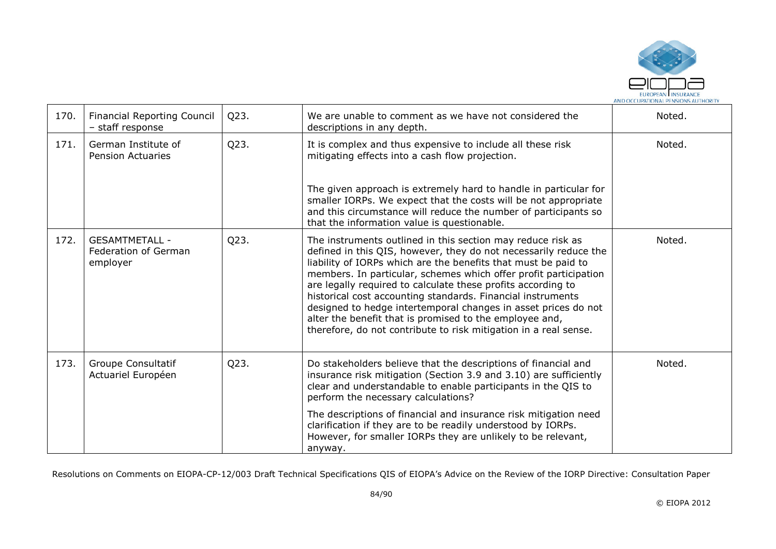

| 170. | <b>Financial Reporting Council</b><br>- staff response    | Q23. | We are unable to comment as we have not considered the<br>descriptions in any depth.                                                                                                                                                                                                                                                                                                                                                                                                                                                                                                                  | Noted. |
|------|-----------------------------------------------------------|------|-------------------------------------------------------------------------------------------------------------------------------------------------------------------------------------------------------------------------------------------------------------------------------------------------------------------------------------------------------------------------------------------------------------------------------------------------------------------------------------------------------------------------------------------------------------------------------------------------------|--------|
| 171. | German Institute of<br><b>Pension Actuaries</b>           | Q23. | It is complex and thus expensive to include all these risk<br>mitigating effects into a cash flow projection.                                                                                                                                                                                                                                                                                                                                                                                                                                                                                         | Noted. |
|      |                                                           |      | The given approach is extremely hard to handle in particular for<br>smaller IORPs. We expect that the costs will be not appropriate<br>and this circumstance will reduce the number of participants so<br>that the information value is questionable.                                                                                                                                                                                                                                                                                                                                                 |        |
| 172. | <b>GESAMTMETALL -</b><br>Federation of German<br>employer | Q23. | The instruments outlined in this section may reduce risk as<br>defined in this QIS, however, they do not necessarily reduce the<br>liability of IORPs which are the benefits that must be paid to<br>members. In particular, schemes which offer profit participation<br>are legally required to calculate these profits according to<br>historical cost accounting standards. Financial instruments<br>designed to hedge intertemporal changes in asset prices do not<br>alter the benefit that is promised to the employee and,<br>therefore, do not contribute to risk mitigation in a real sense. | Noted. |
| 173. | Groupe Consultatif<br>Actuariel Européen                  | Q23. | Do stakeholders believe that the descriptions of financial and<br>insurance risk mitigation (Section 3.9 and 3.10) are sufficiently<br>clear and understandable to enable participants in the QIS to<br>perform the necessary calculations?                                                                                                                                                                                                                                                                                                                                                           | Noted. |
|      |                                                           |      | The descriptions of financial and insurance risk mitigation need<br>clarification if they are to be readily understood by IORPs.<br>However, for smaller IORPs they are unlikely to be relevant,<br>anyway.                                                                                                                                                                                                                                                                                                                                                                                           |        |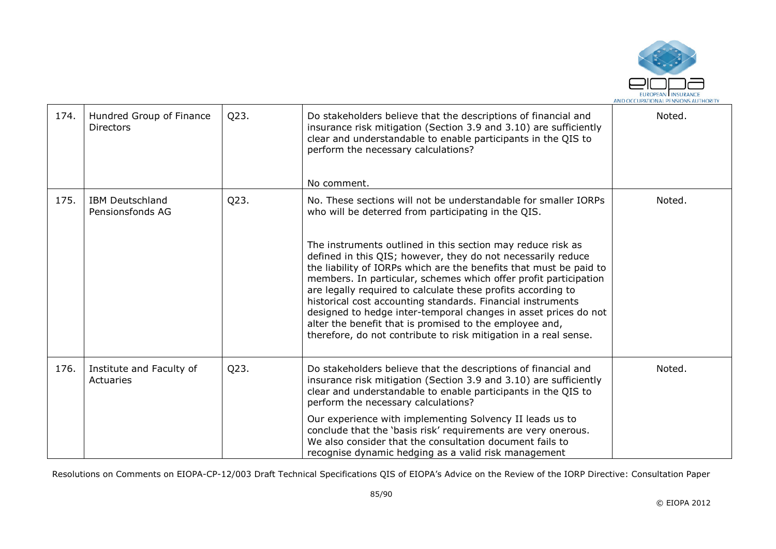

| 174. | Hundred Group of Finance<br>Directors      | Q23. | Do stakeholders believe that the descriptions of financial and<br>insurance risk mitigation (Section 3.9 and 3.10) are sufficiently<br>clear and understandable to enable participants in the QIS to<br>perform the necessary calculations?<br>No comment.                                                                                                                                                                                                                                                                                                                                             | Noted. |
|------|--------------------------------------------|------|--------------------------------------------------------------------------------------------------------------------------------------------------------------------------------------------------------------------------------------------------------------------------------------------------------------------------------------------------------------------------------------------------------------------------------------------------------------------------------------------------------------------------------------------------------------------------------------------------------|--------|
| 175. | <b>IBM Deutschland</b><br>Pensionsfonds AG | Q23. | No. These sections will not be understandable for smaller IORPs<br>who will be deterred from participating in the QIS.                                                                                                                                                                                                                                                                                                                                                                                                                                                                                 | Noted. |
|      |                                            |      | The instruments outlined in this section may reduce risk as<br>defined in this QIS; however, they do not necessarily reduce<br>the liability of IORPs which are the benefits that must be paid to<br>members. In particular, schemes which offer profit participation<br>are legally required to calculate these profits according to<br>historical cost accounting standards. Financial instruments<br>designed to hedge inter-temporal changes in asset prices do not<br>alter the benefit that is promised to the employee and,<br>therefore, do not contribute to risk mitigation in a real sense. |        |
| 176. | Institute and Faculty of<br>Actuaries      | Q23. | Do stakeholders believe that the descriptions of financial and<br>insurance risk mitigation (Section 3.9 and 3.10) are sufficiently<br>clear and understandable to enable participants in the QIS to<br>perform the necessary calculations?                                                                                                                                                                                                                                                                                                                                                            | Noted. |
|      |                                            |      | Our experience with implementing Solvency II leads us to<br>conclude that the 'basis risk' requirements are very onerous.<br>We also consider that the consultation document fails to<br>recognise dynamic hedging as a valid risk management                                                                                                                                                                                                                                                                                                                                                          |        |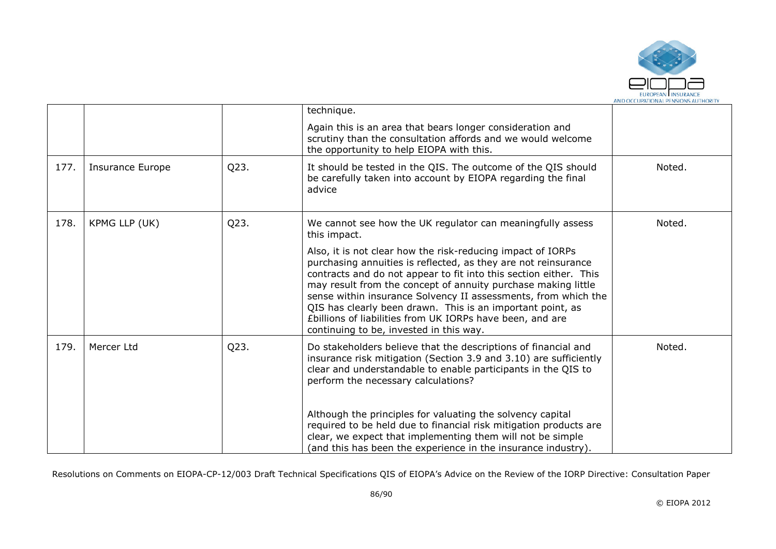

|      |                         |      | technique.                                                                                                                                                                                                                                                                                                                                                                                                                                                                                                  |        |
|------|-------------------------|------|-------------------------------------------------------------------------------------------------------------------------------------------------------------------------------------------------------------------------------------------------------------------------------------------------------------------------------------------------------------------------------------------------------------------------------------------------------------------------------------------------------------|--------|
|      |                         |      | Again this is an area that bears longer consideration and<br>scrutiny than the consultation affords and we would welcome<br>the opportunity to help EIOPA with this.                                                                                                                                                                                                                                                                                                                                        |        |
| 177. | <b>Insurance Europe</b> | Q23. | It should be tested in the QIS. The outcome of the QIS should<br>be carefully taken into account by EIOPA regarding the final<br>advice                                                                                                                                                                                                                                                                                                                                                                     | Noted. |
| 178. | KPMG LLP (UK)           | Q23. | We cannot see how the UK regulator can meaningfully assess<br>this impact.                                                                                                                                                                                                                                                                                                                                                                                                                                  | Noted. |
|      |                         |      | Also, it is not clear how the risk-reducing impact of IORPs<br>purchasing annuities is reflected, as they are not reinsurance<br>contracts and do not appear to fit into this section either. This<br>may result from the concept of annuity purchase making little<br>sense within insurance Solvency II assessments, from which the<br>QIS has clearly been drawn. This is an important point, as<br>£billions of liabilities from UK IORPs have been, and are<br>continuing to be, invested in this way. |        |
| 179. | Mercer Ltd              | Q23. | Do stakeholders believe that the descriptions of financial and<br>insurance risk mitigation (Section 3.9 and 3.10) are sufficiently<br>clear and understandable to enable participants in the QIS to<br>perform the necessary calculations?                                                                                                                                                                                                                                                                 | Noted. |
|      |                         |      | Although the principles for valuating the solvency capital<br>required to be held due to financial risk mitigation products are<br>clear, we expect that implementing them will not be simple<br>(and this has been the experience in the insurance industry).                                                                                                                                                                                                                                              |        |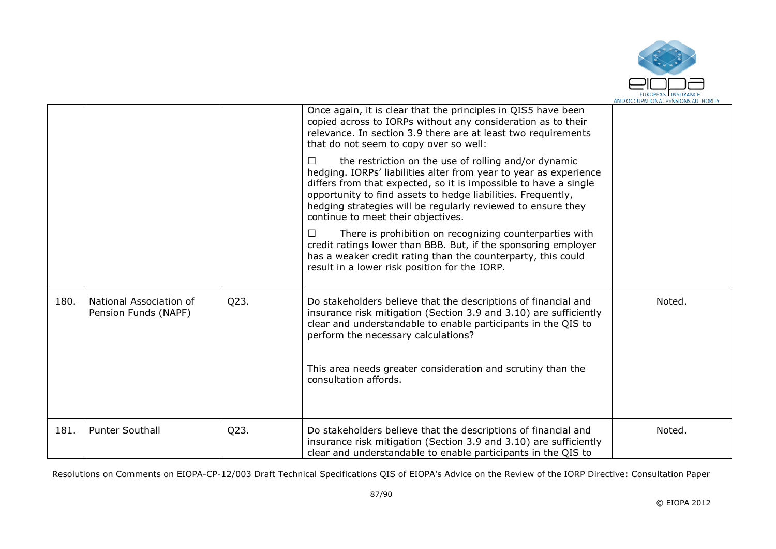

|      |                                                 |      | Once again, it is clear that the principles in QIS5 have been<br>copied across to IORPs without any consideration as to their<br>relevance. In section 3.9 there are at least two requirements<br>that do not seem to copy over so well:                                                                                                                                      |        |
|------|-------------------------------------------------|------|-------------------------------------------------------------------------------------------------------------------------------------------------------------------------------------------------------------------------------------------------------------------------------------------------------------------------------------------------------------------------------|--------|
|      |                                                 |      | the restriction on the use of rolling and/or dynamic<br>$\Box$<br>hedging. IORPs' liabilities alter from year to year as experience<br>differs from that expected, so it is impossible to have a single<br>opportunity to find assets to hedge liabilities. Frequently,<br>hedging strategies will be regularly reviewed to ensure they<br>continue to meet their objectives. |        |
|      |                                                 |      | There is prohibition on recognizing counterparties with<br>credit ratings lower than BBB. But, if the sponsoring employer<br>has a weaker credit rating than the counterparty, this could<br>result in a lower risk position for the IORP.                                                                                                                                    |        |
| 180. | National Association of<br>Pension Funds (NAPF) | Q23. | Do stakeholders believe that the descriptions of financial and<br>insurance risk mitigation (Section 3.9 and 3.10) are sufficiently<br>clear and understandable to enable participants in the QIS to<br>perform the necessary calculations?                                                                                                                                   | Noted. |
|      |                                                 |      | This area needs greater consideration and scrutiny than the<br>consultation affords.                                                                                                                                                                                                                                                                                          |        |
| 181. | <b>Punter Southall</b>                          | Q23. | Do stakeholders believe that the descriptions of financial and<br>insurance risk mitigation (Section 3.9 and 3.10) are sufficiently<br>clear and understandable to enable participants in the QIS to                                                                                                                                                                          | Noted. |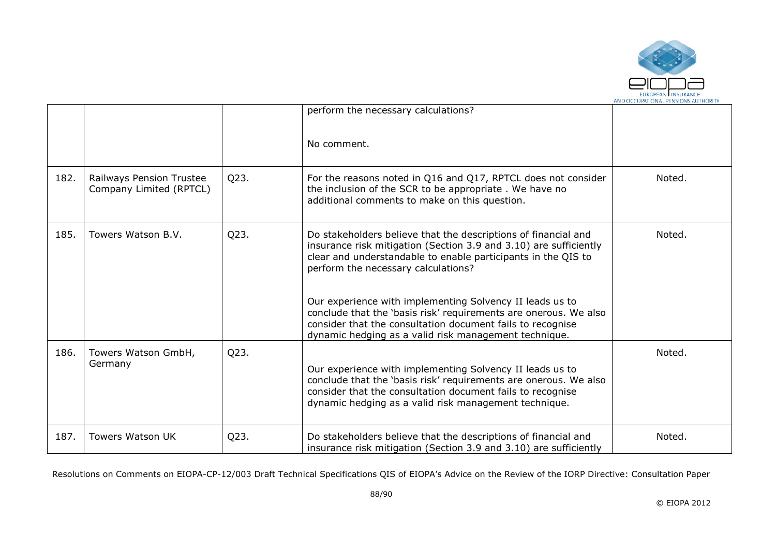

|      |                                                     |      | perform the necessary calculations?                                                                                                                                                                                                                 |        |
|------|-----------------------------------------------------|------|-----------------------------------------------------------------------------------------------------------------------------------------------------------------------------------------------------------------------------------------------------|--------|
|      |                                                     |      | No comment.                                                                                                                                                                                                                                         |        |
| 182. | Railways Pension Trustee<br>Company Limited (RPTCL) | Q23. | For the reasons noted in Q16 and Q17, RPTCL does not consider<br>the inclusion of the SCR to be appropriate. We have no<br>additional comments to make on this question.                                                                            | Noted. |
| 185. | Towers Watson B.V.                                  | Q23. | Do stakeholders believe that the descriptions of financial and<br>insurance risk mitigation (Section 3.9 and 3.10) are sufficiently<br>clear and understandable to enable participants in the QIS to<br>perform the necessary calculations?         | Noted. |
|      |                                                     |      | Our experience with implementing Solvency II leads us to<br>conclude that the 'basis risk' requirements are onerous. We also<br>consider that the consultation document fails to recognise<br>dynamic hedging as a valid risk management technique. |        |
| 186. | Towers Watson GmbH,<br>Germany                      | Q23. | Our experience with implementing Solvency II leads us to<br>conclude that the 'basis risk' requirements are onerous. We also<br>consider that the consultation document fails to recognise<br>dynamic hedging as a valid risk management technique. | Noted. |
| 187. | <b>Towers Watson UK</b>                             | Q23. | Do stakeholders believe that the descriptions of financial and<br>insurance risk mitigation (Section 3.9 and 3.10) are sufficiently                                                                                                                 | Noted. |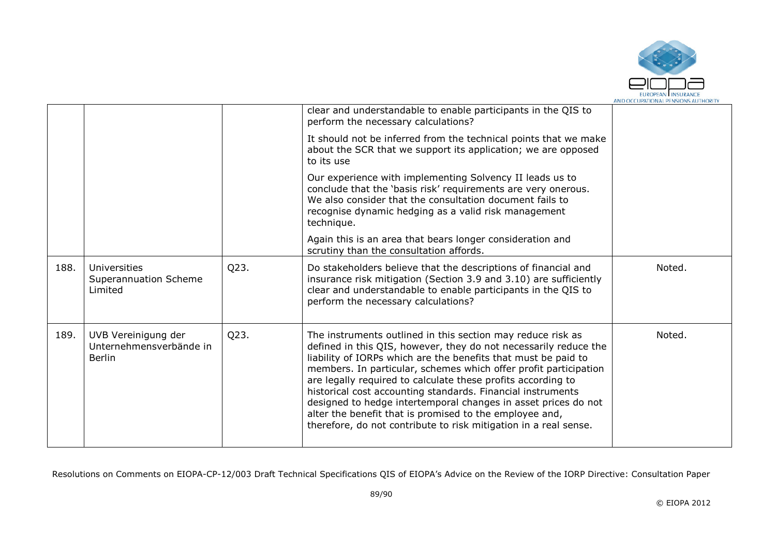

|      |                                                                 |      | clear and understandable to enable participants in the QIS to<br>perform the necessary calculations?                                                                                                                                                                                                                                                                                                                                                                                                                                                                                                  |        |
|------|-----------------------------------------------------------------|------|-------------------------------------------------------------------------------------------------------------------------------------------------------------------------------------------------------------------------------------------------------------------------------------------------------------------------------------------------------------------------------------------------------------------------------------------------------------------------------------------------------------------------------------------------------------------------------------------------------|--------|
|      |                                                                 |      | It should not be inferred from the technical points that we make<br>about the SCR that we support its application; we are opposed<br>to its use                                                                                                                                                                                                                                                                                                                                                                                                                                                       |        |
|      |                                                                 |      | Our experience with implementing Solvency II leads us to<br>conclude that the 'basis risk' requirements are very onerous.<br>We also consider that the consultation document fails to<br>recognise dynamic hedging as a valid risk management<br>technique.                                                                                                                                                                                                                                                                                                                                           |        |
|      |                                                                 |      | Again this is an area that bears longer consideration and<br>scrutiny than the consultation affords.                                                                                                                                                                                                                                                                                                                                                                                                                                                                                                  |        |
| 188. | Universities<br>Superannuation Scheme<br>Limited                | Q23. | Do stakeholders believe that the descriptions of financial and<br>insurance risk mitigation (Section 3.9 and 3.10) are sufficiently<br>clear and understandable to enable participants in the QIS to<br>perform the necessary calculations?                                                                                                                                                                                                                                                                                                                                                           | Noted. |
| 189. | UVB Vereinigung der<br>Unternehmensverbände in<br><b>Berlin</b> | Q23. | The instruments outlined in this section may reduce risk as<br>defined in this QIS, however, they do not necessarily reduce the<br>liability of IORPs which are the benefits that must be paid to<br>members. In particular, schemes which offer profit participation<br>are legally required to calculate these profits according to<br>historical cost accounting standards. Financial instruments<br>designed to hedge intertemporal changes in asset prices do not<br>alter the benefit that is promised to the employee and,<br>therefore, do not contribute to risk mitigation in a real sense. | Noted. |